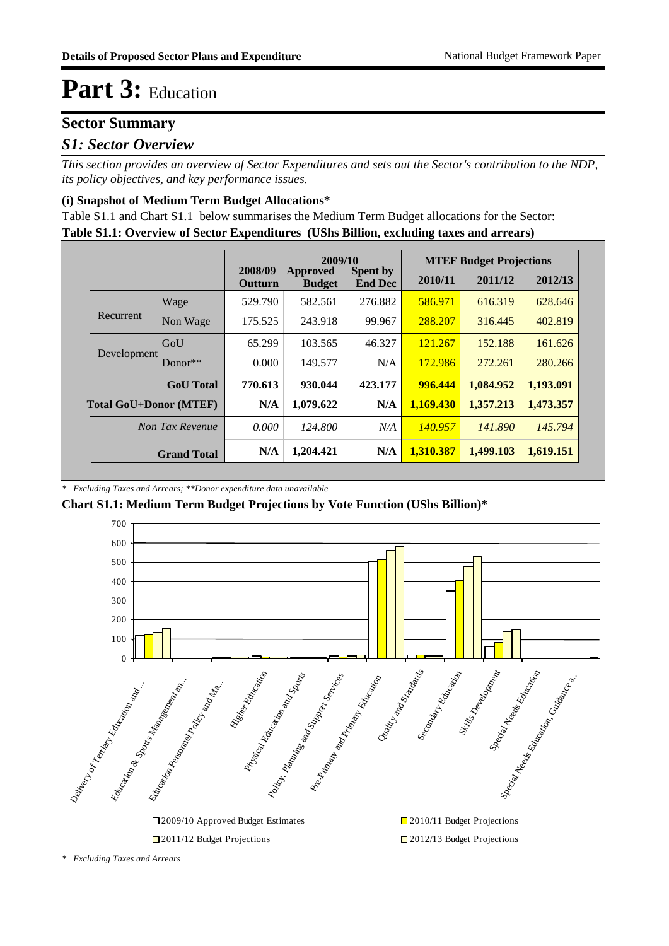### **Sector Summary**

### *S1: Sector Overview*

*This section provides an overview of Sector Expenditures and sets out the Sector's contribution to the NDP, its policy objectives, and key performance issues.* 

#### **(i) Snapshot of Medium Term Budget Allocations\***

**Table S1.1: Overview of Sector Expenditures (UShs Billion, excluding taxes and arrears)** Table S1.1 and Chart S1.1 below summarises the Medium Term Budget allocations for the Sector:

|                               |                    |                           | 2009/10                   |                                   |           | <b>MTEF Budget Projections</b> |           |
|-------------------------------|--------------------|---------------------------|---------------------------|-----------------------------------|-----------|--------------------------------|-----------|
|                               |                    | 2008/09<br><b>Outturn</b> | Approved<br><b>Budget</b> | <b>Spent by</b><br><b>End Dec</b> | 2010/11   | 2011/12                        | 2012/13   |
|                               | Wage               | 529.790                   | 582.561                   | 276.882                           | 586.971   | 616.319                        | 628.646   |
| Recurrent                     | Non Wage           | 175.525                   | 243.918                   | 99.967                            | 288.207   | 316.445                        | 402.819   |
|                               | GoU                | 65.299                    | 103.565                   | 46.327                            | 121.267   | 152.188                        | 161.626   |
| Development                   | Donor $**$         | 0.000                     | 149.577                   | N/A                               | 172.986   | 272.261                        | 280.266   |
|                               | <b>GoU</b> Total   | 770.613                   | 930.044                   | 423.177                           | 996.444   | 1,084.952                      | 1,193.091 |
| <b>Total GoU+Donor (MTEF)</b> |                    | N/A                       | 1,079.622                 | N/A                               | 1.169.430 | 1.357.213                      | 1,473.357 |
|                               | Non Tax Revenue    | 0.000                     | 124,800                   | N/A                               | 140.957   | 141.890                        | 145.794   |
|                               | <b>Grand Total</b> | N/A                       | 1,204.421                 | N/A                               | 1,310.387 | 1,499.103                      | 1,619.151 |

*\* Excluding Taxes and Arrears; \*\*Donor expenditure data unavailable*

**Chart S1.1: Medium Term Budget Projections by Vote Function (UShs Billion)\***



*\* Excluding Taxes and Arrears*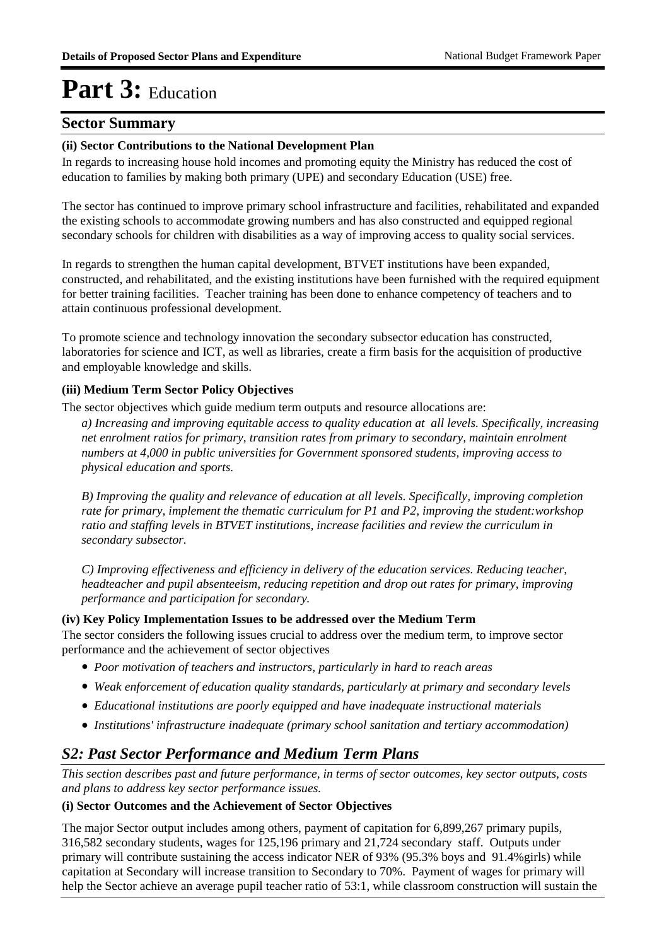### **Sector Summary**

#### **(ii) Sector Contributions to the National Development Plan**

In regards to increasing house hold incomes and promoting equity the Ministry has reduced the cost of education to families by making both primary (UPE) and secondary Education (USE) free.

The sector has continued to improve primary school infrastructure and facilities, rehabilitated and expanded the existing schools to accommodate growing numbers and has also constructed and equipped regional secondary schools for children with disabilities as a way of improving access to quality social services.

In regards to strengthen the human capital development, BTVET institutions have been expanded, constructed, and rehabilitated, and the existing institutions have been furnished with the required equipment for better training facilities. Teacher training has been done to enhance competency of teachers and to attain continuous professional development.

To promote science and technology innovation the secondary subsector education has constructed, laboratories for science and ICT, as well as libraries, create a firm basis for the acquisition of productive and employable knowledge and skills.

#### **(iii) Medium Term Sector Policy Objectives**

The sector objectives which guide medium term outputs and resource allocations are:

*a) Increasing and improving equitable access to quality education at all levels. Specifically, increasing net enrolment ratios for primary, transition rates from primary to secondary, maintain enrolment numbers at 4,000 in public universities for Government sponsored students, improving access to physical education and sports.*

*B) Improving the quality and relevance of education at all levels. Specifically, improving completion rate for primary, implement the thematic curriculum for P1 and P2, improving the student:workshop ratio and staffing levels in BTVET institutions, increase facilities and review the curriculum in secondary subsector.* 

*C) Improving effectiveness and efficiency in delivery of the education services. Reducing teacher, headteacher and pupil absenteeism, reducing repetition and drop out rates for primary, improving performance and participation for secondary.*

#### **(iv) Key Policy Implementation Issues to be addressed over the Medium Term**

The sector considers the following issues crucial to address over the medium term, to improve sector performance and the achievement of sector objectives

- *Poor motivation of teachers and instructors, particularly in hard to reach areas*
- *Weak enforcement of education quality standards, particularly at primary and secondary levels*
- *Educational institutions are poorly equipped and have inadequate instructional materials*
- *Institutions' infrastructure inadequate (primary school sanitation and tertiary accommodation)*

### *S2: Past Sector Performance and Medium Term Plans*

*This section describes past and future performance, in terms of sector outcomes, key sector outputs, costs and plans to address key sector performance issues.* 

#### **(i) Sector Outcomes and the Achievement of Sector Objectives**

The major Sector output includes among others, payment of capitation for 6,899,267 primary pupils, 316,582 secondary students, wages for 125,196 primary and 21,724 secondary staff. Outputs under primary will contribute sustaining the access indicator NER of 93% (95.3% boys and 91.4%girls) while capitation at Secondary will increase transition to Secondary to 70%. Payment of wages for primary will help the Sector achieve an average pupil teacher ratio of 53:1, while classroom construction will sustain the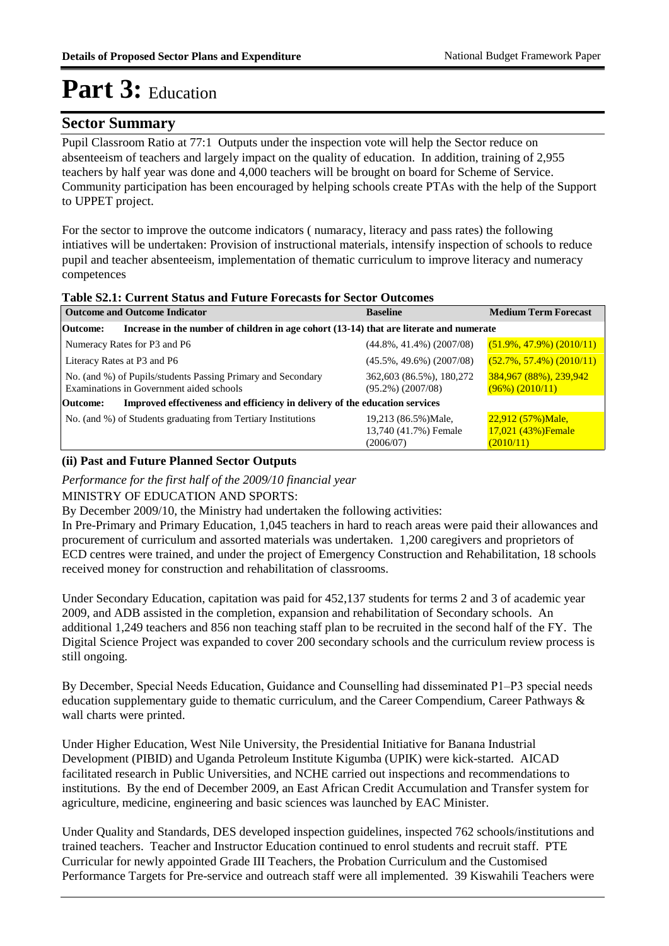### **Sector Summary**

Pupil Classroom Ratio at 77:1 Outputs under the inspection vote will help the Sector reduce on absenteeism of teachers and largely impact on the quality of education. In addition, training of 2,955 teachers by half year was done and 4,000 teachers will be brought on board for Scheme of Service. Community participation has been encouraged by helping schools create PTAs with the help of the Support to UPPET project.

For the sector to improve the outcome indicators ( numaracy, literacy and pass rates) the following intiatives will be undertaken: Provision of instructional materials, intensify inspection of schools to reduce pupil and teacher absenteeism, implementation of thematic curriculum to improve literacy and numeracy competences

#### **Table S2.1: Current Status and Future Forecasts for Sector Outcomes**

| <b>Outcome and Outcome Indicator</b>                                                                     | <b>Baseline</b>                                            | <b>Medium Term Forecast</b>                             |
|----------------------------------------------------------------------------------------------------------|------------------------------------------------------------|---------------------------------------------------------|
| Increase in the number of children in age cohort (13-14) that are literate and numerate<br>Outcome:      |                                                            |                                                         |
| Numeracy Rates for P3 and P6                                                                             | $(44.8\%, 41.4\%)$ (2007/08)                               | $(51.9\%, 47.9\%)$ $(2010/11)$                          |
| Literacy Rates at P3 and P6                                                                              | $(45.5\%, 49.6\%)$ (2007/08)                               | $(52.7\%, 57.4\%)$ (2010/11)                            |
| No. (and %) of Pupils/students Passing Primary and Secondary<br>Examinations in Government aided schools | 362,603 (86.5%), 180,272<br>$(95.2\%) (2007/08)$           | 384,967 (88%), 239,942<br>$(96\%) (2010/11)$            |
| Improved effectiveness and efficiency in delivery of the education services<br>Outcome:                  |                                                            |                                                         |
| No. (and %) of Students graduating from Tertiary Institutions                                            | 19,213 (86.5%) Male,<br>13,740 (41.7%) Female<br>(2006/07) | $22,912$ (57%)Male,<br>17,021 (43%) Female<br>(2010/11) |

#### **(ii) Past and Future Planned Sector Outputs**

*Performance for the first half of the 2009/10 financial year*

#### MINISTRY OF EDUCATION AND SPORTS:

By December 2009/10, the Ministry had undertaken the following activities:

In Pre-Primary and Primary Education, 1,045 teachers in hard to reach areas were paid their allowances and procurement of curriculum and assorted materials was undertaken. 1,200 caregivers and proprietors of ECD centres were trained, and under the project of Emergency Construction and Rehabilitation, 18 schools received money for construction and rehabilitation of classrooms.

Under Secondary Education, capitation was paid for 452,137 students for terms 2 and 3 of academic year 2009, and ADB assisted in the completion, expansion and rehabilitation of Secondary schools. An additional 1,249 teachers and 856 non teaching staff plan to be recruited in the second half of the FY. The Digital Science Project was expanded to cover 200 secondary schools and the curriculum review process is still ongoing.

By December, Special Needs Education, Guidance and Counselling had disseminated P1–P3 special needs education supplementary guide to thematic curriculum, and the Career Compendium, Career Pathways & wall charts were printed.

Under Higher Education, West Nile University, the Presidential Initiative for Banana Industrial Development (PIBID) and Uganda Petroleum Institute Kigumba (UPIK) were kick-started. AICAD facilitated research in Public Universities, and NCHE carried out inspections and recommendations to institutions. By the end of December 2009, an East African Credit Accumulation and Transfer system for agriculture, medicine, engineering and basic sciences was launched by EAC Minister.

Under Quality and Standards, DES developed inspection guidelines, inspected 762 schools/institutions and trained teachers. Teacher and Instructor Education continued to enrol students and recruit staff. PTE Curricular for newly appointed Grade III Teachers, the Probation Curriculum and the Customised Performance Targets for Pre-service and outreach staff were all implemented. 39 Kiswahili Teachers were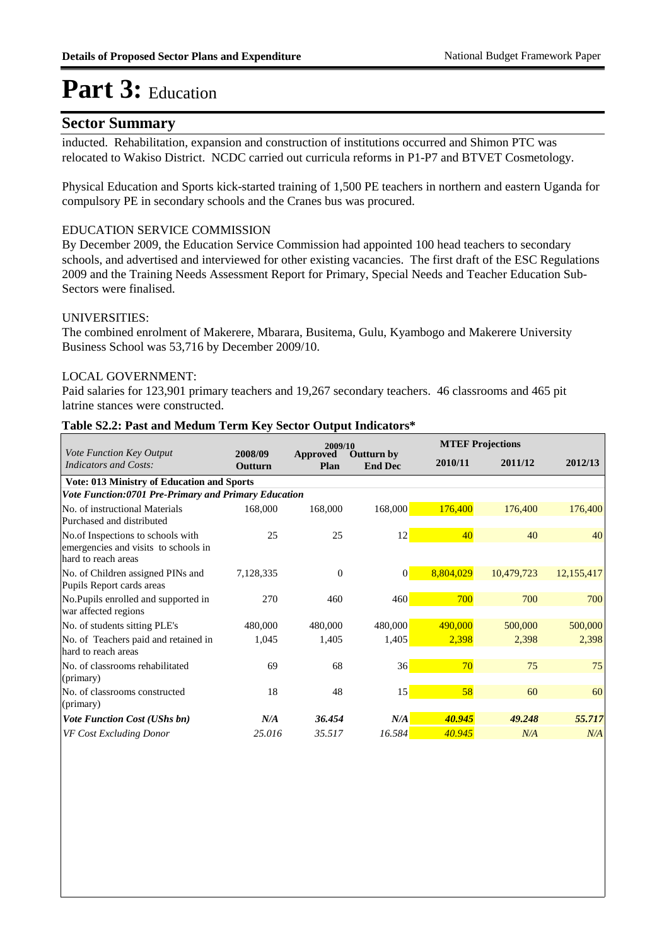### **Sector Summary**

inducted. Rehabilitation, expansion and construction of institutions occurred and Shimon PTC was relocated to Wakiso District. NCDC carried out curricula reforms in P1-P7 and BTVET Cosmetology.

Physical Education and Sports kick-started training of 1,500 PE teachers in northern and eastern Uganda for compulsory PE in secondary schools and the Cranes bus was procured.

#### EDUCATION SERVICE COMMISSION

By December 2009, the Education Service Commission had appointed 100 head teachers to secondary schools, and advertised and interviewed for other existing vacancies. The first draft of the ESC Regulations 2009 and the Training Needs Assessment Report for Primary, Special Needs and Teacher Education Sub-Sectors were finalised.

#### UNIVERSITIES:

The combined enrolment of Makerere, Mbarara, Busitema, Gulu, Kyambogo and Makerere University Business School was 53,716 by December 2009/10.

#### LOCAL GOVERNMENT:

Paid salaries for 123,901 primary teachers and 19,267 secondary teachers. 46 classrooms and 465 pit latrine stances were constructed.

#### **Table S2.2: Past and Medum Term Key Sector Output Indicators\***

|                                                                                                  |                    | 2009/10          |                                     |           | <b>MTEF Projections</b> |            |
|--------------------------------------------------------------------------------------------------|--------------------|------------------|-------------------------------------|-----------|-------------------------|------------|
| <b>Vote Function Key Output</b><br>Indicators and Costs:                                         | 2008/09<br>Outturn | Approved<br>Plan | <b>Outturn by</b><br><b>End Dec</b> | 2010/11   | 2011/12                 | 2012/13    |
| <b>Vote: 013 Ministry of Education and Sports</b>                                                |                    |                  |                                     |           |                         |            |
| Vote Function:0701 Pre-Primary and Primary Education                                             |                    |                  |                                     |           |                         |            |
| No. of instructional Materials<br>Purchased and distributed                                      | 168,000            | 168,000          | 168,000                             | 176,400   | 176,400                 | 176,400    |
| No.of Inspections to schools with<br>emergencies and visits to schools in<br>hard to reach areas | 25                 | 25               | 12                                  | 40        | 40                      | 40         |
| No. of Children assigned PINs and<br>Pupils Report cards areas                                   | 7,128,335          | $\mathbf{0}$     | $\overline{0}$                      | 8,804,029 | 10,479,723              | 12,155,417 |
| No.Pupils enrolled and supported in<br>war affected regions                                      | 270                | 460              | 460                                 | 700       | 700                     | 700        |
| No. of students sitting PLE's                                                                    | 480,000            | 480,000          | 480,000                             | 490,000   | 500,000                 | 500,000    |
| No. of Teachers paid and retained in<br>hard to reach areas                                      | 1,045              | 1,405            | 1,405                               | 2,398     | 2,398                   | 2,398      |
| No. of classrooms rehabilitated<br>(primary)                                                     | 69                 | 68               | 36                                  | 70        | 75                      | 75         |
| No. of classrooms constructed<br>(primary)                                                       | 18                 | 48               | 15                                  | 58        | 60                      | 60         |
| <b>Vote Function Cost (UShs bn)</b>                                                              | N/A                | 36.454           | N/A                                 | 40.945    | 49.248                  | 55.717     |
| VF Cost Excluding Donor                                                                          | 25.016             | 35.517           | 16.584                              | 40.945    | N/A                     | N/A        |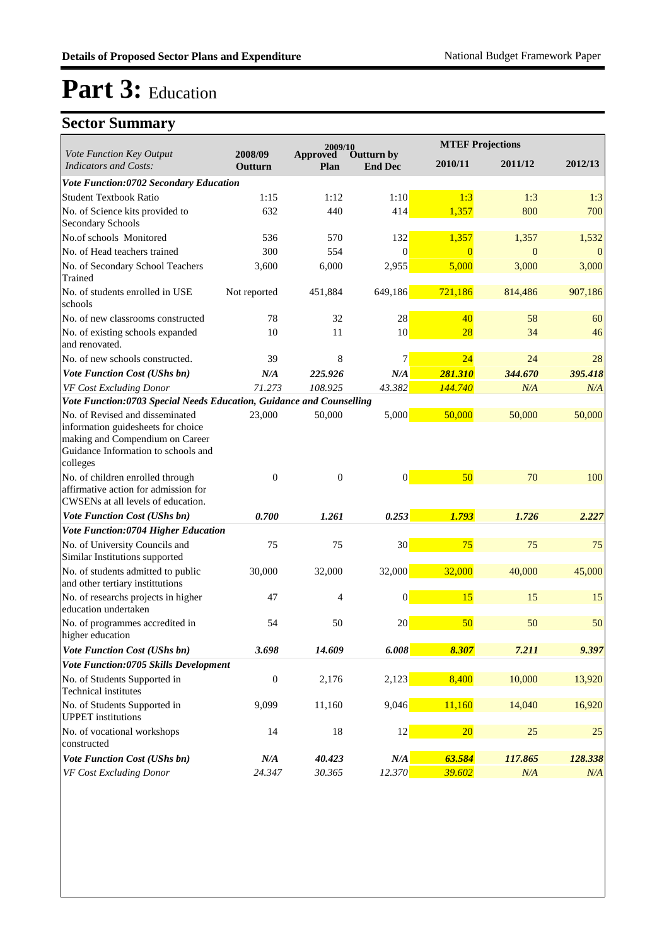|                                                                                                                                                             |                    | 2009/10                 |                              |                  | <b>MTEF Projections</b> |           |
|-------------------------------------------------------------------------------------------------------------------------------------------------------------|--------------------|-------------------------|------------------------------|------------------|-------------------------|-----------|
| Vote Function Key Output<br><b>Indicators and Costs:</b>                                                                                                    | 2008/09<br>Outturn | <b>Approved</b><br>Plan | Outturn by<br><b>End Dec</b> | 2010/11          | 2011/12                 | 2012/13   |
| Vote Function:0702 Secondary Education                                                                                                                      |                    |                         |                              |                  |                         |           |
| <b>Student Textbook Ratio</b>                                                                                                                               | 1:15               | 1:12                    | 1:10                         | 1:3              | 1:3                     | 1:3       |
| No. of Science kits provided to<br><b>Secondary Schools</b>                                                                                                 | 632                | 440                     | 414                          | 1,357            | 800                     | 700       |
| No.of schools Monitored                                                                                                                                     | 536                | 570                     | 132                          | 1,357            | 1,357                   | 1,532     |
| No. of Head teachers trained                                                                                                                                | 300                | 554                     | $\Omega$                     | $\Omega$         | $\overline{0}$          | $\Omega$  |
| No. of Secondary School Teachers<br>Trained                                                                                                                 | 3,600              | 6,000                   | 2,955                        | 5,000            | 3,000                   | 3,000     |
| No. of students enrolled in USE<br>schools                                                                                                                  | Not reported       | 451,884                 | 649,186                      | 721,186          | 814,486                 | 907,186   |
| No. of new classrooms constructed                                                                                                                           | 78                 | 32                      | 28                           | 40               | 58                      | 60        |
| No. of existing schools expanded<br>and renovated.                                                                                                          | 10                 | 11                      | 10                           | 28               | 34                      | 46        |
| No. of new schools constructed.                                                                                                                             | 39                 | 8                       | 7                            | 24               | 24                      | 28        |
| Vote Function Cost (UShs bn)                                                                                                                                | N/A                | 225.926                 | N/A                          | 281.310          | 344.670                 | 395.418   |
| VF Cost Excluding Donor                                                                                                                                     | 71.273             | 108.925                 | 43.382                       | 144.740          | N/A                     | N/A       |
| Vote Function:0703 Special Needs Education, Guidance and Counselling                                                                                        |                    |                         |                              |                  |                         |           |
| No. of Revised and disseminated<br>information guidesheets for choice<br>making and Compendium on Career<br>Guidance Information to schools and<br>colleges | 23,000             | 50,000                  | 5,000                        | 50,000           | 50,000                  | 50,000    |
| No. of children enrolled through<br>affirmative action for admission for<br>CWSENs at all levels of education.                                              | $\overline{0}$     | $\theta$                | $\overline{0}$               | 50               | 70                      | 100       |
| Vote Function Cost (UShs bn)                                                                                                                                | 0.700              | 1.261                   | 0.253                        | 1.793            | 1.726                   | 2.227     |
| Vote Function:0704 Higher Education                                                                                                                         |                    |                         |                              |                  |                         |           |
| No. of University Councils and<br>Similar Institutions supported                                                                                            | 75                 | 75                      | 30                           | 75               | 75                      | 75        |
| No. of students admitted to public<br>and other tertiary institutions                                                                                       | 30,000             | 32,000                  | 32,000                       | 32,000           | 40,000                  | 45,000    |
| No. of researchs projects in higher<br>education undertaken                                                                                                 | 47                 | 4                       | $\overline{0}$               | 15               | 15                      | 15        |
| No. of programmes accredited in<br>higher education                                                                                                         | 54                 | 50                      | 20                           | 50               | 50                      | 50        |
| <b>Vote Function Cost (UShs bn)</b>                                                                                                                         | 3.698              | 14.609                  | 6.008                        | 8.307            | 7.211                   | 9.397     |
| Vote Function:0705 Skills Development                                                                                                                       |                    |                         |                              |                  |                         |           |
| No. of Students Supported in<br><b>Technical institutes</b>                                                                                                 | $\boldsymbol{0}$   | 2,176                   | 2,123                        | 8,400            | 10,000                  | 13,920    |
| No. of Students Supported in<br><b>UPPET</b> institutions                                                                                                   | 9,099              | 11,160                  | 9,046                        | 11,160           | 14,040                  | 16,920    |
| No. of vocational workshops<br>constructed                                                                                                                  | 14                 | 18                      | 12                           | $20\overline{)}$ | 25                      | 25        |
| Vote Function Cost (UShs bn)                                                                                                                                | N/A                | 40.423                  | $N\!/\!A$                    | 63.584           | 117.865                 | 128.338   |
| VF Cost Excluding Donor                                                                                                                                     | 24.347             | 30.365                  | 12.370                       | 39.602           | N/A                     | $N\!/\!A$ |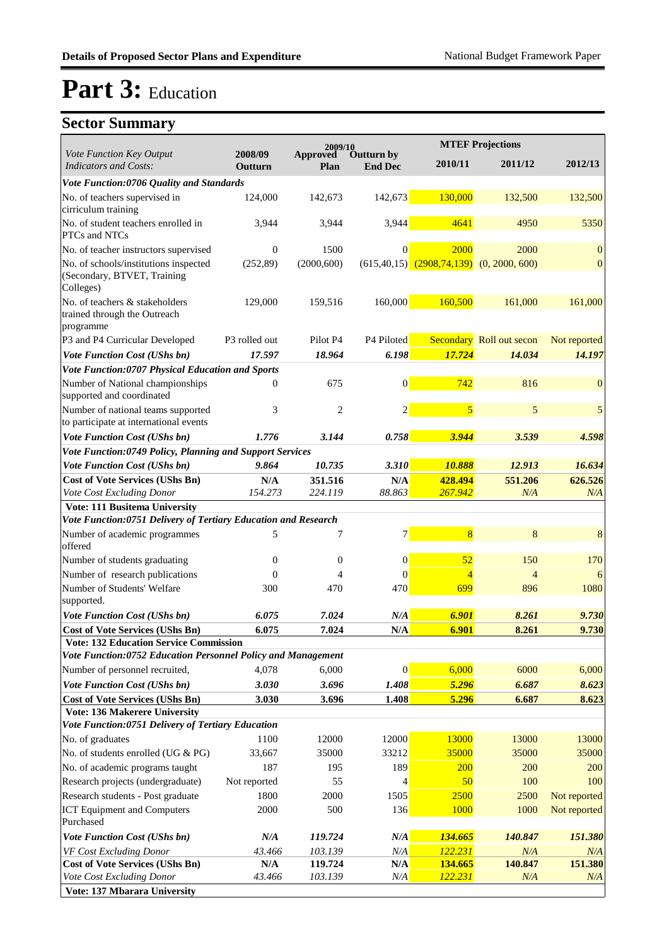|                                                                                   |                    | 2009/10          |                              |                                                | <b>MTEF Projections</b>  |                  |
|-----------------------------------------------------------------------------------|--------------------|------------------|------------------------------|------------------------------------------------|--------------------------|------------------|
| Vote Function Key Output<br><b>Indicators and Costs:</b>                          | 2008/09<br>Outturn | Approved<br>Plan | Outturn by<br><b>End Dec</b> | 2010/11                                        | 2011/12                  | 2012/13          |
| Vote Function:0706 Quality and Standards                                          |                    |                  |                              |                                                |                          |                  |
| No. of teachers supervised in<br>cirriculum training                              | 124,000            | 142,673          | 142,673                      | 130,000                                        | 132,500                  | 132,500          |
| No. of student teachers enrolled in<br>PTCs and NTCs                              | 3,944              | 3,944            | 3,944                        | 4641                                           | 4950                     | 5350             |
| No. of teacher instructors supervised                                             | $\overline{0}$     | 1500             | $\Omega$                     | 2000                                           | 2000                     | $\mathbf{0}$     |
| No. of schools/institutions inspected<br>(Secondary, BTVET, Training<br>Colleges) | (252,89)           | (2000, 600)      |                              | $(615,40,15)$ $(2908,74,139)$ $(0, 2000, 600)$ |                          | $\boldsymbol{0}$ |
| No. of teachers & stakeholders<br>trained through the Outreach                    | 129,000            | 159,516          | 160,000                      | 160,500                                        | 161,000                  | 161,000          |
| programme                                                                         |                    |                  |                              |                                                |                          |                  |
| P3 and P4 Curricular Developed                                                    | P3 rolled out      | Pilot P4         | P4 Piloted                   |                                                | Secondary Roll out secon | Not reported     |
| <b>Vote Function Cost (UShs bn)</b>                                               | 17.597             | 18.964           | 6.198                        | 17.724                                         | 14.034                   | 14.197           |
| Vote Function:0707 Physical Education and Sports                                  |                    |                  |                              |                                                |                          |                  |
| Number of National championships<br>supported and coordinated                     | $\Omega$           | 675              | $\mathbf{0}$                 | 742                                            | 816                      | $\mathbf{0}$     |
| Number of national teams supported<br>to participate at international events      | 3                  | $\overline{c}$   | $\overline{c}$               | 5                                              | 5                        | 5                |
| <b>Vote Function Cost (UShs bn)</b>                                               | 1.776              | 3.144            | 0.758                        | 3.944                                          | 3.539                    | 4.598            |
| Vote Function:0749 Policy, Planning and Support Services                          |                    |                  |                              |                                                |                          |                  |
| <b>Vote Function Cost (UShs bn)</b>                                               | 9.864              | 10.735           | 3.310                        | 10.888                                         | 12.913                   | 16.634           |
| <b>Cost of Vote Services (UShs Bn)</b>                                            | N/A                | 351.516          | N/A                          | 428.494                                        | 551.206                  | 626.526          |
| Vote Cost Excluding Donor                                                         | 154.273            | 224.119          | 88.863                       | 267.942                                        | N/A                      | N/A              |
| <b>Vote: 111 Busitema University</b>                                              |                    |                  |                              |                                                |                          |                  |
| Vote Function:0751 Delivery of Tertiary Education and Research                    |                    |                  |                              |                                                |                          |                  |
| Number of academic programmes<br>offered                                          | 5                  | 7                | 7                            | $\overline{8}$                                 | 8                        | 8                |
| Number of students graduating                                                     | $\overline{0}$     | $\overline{0}$   | $\mathbf{0}$                 | 52                                             | 150                      | 170              |
| Number of research publications                                                   | $\overline{0}$     | 4                | $\Omega$                     | 4                                              | $\overline{4}$           | 6                |
| Number of Students' Welfare<br>supported.                                         | 300                | 470              | 470                          | 699                                            | 896                      | 1080             |
| Vote Function Cost (UShs bn)                                                      | 6.075              | 7.024            | N/A                          | 6.901                                          | 8.261                    | 9.730            |
| <b>Cost of Vote Services (UShs Bn)</b>                                            | 6.075              | 7.024            | N/A                          | 6.901                                          | 8.261                    | 9.730            |
| <b>Vote: 132 Education Service Commission</b>                                     |                    |                  |                              |                                                |                          |                  |
| Vote Function:0752 Education Personnel Policy and Management                      |                    |                  |                              |                                                |                          |                  |
| Number of personnel recruited,                                                    | 4,078              | 6,000            | $\overline{0}$               | 6,000                                          | 6000                     | 6,000            |
| Vote Function Cost (UShs bn)                                                      | 3.030              | 3.696            | 1.408                        | 5.296                                          | 6.687                    | 8.623            |
| <b>Cost of Vote Services (UShs Bn)</b>                                            | 3.030              | 3.696            | 1.408                        | 5.296                                          | 6.687                    | 8.623            |
| Vote: 136 Makerere University                                                     |                    |                  |                              |                                                |                          |                  |
| Vote Function:0751 Delivery of Tertiary Education                                 |                    |                  |                              |                                                |                          |                  |
| No. of graduates                                                                  | 1100               | 12000            | 12000                        | 13000                                          | 13000                    | 13000            |
| No. of students enrolled (UG & PG)                                                | 33,667             | 35000            | 33212                        | 35000                                          | 35000                    | 35000            |
| No. of academic programs taught                                                   | 187                | 195              | 189                          | 200                                            | 200                      | 200              |
| Research projects (undergraduate)                                                 | Not reported       | 55               | 4                            | 50                                             | 100                      | 100              |
| Research students - Post graduate                                                 | 1800               | 2000             | 1505                         | 2500                                           | 2500                     | Not reported     |
| <b>ICT Equipment and Computers</b><br>Purchased                                   | 2000               | 500              | 136                          | 1000                                           | 1000                     | Not reported     |
| Vote Function Cost (UShs bn)                                                      | N/A                | 119.724          | $N\!/\!A$                    | 134.665                                        | 140.847                  | 151.380          |
| VF Cost Excluding Donor                                                           | 43.466             | 103.139          | N/A                          | 122.231                                        | N/A                      | N/A              |
| <b>Cost of Vote Services (UShs Bn)</b>                                            | N/A                | 119.724          | N/A                          | 134.665                                        | 140.847                  | 151.380          |
| Vote Cost Excluding Donor                                                         | 43.466             | 103.139          | N/A                          | 122.231                                        | N/A                      | N/A              |
| Vote: 137 Mbarara University                                                      |                    |                  |                              |                                                |                          |                  |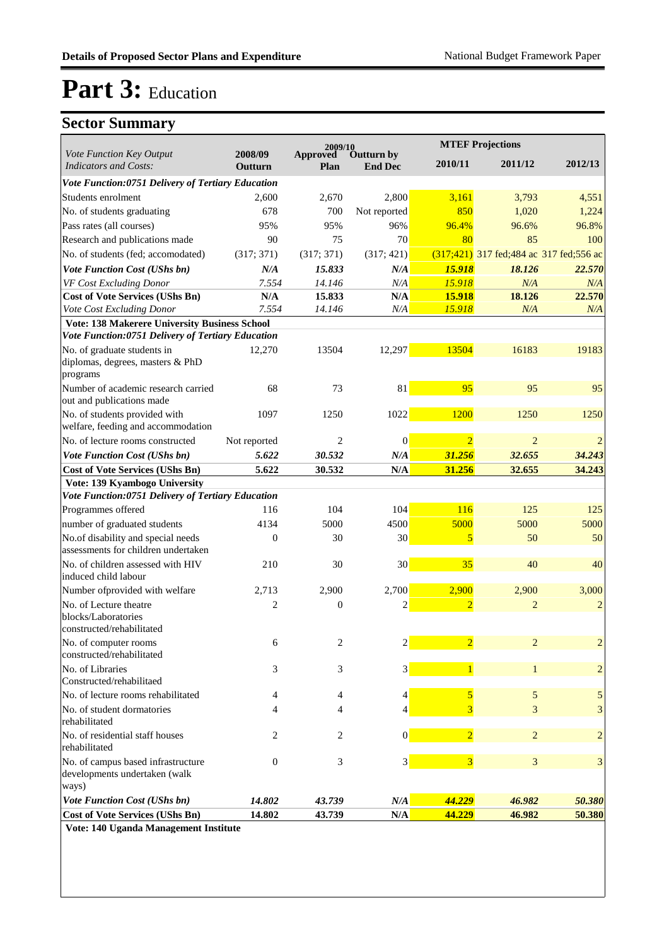## **Sector Summary**

|                                                                            |                    | 2009/10          |                              | <b>MTEF Projections</b> |                                             |                |
|----------------------------------------------------------------------------|--------------------|------------------|------------------------------|-------------------------|---------------------------------------------|----------------|
| Vote Function Key Output<br><b>Indicators and Costs:</b>                   | 2008/09<br>Outturn | Approved<br>Plan | Outturn by<br><b>End Dec</b> | 2010/11                 | 2011/12                                     | 2012/13        |
| Vote Function:0751 Delivery of Tertiary Education                          |                    |                  |                              |                         |                                             |                |
| Students enrolment                                                         | 2,600              | 2,670            | 2,800                        | 3,161                   | 3,793                                       | 4,551          |
| No. of students graduating                                                 | 678                | 700              | Not reported                 | 850                     | 1,020                                       | 1,224          |
| Pass rates (all courses)                                                   | 95%                | 95%              | 96%                          | 96.4%                   | 96.6%                                       | 96.8%          |
| Research and publications made                                             | 90                 | 75               | 70                           | 80                      | 85                                          | 100            |
| No. of students (fed; accomodated)                                         | (317; 371)         | (317; 371)       | (317; 421)                   |                         | $(317;421)$ 317 fed; 484 ac 317 fed; 556 ac |                |
| Vote Function Cost (UShs bn)                                               | N/A                | 15.833           | N/A                          | 15.918                  | 18.126                                      | 22.570         |
| VF Cost Excluding Donor                                                    | 7.554              | 14.146           | N/A                          | 15.918                  | N/A                                         | N/A            |
| <b>Cost of Vote Services (UShs Bn)</b>                                     | N/A                | 15.833           | N/A                          | 15.918                  | 18.126                                      | 22.570         |
| Vote Cost Excluding Donor                                                  | 7.554              | 14.146           | $N\!/\!A$                    | 15.918                  | N/A                                         | N/A            |
| <b>Vote: 138 Makerere University Business School</b>                       |                    |                  |                              |                         |                                             |                |
| Vote Function:0751 Delivery of Tertiary Education                          |                    |                  |                              |                         |                                             |                |
| No. of graduate students in                                                | 12,270             | 13504            | 12,297                       | 13504                   | 16183                                       | 19183          |
| diplomas, degrees, masters & PhD<br>programs                               |                    |                  |                              |                         |                                             |                |
| Number of academic research carried                                        | 68                 | 73               | 81                           | 95                      | 95                                          | 95             |
| out and publications made                                                  |                    |                  |                              |                         |                                             |                |
| No. of students provided with<br>welfare, feeding and accommodation        | 1097               | 1250             | 1022                         | 1200                    | 1250                                        | 1250           |
| No. of lecture rooms constructed                                           | Not reported       | $\overline{c}$   | $\theta$                     | $\overline{2}$          | $\overline{2}$                              | $\overline{2}$ |
| Vote Function Cost (UShs bn)                                               | 5.622              | 30.532           | N/A                          | 31.256                  | 32.655                                      | 34.243         |
| <b>Cost of Vote Services (UShs Bn)</b>                                     | 5.622              | 30.532           | $\mathbf{N}/\mathbf{A}$      | 31.256                  | 32.655                                      | 34.243         |
| Vote: 139 Kyambogo University                                              |                    |                  |                              |                         |                                             |                |
| Vote Function:0751 Delivery of Tertiary Education                          |                    |                  |                              |                         |                                             |                |
| Programmes offered                                                         | 116                | 104              | 104                          | 116                     | 125                                         | 125            |
| number of graduated students                                               | 4134               | 5000             | 4500                         | 5000                    | 5000                                        | 5000           |
| No.of disability and special needs<br>assessments for children undertaken  | $\boldsymbol{0}$   | 30               | 30 <sup>°</sup>              | 5                       | 50                                          | 50             |
| No. of children assessed with HIV                                          | 210                | 30               | 30 <sup>°</sup>              | 35                      | 40                                          | 40             |
| induced child labour                                                       |                    |                  |                              |                         |                                             |                |
| Number of provided with welfare                                            | 2,713              | 2,900            | 2,700                        | 2,900                   | 2,900                                       | 3,000          |
| No. of Lecture theatre<br>blocks/Laboratories<br>constructed/rehabilitated | $\overline{2}$     | $\boldsymbol{0}$ | 2                            | $\overline{2}$          | $\overline{2}$                              | $\overline{c}$ |
| No. of computer rooms                                                      | 6                  | 2                | $\overline{2}$               | $\overline{2}$          | $\overline{2}$                              | $\overline{c}$ |
| constructed/rehabilitated                                                  |                    |                  |                              |                         |                                             |                |
| No. of Libraries<br>Constructed/rehabilitaed                               | 3                  | 3                | 3                            | $\mathbf{1}$            | $\mathbf{1}$                                | $\overline{c}$ |
| No. of lecture rooms rehabilitated                                         | 4                  | 4                | 4                            | 5                       | 5                                           | 5              |
| No. of student dormatories                                                 | 4                  | 4                | 4                            | 3                       | 3                                           | 3              |
| rehabilitated                                                              |                    |                  |                              |                         |                                             |                |
| No. of residential staff houses<br>rehabilitated                           | 2                  | 2                | $\vert 0 \vert$              | $\overline{2}$          | $\overline{c}$                              | $\overline{c}$ |
| No. of campus based infrastructure                                         | $\mathbf{0}$       | 3                | $3\vert$                     | $\overline{\mathbf{3}}$ | 3                                           | 3              |
| developments undertaken (walk<br>ways)                                     |                    |                  |                              |                         |                                             |                |
| Vote Function Cost (UShs bn)                                               | 14.802             | 43.739           | N/A                          | 44.229                  | 46.982                                      | 50.380         |
| <b>Cost of Vote Services (UShs Bn)</b>                                     | 14.802             | 43.739           | N/A                          | 44.229                  | 46.982                                      | 50.380         |
|                                                                            |                    |                  |                              |                         |                                             |                |

**Vote: 140 Uganda Management Institute**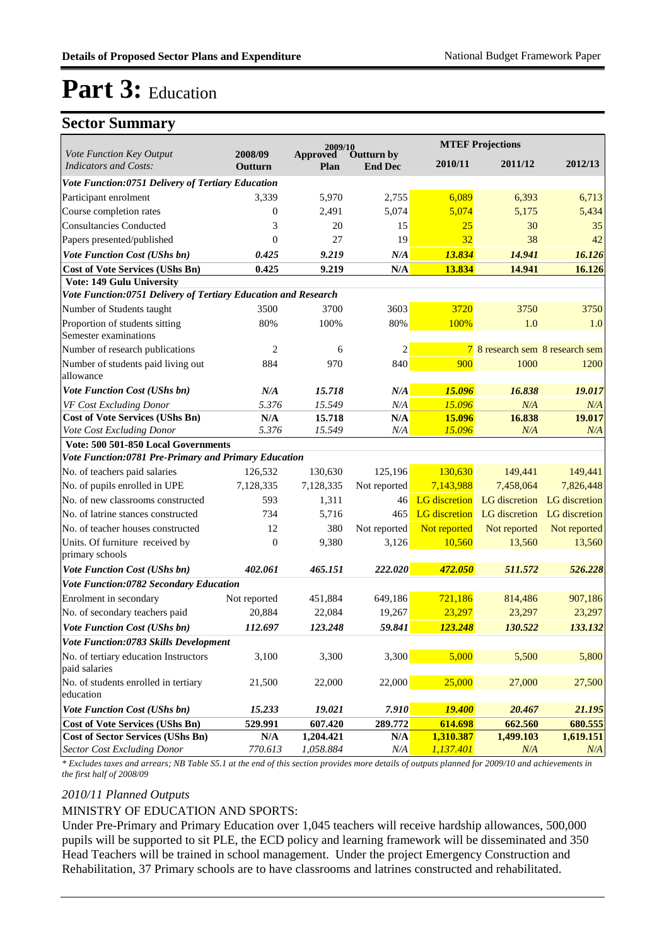### **Sector Summary**

|                                                                 |                         | 2009/10          |                              |                      | <b>MTEF Projections</b>        |               |
|-----------------------------------------------------------------|-------------------------|------------------|------------------------------|----------------------|--------------------------------|---------------|
| <b>Vote Function Key Output</b><br><b>Indicators and Costs:</b> | 2008/09<br>Outturn      | Approved<br>Plan | Outturn by<br><b>End Dec</b> | 2010/11              | 2011/12                        | 2012/13       |
| Vote Function:0751 Delivery of Tertiary Education               |                         |                  |                              |                      |                                |               |
| Participant enrolment                                           | 3,339                   | 5,970            | 2,755                        | 6,089                | 6,393                          | 6,713         |
| Course completion rates                                         | $\overline{0}$          | 2,491            | 5,074                        | 5,074                | 5,175                          | 5,434         |
| Consultancies Conducted                                         | 3                       | 20               | 15                           | 25                   | 30                             | 35            |
| Papers presented/published                                      | $\theta$                | 27               | 19                           | 32                   | 38                             | 42            |
| Vote Function Cost (UShs bn)                                    | 0.425                   | 9.219            | N/A                          | 13.834               | 14.941                         | 16.126        |
| <b>Cost of Vote Services (UShs Bn)</b>                          | 0.425                   | 9.219            | N/A                          | 13.834               | 14.941                         | 16.126        |
| Vote: 149 Gulu University                                       |                         |                  |                              |                      |                                |               |
| Vote Function:0751 Delivery of Tertiary Education and Research  |                         |                  |                              |                      |                                |               |
| Number of Students taught                                       | 3500                    | 3700             | 3603                         | 3720                 | 3750                           | 3750          |
| Proportion of students sitting<br>Semester examinations         | 80%                     | 100%             | 80%                          | 100%                 | 1.0                            | 1.0           |
| Number of research publications                                 | $\overline{2}$          | 6                | $\overline{c}$               | $\overline{7}$       | 8 research sem 8 research sem  |               |
| Number of students paid living out                              | 884                     | 970              | 840                          | 900                  | 1000                           | 1200          |
| allowance                                                       |                         |                  |                              |                      |                                |               |
| Vote Function Cost (UShs bn)                                    | N/A                     | 15.718           | N/A                          | 15.096               | 16.838                         | 19.017        |
| VF Cost Excluding Donor                                         | 5.376                   | 15.549           | N/A                          | 15.096               | N/A                            | N/A           |
| <b>Cost of Vote Services (UShs Bn)</b>                          | N/A                     | 15.718           | N/A                          | 15.096               | 16.838                         | 19.017        |
| Vote Cost Excluding Donor                                       | 5.376                   | 15.549           | N/A                          | 15.096               | N/A                            | N/A           |
| Vote: 500 501-850 Local Governments                             |                         |                  |                              |                      |                                |               |
| Vote Function:0781 Pre-Primary and Primary Education            |                         |                  |                              |                      |                                |               |
| No. of teachers paid salaries                                   | 126,532                 | 130,630          | 125,196                      | 130,630              | 149,441                        | 149,441       |
| No. of pupils enrolled in UPE                                   | 7,128,335               | 7,128,335        | Not reported                 | 7,143,988            | 7,458,064                      | 7,826,448     |
| No. of new classrooms constructed                               | 593                     | 1,311            | 46                           | <b>LG</b> discretion | LG discretion<br>LG discretion | LG discretion |
| No. of latrine stances constructed                              | 734                     | 5,716            | 465                          | <b>LG</b> discretion |                                | LG discretion |
| No. of teacher houses constructed                               | 12                      | 380              | Not reported                 | Not reported         | Not reported                   | Not reported  |
| Units. Of furniture received by<br>primary schools              | $\overline{0}$          | 9,380            | 3,126                        | 10,560               | 13,560                         | 13,560        |
| Vote Function Cost (UShs bn)                                    | 402.061                 | 465.151          | 222.020                      | 472.050              | 511.572                        | 526.228       |
| Vote Function:0782 Secondary Education                          |                         |                  |                              |                      |                                |               |
| Enrolment in secondary                                          | Not reported            | 451,884          | 649,186                      | 721,186              | 814,486                        | 907,186       |
| No. of secondary teachers paid                                  | 20,884                  | 22,084           | 19,267                       | 23,297               | 23,297                         | 23,297        |
| <b>Vote Function Cost (UShs bn)</b>                             | 112.697                 | 123.248          | 59.841                       | 123.248              | 130.522                        | 133.132       |
| Vote Function:0783 Skills Development                           |                         |                  |                              |                      |                                |               |
| No. of tertiary education Instructors<br>paid salaries          | 3,100                   | 3,300            | 3,300                        | 5,000                | 5,500                          | 5,800         |
| No. of students enrolled in tertiary<br>education               | 21,500                  | 22,000           | 22,000                       | 25,000               | 27,000                         | 27,500        |
| Vote Function Cost (UShs bn)                                    | 15.233                  | 19.021           | 7.910                        | <b>19.400</b>        | 20.467                         | 21.195        |
| <b>Cost of Vote Services (UShs Bn)</b>                          | 529.991                 | 607.420          | 289.772                      | 614.698              | 662.560                        | 680.555       |
| <b>Cost of Sector Services (UShs Bn)</b>                        | $\mathbf{N}/\mathbf{A}$ | 1,204.421        | N/A                          | 1,310.387            | 1,499.103                      | 1,619.151     |
| Sector Cost Excluding Donor                                     | 770.613                 | 1,058.884        | N/A                          | 1,137.401            | N/A                            | N/A           |

*\* Excludes taxes and arrears; NB Table S5.1 at the end of this section provides more details of outputs planned for 2009/10 and achievements in the first half of 2008/09*

#### *2010/11 Planned Outputs*

#### MINISTRY OF EDUCATION AND SPORTS:

Under Pre-Primary and Primary Education over 1,045 teachers will receive hardship allowances, 500,000 pupils will be supported to sit PLE, the ECD policy and learning framework will be disseminated and 350 Head Teachers will be trained in school management. Under the project Emergency Construction and Rehabilitation, 37 Primary schools are to have classrooms and latrines constructed and rehabilitated.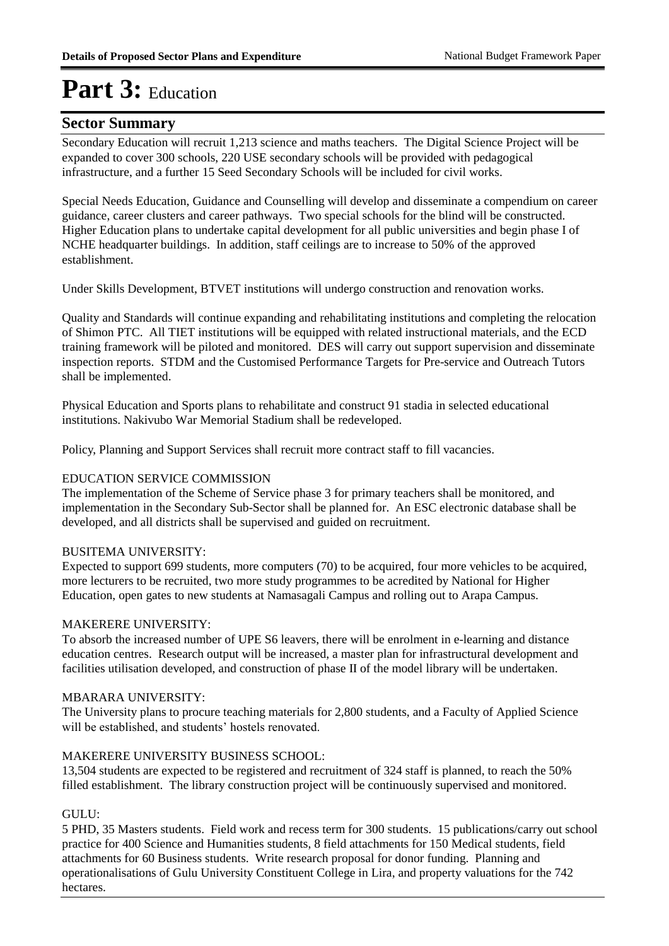### **Sector Summary**

Secondary Education will recruit 1,213 science and maths teachers. The Digital Science Project will be expanded to cover 300 schools, 220 USE secondary schools will be provided with pedagogical infrastructure, and a further 15 Seed Secondary Schools will be included for civil works.

Special Needs Education, Guidance and Counselling will develop and disseminate a compendium on career guidance, career clusters and career pathways. Two special schools for the blind will be constructed. Higher Education plans to undertake capital development for all public universities and begin phase I of NCHE headquarter buildings. In addition, staff ceilings are to increase to 50% of the approved establishment.

Under Skills Development, BTVET institutions will undergo construction and renovation works.

Quality and Standards will continue expanding and rehabilitating institutions and completing the relocation of Shimon PTC. All TIET institutions will be equipped with related instructional materials, and the ECD training framework will be piloted and monitored. DES will carry out support supervision and disseminate inspection reports. STDM and the Customised Performance Targets for Pre-service and Outreach Tutors shall be implemented.

Physical Education and Sports plans to rehabilitate and construct 91 stadia in selected educational institutions. Nakivubo War Memorial Stadium shall be redeveloped.

Policy, Planning and Support Services shall recruit more contract staff to fill vacancies. 

### EDUCATION SERVICE COMMISSION

The implementation of the Scheme of Service phase 3 for primary teachers shall be monitored, and implementation in the Secondary Sub-Sector shall be planned for. An ESC electronic database shall be developed, and all districts shall be supervised and guided on recruitment.

### BUSITEMA UNIVERSITY:

Expected to support 699 students, more computers (70) to be acquired, four more vehicles to be acquired, more lecturers to be recruited, two more study programmes to be acredited by National for Higher Education, open gates to new students at Namasagali Campus and rolling out to Arapa Campus.

#### MAKERERE UNIVERSITY:

To absorb the increased number of UPE S6 leavers, there will be enrolment in e-learning and distance education centres. Research output will be increased, a master plan for infrastructural development and facilities utilisation developed, and construction of phase II of the model library will be undertaken.

#### MBARARA UNIVERSITY:

The University plans to procure teaching materials for 2,800 students, and a Faculty of Applied Science will be established, and students' hostels renovated.

### MAKERERE UNIVERSITY BUSINESS SCHOOL:

13,504 students are expected to be registered and recruitment of 324 staff is planned, to reach the 50% filled establishment. The library construction project will be continuously supervised and monitored.

### GULU:

5 PHD, 35 Masters students. Field work and recess term for 300 students. 15 publications/carry out school practice for 400 Science and Humanities students, 8 field attachments for 150 Medical students, field attachments for 60 Business students. Write research proposal for donor funding. Planning and operationalisations of Gulu University Constituent College in Lira, and property valuations for the 742 hectares.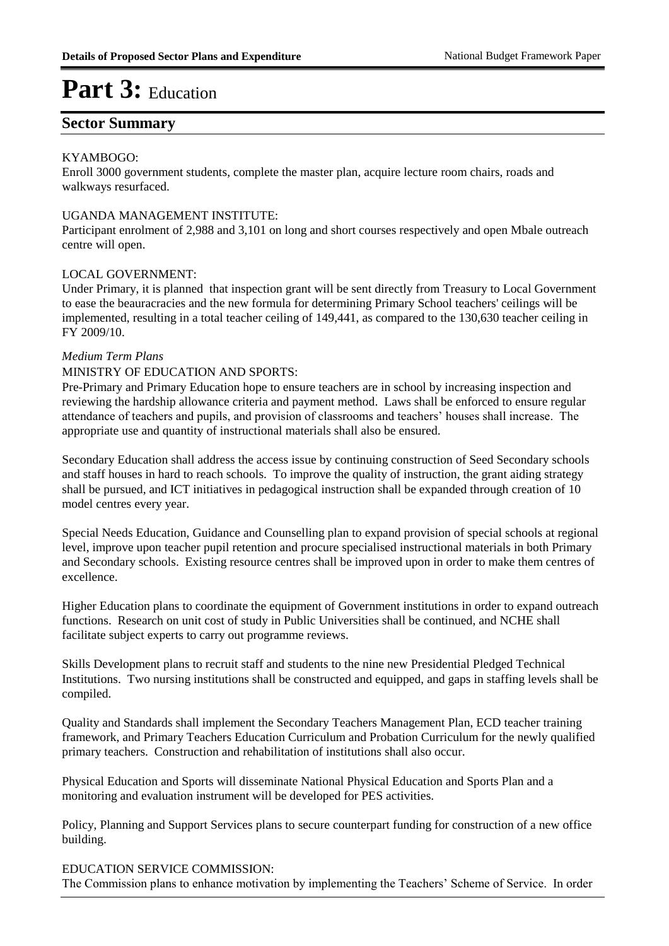### **Sector Summary**

#### KYAMBOGO:

Enroll 3000 government students, complete the master plan, acquire lecture room chairs, roads and walkways resurfaced.

#### UGANDA MANAGEMENT INSTITUTE:

Participant enrolment of 2,988 and 3,101 on long and short courses respectively and open Mbale outreach centre will open.

#### LOCAL GOVERNMENT:

Under Primary, it is planned that inspection grant will be sent directly from Treasury to Local Government to ease the beauracracies and the new formula for determining Primary School teachers' ceilings will be implemented, resulting in a total teacher ceiling of 149,441, as compared to the 130,630 teacher ceiling in FY 2009/10.

#### *Medium Term Plans*

#### MINISTRY OF EDUCATION AND SPORTS:

Pre-Primary and Primary Education hope to ensure teachers are in school by increasing inspection and reviewing the hardship allowance criteria and payment method. Laws shall be enforced to ensure regular attendance of teachers and pupils, and provision of classrooms and teachers' houses shall increase. The appropriate use and quantity of instructional materials shall also be ensured.

Secondary Education shall address the access issue by continuing construction of Seed Secondary schools and staff houses in hard to reach schools. To improve the quality of instruction, the grant aiding strategy shall be pursued, and ICT initiatives in pedagogical instruction shall be expanded through creation of 10 model centres every year.

Special Needs Education, Guidance and Counselling plan to expand provision of special schools at regional level, improve upon teacher pupil retention and procure specialised instructional materials in both Primary and Secondary schools. Existing resource centres shall be improved upon in order to make them centres of excellence.

Higher Education plans to coordinate the equipment of Government institutions in order to expand outreach functions. Research on unit cost of study in Public Universities shall be continued, and NCHE shall facilitate subject experts to carry out programme reviews.

Skills Development plans to recruit staff and students to the nine new Presidential Pledged Technical Institutions. Two nursing institutions shall be constructed and equipped, and gaps in staffing levels shall be compiled.

Quality and Standards shall implement the Secondary Teachers Management Plan, ECD teacher training framework, and Primary Teachers Education Curriculum and Probation Curriculum for the newly qualified primary teachers. Construction and rehabilitation of institutions shall also occur.

Physical Education and Sports will disseminate National Physical Education and Sports Plan and a monitoring and evaluation instrument will be developed for PES activities.

Policy, Planning and Support Services plans to secure counterpart funding for construction of a new office building.

#### EDUCATION SERVICE COMMISSION:

The Commission plans to enhance motivation by implementing the Teachers' Scheme of Service. In order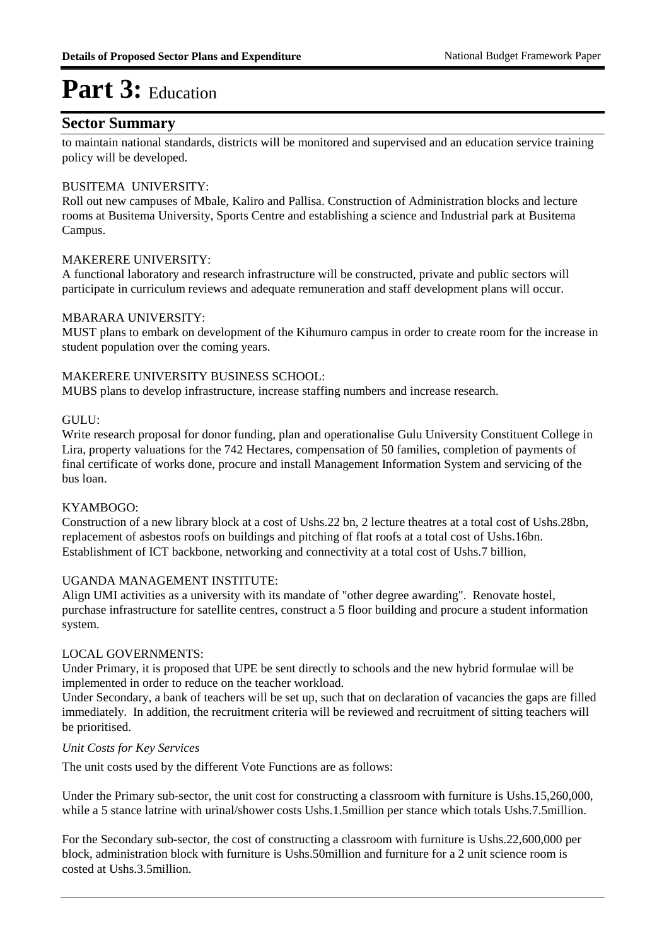### **Sector Summary**

to maintain national standards, districts will be monitored and supervised and an education service training policy will be developed.

#### BUSITEMA UNIVERSITY:

Roll out new campuses of Mbale, Kaliro and Pallisa. Construction of Administration blocks and lecture rooms at Busitema University, Sports Centre and establishing a science and Industrial park at Busitema Campus.

#### MAKERERE UNIVERSITY:

A functional laboratory and research infrastructure will be constructed, private and public sectors will participate in curriculum reviews and adequate remuneration and staff development plans will occur.

#### MBARARA UNIVERSITY:

MUST plans to embark on development of the Kihumuro campus in order to create room for the increase in student population over the coming years.

#### MAKERERE UNIVERSITY BUSINESS SCHOOL:

MUBS plans to develop infrastructure, increase staffing numbers and increase research.

#### GULU:

Write research proposal for donor funding, plan and operationalise Gulu University Constituent College in Lira, property valuations for the 742 Hectares, compensation of 50 families, completion of payments of final certificate of works done, procure and install Management Information System and servicing of the bus loan.

#### KYAMBOGO:

Construction of a new library block at a cost of Ushs.22 bn, 2 lecture theatres at a total cost of Ushs.28bn, replacement of asbestos roofs on buildings and pitching of flat roofs at a total cost of Ushs.16bn. Establishment of ICT backbone, networking and connectivity at a total cost of Ushs.7 billion,

#### UGANDA MANAGEMENT INSTITUTE:

Align UMI activities as a university with its mandate of "other degree awarding". Renovate hostel, purchase infrastructure for satellite centres, construct a 5 floor building and procure a student information system.

#### LOCAL GOVERNMENTS:

Under Primary, it is proposed that UPE be sent directly to schools and the new hybrid formulae will be implemented in order to reduce on the teacher workload.

Under Secondary, a bank of teachers will be set up, such that on declaration of vacancies the gaps are filled immediately. In addition, the recruitment criteria will be reviewed and recruitment of sitting teachers will be prioritised.

#### *Unit Costs for Key Services*

The unit costs used by the different Vote Functions are as follows:

Under the Primary sub-sector, the unit cost for constructing a classroom with furniture is Ushs.15,260,000, while a 5 stance latrine with urinal/shower costs Ushs.1.5million per stance which totals Ushs.7.5million.

For the Secondary sub-sector, the cost of constructing a classroom with furniture is Ushs.22,600,000 per block, administration block with furniture is Ushs.50million and furniture for a 2 unit science room is costed at Ushs.3.5million.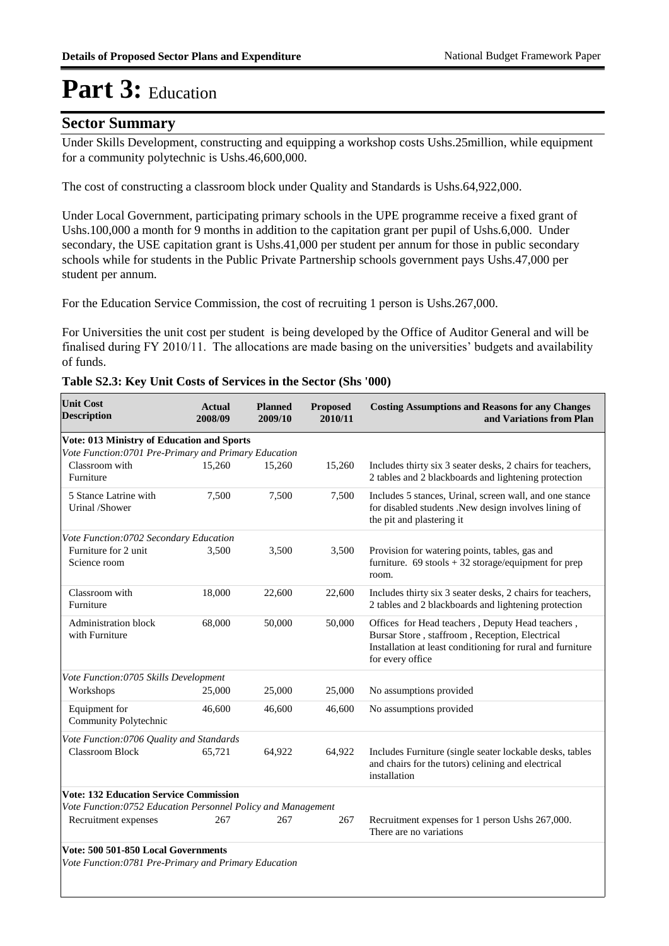### **Sector Summary**

Under Skills Development, constructing and equipping a workshop costs Ushs.25million, while equipment for a community polytechnic is Ushs.46,600,000.

The cost of constructing a classroom block under Quality and Standards is Ushs.64,922,000.

Under Local Government, participating primary schools in the UPE programme receive a fixed grant of Ushs.100,000 a month for 9 months in addition to the capitation grant per pupil of Ushs.6,000. Under secondary, the USE capitation grant is Ushs.41,000 per student per annum for those in public secondary schools while for students in the Public Private Partnership schools government pays Ushs.47,000 per student per annum.

For the Education Service Commission, the cost of recruiting 1 person is Ushs.267,000.

For Universities the unit cost per student is being developed by the Office of Auditor General and will be finalised during FY 2010/11. The allocations are made basing on the universities' budgets and availability of funds.

| <b>Unit Cost</b><br><b>Description</b>                                                       | <b>Actual</b><br>2008/09 | <b>Planned</b><br>2009/10 | Proposed<br>2010/11 | <b>Costing Assumptions and Reasons for any Changes</b><br>and Variations from Plan                                                                                                   |
|----------------------------------------------------------------------------------------------|--------------------------|---------------------------|---------------------|--------------------------------------------------------------------------------------------------------------------------------------------------------------------------------------|
| Vote: 013 Ministry of Education and Sports                                                   |                          |                           |                     |                                                                                                                                                                                      |
| Vote Function: 0701 Pre-Primary and Primary Education                                        |                          |                           |                     |                                                                                                                                                                                      |
| Classroom with<br>Furniture                                                                  | 15.260                   | 15,260                    | 15,260              | Includes thirty six 3 seater desks, 2 chairs for teachers,<br>2 tables and 2 blackboards and lightening protection                                                                   |
| 5 Stance Latrine with<br>Urinal /Shower                                                      | 7,500                    | 7,500                     | 7,500               | Includes 5 stances, Urinal, screen wall, and one stance<br>for disabled students .New design involves lining of<br>the pit and plastering it                                         |
| Vote Function:0702 Secondary Education                                                       |                          |                           |                     |                                                                                                                                                                                      |
| Furniture for 2 unit<br>Science room                                                         | 3,500                    | 3,500                     | 3,500               | Provision for watering points, tables, gas and<br>furniture. $69$ stools + 32 storage/equipment for prep<br>room.                                                                    |
| Classroom with<br>Furniture                                                                  | 18,000                   | 22,600                    | 22,600              | Includes thirty six 3 seater desks, 2 chairs for teachers,<br>2 tables and 2 blackboards and lightening protection                                                                   |
| <b>Administration block</b><br>with Furniture                                                | 68,000                   | 50,000                    | 50,000              | Offices for Head teachers, Deputy Head teachers,<br>Bursar Store, staffroom, Reception, Electrical<br>Installation at least conditioning for rural and furniture<br>for every office |
| Vote Function:0705 Skills Development                                                        |                          |                           |                     |                                                                                                                                                                                      |
| Workshops                                                                                    | 25,000                   | 25,000                    | 25,000              | No assumptions provided                                                                                                                                                              |
| Equipment for<br>Community Polytechnic                                                       | 46,600                   | 46,600                    | 46,600              | No assumptions provided                                                                                                                                                              |
| Vote Function:0706 Quality and Standards                                                     |                          |                           |                     |                                                                                                                                                                                      |
| <b>Classroom Block</b>                                                                       | 65,721                   | 64,922                    | 64,922              | Includes Furniture (single seater lockable desks, tables<br>and chairs for the tutors) celining and electrical<br>installation                                                       |
| <b>Vote: 132 Education Service Commission</b>                                                |                          |                           |                     |                                                                                                                                                                                      |
| Vote Function:0752 Education Personnel Policy and Management                                 |                          |                           |                     |                                                                                                                                                                                      |
| Recruitment expenses                                                                         | 267                      | 267                       | 267                 | Recruitment expenses for 1 person Ushs 267,000.<br>There are no variations                                                                                                           |
| Vote: 500 501-850 Local Governments<br>Vote Function: 0781 Pre-Primary and Primary Education |                          |                           |                     |                                                                                                                                                                                      |

| Table S2.3: Key Unit Costs of Services in the Sector (Shs '000) |  |  |  |  |
|-----------------------------------------------------------------|--|--|--|--|
|-----------------------------------------------------------------|--|--|--|--|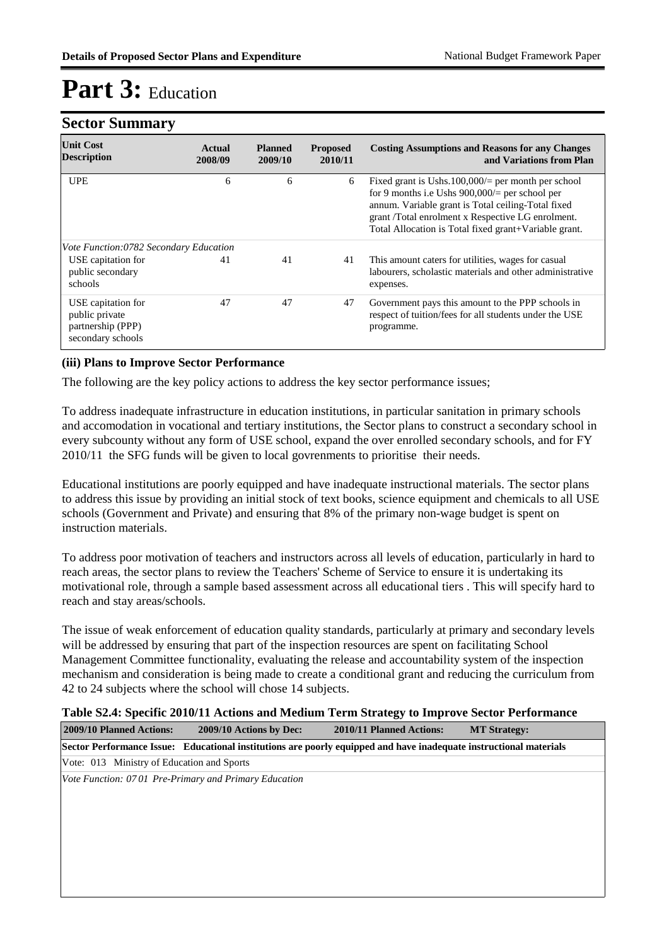### **Sector Summary**

| <b>Unit Cost</b><br><b>Description</b>                                         | Actual<br>2008/09 | <b>Planned</b><br>2009/10 | <b>Proposed</b><br>2010/11 | <b>Costing Assumptions and Reasons for any Changes</b><br>and Variations from Plan                                                                                                                                                                                            |
|--------------------------------------------------------------------------------|-------------------|---------------------------|----------------------------|-------------------------------------------------------------------------------------------------------------------------------------------------------------------------------------------------------------------------------------------------------------------------------|
| <b>UPE</b>                                                                     | 6                 | 6                         | 6                          | Fixed grant is Ushs. $100,000/$ per month per school<br>for 9 months i.e Ushs $900,000/$ = per school per<br>annum. Variable grant is Total ceiling-Total fixed<br>grant /Total enrolment x Respective LG enrolment.<br>Total Allocation is Total fixed grant+Variable grant. |
| Vote Function:0782 Secondary Education                                         |                   |                           |                            |                                                                                                                                                                                                                                                                               |
| USE capitation for<br>public secondary<br>schools                              | 41                | 41                        | 41                         | This amount caters for utilities, wages for casual<br>labourers, scholastic materials and other administrative<br>expenses.                                                                                                                                                   |
| USE capitation for<br>public private<br>partnership (PPP)<br>secondary schools | 47                | 47                        | 47                         | Government pays this amount to the PPP schools in<br>respect of tuition/fees for all students under the USE<br>programme.                                                                                                                                                     |

#### **(iii) Plans to Improve Sector Performance**

The following are the key policy actions to address the key sector performance issues;

To address inadequate infrastructure in education institutions, in particular sanitation in primary schools and accomodation in vocational and tertiary institutions, the Sector plans to construct a secondary school in every subcounty without any form of USE school, expand the over enrolled secondary schools, and for FY 2010/11 the SFG funds will be given to local govrenments to prioritise their needs.

Educational institutions are poorly equipped and have inadequate instructional materials. The sector plans to address this issue by providing an initial stock of text books, science equipment and chemicals to all USE schools (Government and Private) and ensuring that 8% of the primary non-wage budget is spent on instruction materials.

To address poor motivation of teachers and instructors across all levels of education, particularly in hard to reach areas, the sector plans to review the Teachers' Scheme of Service to ensure it is undertaking its motivational role, through a sample based assessment across all educational tiers . This will specify hard to reach and stay areas/schools.

The issue of weak enforcement of education quality standards, particularly at primary and secondary levels will be addressed by ensuring that part of the inspection resources are spent on facilitating School Management Committee functionality, evaluating the release and accountability system of the inspection mechanism and consideration is being made to create a conditional grant and reducing the curriculum from 42 to 24 subjects where the school will chose 14 subjects.

#### **Table S2.4: Specific 2010/11 Actions and Medium Term Strategy to Improve Sector Performance**

| 2009/10 Planned Actions:                   | 2009/10 Actions by Dec:                                                                                            | 2010/11 Planned Actions: | <b>MT Strategy:</b> |
|--------------------------------------------|--------------------------------------------------------------------------------------------------------------------|--------------------------|---------------------|
|                                            | Sector Performance Issue: Educational institutions are poorly equipped and have inadequate instructional materials |                          |                     |
| Vote: 013 Ministry of Education and Sports |                                                                                                                    |                          |                     |
|                                            | Vote Function: 0701 Pre-Primary and Primary Education                                                              |                          |                     |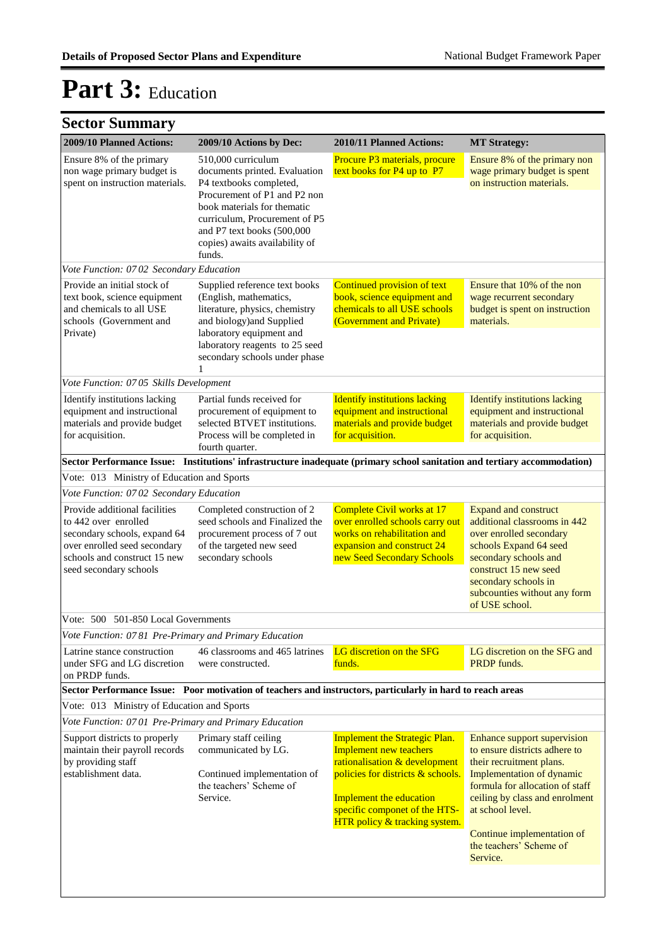| 2009/10 Planned Actions:                                                                                                                                                        | 2009/10 Actions by Dec:                                                                                                                                                                                                                                  | 2010/11 Planned Actions:                                                                                                                                                                                                                 | <b>MT Strategy:</b>                                                                                                                                                                                                                                                                 |
|---------------------------------------------------------------------------------------------------------------------------------------------------------------------------------|----------------------------------------------------------------------------------------------------------------------------------------------------------------------------------------------------------------------------------------------------------|------------------------------------------------------------------------------------------------------------------------------------------------------------------------------------------------------------------------------------------|-------------------------------------------------------------------------------------------------------------------------------------------------------------------------------------------------------------------------------------------------------------------------------------|
| Ensure 8% of the primary<br>non wage primary budget is<br>spent on instruction materials.                                                                                       | 510,000 curriculum<br>documents printed. Evaluation<br>P4 textbooks completed,<br>Procurement of P1 and P2 non<br>book materials for thematic<br>curriculum, Procurement of P5<br>and P7 text books (500,000<br>copies) awaits availability of<br>funds. | Procure P3 materials, procure<br>text books for P4 up to P7                                                                                                                                                                              | Ensure 8% of the primary non<br>wage primary budget is spent<br>on instruction materials.                                                                                                                                                                                           |
| Vote Function: 0702 Secondary Education                                                                                                                                         |                                                                                                                                                                                                                                                          |                                                                                                                                                                                                                                          |                                                                                                                                                                                                                                                                                     |
| Provide an initial stock of<br>text book, science equipment<br>and chemicals to all USE<br>schools (Government and<br>Private)                                                  | Supplied reference text books<br>(English, mathematics,<br>literature, physics, chemistry<br>and biology) and Supplied<br>laboratory equipment and<br>laboratory reagents to 25 seed<br>secondary schools under phase<br>1                               | Continued provision of text<br>book, science equipment and<br>chemicals to all USE schools<br>(Government and Private)                                                                                                                   | Ensure that 10% of the non<br>wage recurrent secondary<br>budget is spent on instruction<br>materials.                                                                                                                                                                              |
| Vote Function: 0705 Skills Development                                                                                                                                          |                                                                                                                                                                                                                                                          |                                                                                                                                                                                                                                          |                                                                                                                                                                                                                                                                                     |
| Identify institutions lacking<br>equipment and instructional<br>materials and provide budget<br>for acquisition.                                                                | Partial funds received for<br>procurement of equipment to<br>selected BTVET institutions.<br>Process will be completed in<br>fourth quarter.                                                                                                             | <b>Identify institutions lacking</b><br>equipment and instructional<br>materials and provide budget<br>for acquisition.                                                                                                                  | <b>Identify institutions lacking</b><br>equipment and instructional<br>materials and provide budget<br>for acquisition.                                                                                                                                                             |
|                                                                                                                                                                                 |                                                                                                                                                                                                                                                          | Sector Performance Issue: Institutions' infrastructure inadequate (primary school sanitation and tertiary accommodation)                                                                                                                 |                                                                                                                                                                                                                                                                                     |
| Vote: 013 Ministry of Education and Sports                                                                                                                                      |                                                                                                                                                                                                                                                          |                                                                                                                                                                                                                                          |                                                                                                                                                                                                                                                                                     |
| Vote Function: 0702 Secondary Education                                                                                                                                         |                                                                                                                                                                                                                                                          |                                                                                                                                                                                                                                          |                                                                                                                                                                                                                                                                                     |
| Provide additional facilities<br>to 442 over enrolled<br>secondary schools, expand 64<br>over enrolled seed secondary<br>schools and construct 15 new<br>seed secondary schools | Completed construction of 2<br>seed schools and Finalized the<br>procurement process of 7 out<br>of the targeted new seed<br>secondary schools                                                                                                           | Complete Civil works at 17<br>over enrolled schools carry out<br>works on rehabilitation and<br>expansion and construct 24<br>new Seed Secondary Schools                                                                                 | <b>Expand and construct</b><br>additional classrooms in 442<br>over enrolled secondary<br>schools Expand 64 seed<br>secondary schools and<br>construct 15 new seed<br>secondary schools in<br>subcounties without any form<br>of USE school.                                        |
| Vote: 500 501-850 Local Governments                                                                                                                                             |                                                                                                                                                                                                                                                          |                                                                                                                                                                                                                                          |                                                                                                                                                                                                                                                                                     |
| Vote Function: 0781 Pre-Primary and Primary Education                                                                                                                           |                                                                                                                                                                                                                                                          |                                                                                                                                                                                                                                          |                                                                                                                                                                                                                                                                                     |
| Latrine stance construction<br>under SFG and LG discretion<br>on PRDP funds.                                                                                                    | 46 classrooms and 465 latrines<br>were constructed.                                                                                                                                                                                                      | LG discretion on the SFG<br>funds.                                                                                                                                                                                                       | LG discretion on the SFG and<br>PRDP funds.                                                                                                                                                                                                                                         |
|                                                                                                                                                                                 |                                                                                                                                                                                                                                                          | Sector Performance Issue: Poor motivation of teachers and instructors, particularly in hard to reach areas                                                                                                                               |                                                                                                                                                                                                                                                                                     |
| Vote: 013 Ministry of Education and Sports                                                                                                                                      |                                                                                                                                                                                                                                                          |                                                                                                                                                                                                                                          |                                                                                                                                                                                                                                                                                     |
| Vote Function: 0701 Pre-Primary and Primary Education                                                                                                                           |                                                                                                                                                                                                                                                          |                                                                                                                                                                                                                                          |                                                                                                                                                                                                                                                                                     |
| Support districts to properly<br>maintain their payroll records<br>by providing staff<br>establishment data.                                                                    | Primary staff ceiling<br>communicated by LG.<br>Continued implementation of<br>the teachers' Scheme of<br>Service.                                                                                                                                       | <b>Implement the Strategic Plan.</b><br><b>Implement new teachers</b><br>rationalisation & development<br>policies for districts & schools.<br>Implement the education<br>specific componet of the HTS-<br>HTR policy & tracking system. | Enhance support supervision<br>to ensure districts adhere to<br>their recruitment plans.<br>Implementation of dynamic<br>formula for allocation of staff<br>ceiling by class and enrolment<br>at school level.<br>Continue implementation of<br>the teachers' Scheme of<br>Service. |
|                                                                                                                                                                                 |                                                                                                                                                                                                                                                          |                                                                                                                                                                                                                                          |                                                                                                                                                                                                                                                                                     |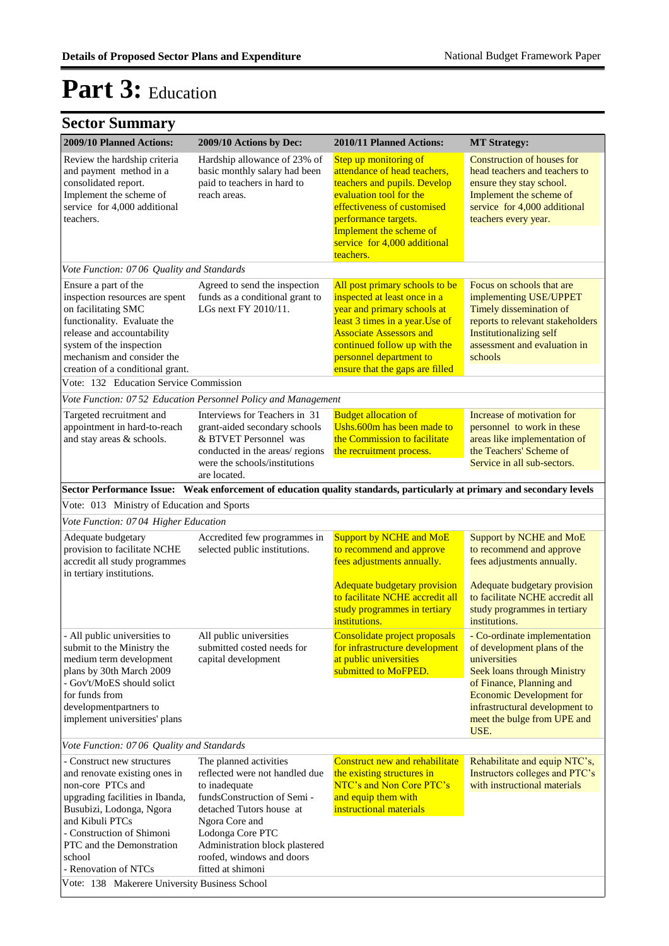| $\sim$                                                                                                                                                                                                                                                         |                                                                                                                                                                                                                                                                |                                                                                                                                                                                                                                                                  |                                                                                                                                                                                                                                                           |
|----------------------------------------------------------------------------------------------------------------------------------------------------------------------------------------------------------------------------------------------------------------|----------------------------------------------------------------------------------------------------------------------------------------------------------------------------------------------------------------------------------------------------------------|------------------------------------------------------------------------------------------------------------------------------------------------------------------------------------------------------------------------------------------------------------------|-----------------------------------------------------------------------------------------------------------------------------------------------------------------------------------------------------------------------------------------------------------|
| 2009/10 Planned Actions:                                                                                                                                                                                                                                       | 2009/10 Actions by Dec:                                                                                                                                                                                                                                        | 2010/11 Planned Actions:                                                                                                                                                                                                                                         | <b>MT Strategy:</b>                                                                                                                                                                                                                                       |
| Review the hardship criteria<br>and payment method in a<br>consolidated report.<br>Implement the scheme of<br>service for 4,000 additional<br>teachers.                                                                                                        | Hardship allowance of 23% of<br>basic monthly salary had been<br>paid to teachers in hard to<br>reach areas.                                                                                                                                                   | Step up monitoring of<br>attendance of head teachers,<br>teachers and pupils. Develop<br>evaluation tool for the<br>effectiveness of customised<br>performance targets.<br>Implement the scheme of<br>service for 4,000 additional<br>teachers.                  | Construction of houses for<br>head teachers and teachers to<br>ensure they stay school.<br>Implement the scheme of<br>service for 4,000 additional<br>teachers every year.                                                                                |
| Vote Function: 0706 Quality and Standards                                                                                                                                                                                                                      |                                                                                                                                                                                                                                                                |                                                                                                                                                                                                                                                                  |                                                                                                                                                                                                                                                           |
| Ensure a part of the<br>inspection resources are spent<br>on facilitating SMC<br>functionality. Evaluate the<br>release and accountability<br>system of the inspection<br>mechanism and consider the<br>creation of a conditional grant.                       | Agreed to send the inspection<br>funds as a conditional grant to<br>LGs next FY 2010/11.                                                                                                                                                                       | All post primary schools to be<br>inspected at least once in a<br>year and primary schools at<br>least 3 times in a year. Use of<br><b>Associate Assessors and</b><br>continued follow up with the<br>personnel department to<br>ensure that the gaps are filled | Focus on schools that are<br>implementing USE/UPPET<br>Timely dissemination of<br>reports to relevant stakeholders<br><b>Institutionalizing self</b><br>assessment and evaluation in<br>schools                                                           |
| Vote: 132 Education Service Commission                                                                                                                                                                                                                         |                                                                                                                                                                                                                                                                |                                                                                                                                                                                                                                                                  |                                                                                                                                                                                                                                                           |
|                                                                                                                                                                                                                                                                | Vote Function: 07 52 Education Personnel Policy and Management                                                                                                                                                                                                 |                                                                                                                                                                                                                                                                  |                                                                                                                                                                                                                                                           |
| Targeted recruitment and<br>appointment in hard-to-reach<br>and stay areas & schools.                                                                                                                                                                          | Interviews for Teachers in 31<br>grant-aided secondary schools<br>& BTVET Personnel was<br>conducted in the areas/ regions<br>were the schools/institutions<br>are located.                                                                                    | <b>Budget allocation of</b><br>Ushs.600m has been made to<br>the Commission to facilitate<br>the recruitment process.                                                                                                                                            | Increase of motivation for<br>personnel to work in these<br>areas like implementation of<br>the Teachers' Scheme of<br>Service in all sub-sectors.                                                                                                        |
|                                                                                                                                                                                                                                                                | Sector Performance Issue: Weak enforcement of education quality standards, particularly at primary and secondary levels                                                                                                                                        |                                                                                                                                                                                                                                                                  |                                                                                                                                                                                                                                                           |
| Vote: 013 Ministry of Education and Sports                                                                                                                                                                                                                     |                                                                                                                                                                                                                                                                |                                                                                                                                                                                                                                                                  |                                                                                                                                                                                                                                                           |
| Vote Function: 0704 Higher Education                                                                                                                                                                                                                           |                                                                                                                                                                                                                                                                |                                                                                                                                                                                                                                                                  |                                                                                                                                                                                                                                                           |
| Adequate budgetary<br>provision to facilitate NCHE<br>accredit all study programmes<br>in tertiary institutions.                                                                                                                                               | Accredited few programmes in<br>selected public institutions.                                                                                                                                                                                                  | <b>Support by NCHE and MoE</b><br>to recommend and approve<br>fees adjustments annually.<br><b>Adequate budgetary provision</b><br>to facilitate NCHE accredit all<br>study programmes in tertiary<br>institutions.                                              | Support by NCHE and MoE<br>to recommend and approve<br>fees adjustments annually.<br>Adequate budgetary provision<br>to facilitate NCHE accredit all<br>study programmes in tertiary<br>institutions.                                                     |
| - All public universities to<br>submit to the Ministry the<br>medium term development<br>plans by 30th March 2009<br>- Gov't/MoES should solict<br>for funds from<br>developmentpartners to<br>implement universities' plans                                   | All public universities<br>submitted costed needs for<br>capital development                                                                                                                                                                                   | Consolidate project proposals<br>for infrastructure development<br>at public universities<br>submitted to MoFPED.                                                                                                                                                | - Co-ordinate implementation<br>of development plans of the<br>universities<br><b>Seek loans through Ministry</b><br>of Finance, Planning and<br><b>Economic Development for</b><br>infrastructural development to<br>meet the bulge from UPE and<br>USE. |
| Vote Function: 0706 Quality and Standards                                                                                                                                                                                                                      |                                                                                                                                                                                                                                                                |                                                                                                                                                                                                                                                                  |                                                                                                                                                                                                                                                           |
| - Construct new structures<br>and renovate existing ones in<br>non-core PTCs and<br>upgrading facilities in Ibanda,<br>Busubizi, Lodonga, Ngora<br>and Kibuli PTCs<br>- Construction of Shimoni<br>PTC and the Demonstration<br>school<br>- Renovation of NTCs | The planned activities<br>reflected were not handled due<br>to inadequate<br>fundsConstruction of Semi -<br>detached Tutors house at<br>Ngora Core and<br>Lodonga Core PTC<br>Administration block plastered<br>roofed, windows and doors<br>fitted at shimoni | Construct new and rehabilitate<br>the existing structures in<br>NTC's and Non Core PTC's<br>and equip them with<br>instructional materials                                                                                                                       | Rehabilitate and equip NTC's,<br>Instructors colleges and PTC's<br>with instructional materials                                                                                                                                                           |
| Vote: 138 Makerere University Business School                                                                                                                                                                                                                  |                                                                                                                                                                                                                                                                |                                                                                                                                                                                                                                                                  |                                                                                                                                                                                                                                                           |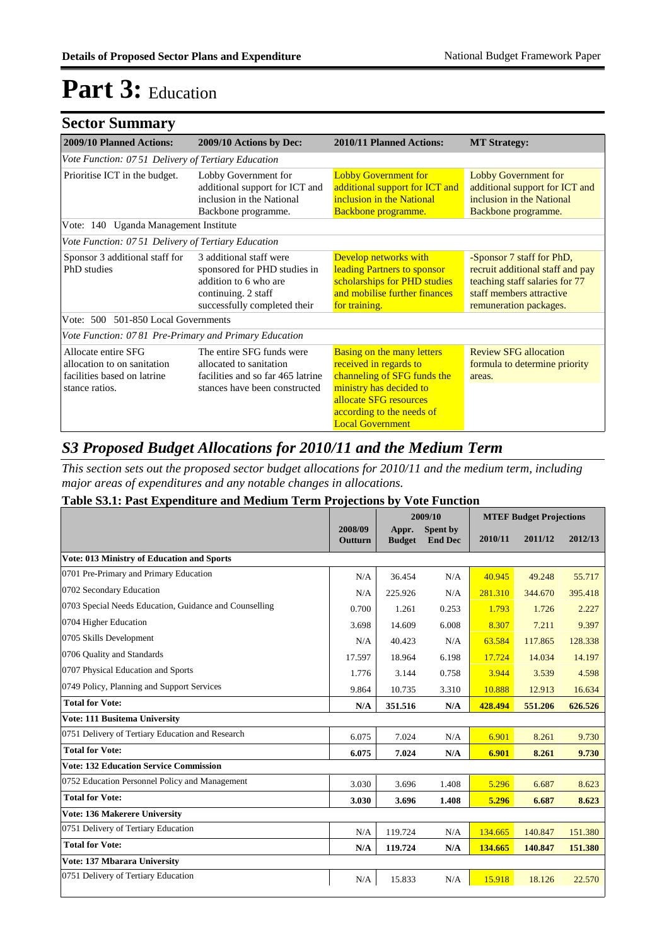| <b>Sector Summary</b>                                                                               |                                                                                                                                         |                                                                                                                                                                                                         |                                                                                                                                                       |
|-----------------------------------------------------------------------------------------------------|-----------------------------------------------------------------------------------------------------------------------------------------|---------------------------------------------------------------------------------------------------------------------------------------------------------------------------------------------------------|-------------------------------------------------------------------------------------------------------------------------------------------------------|
| 2009/10 Planned Actions:                                                                            | 2009/10 Actions by Dec:                                                                                                                 | 2010/11 Planned Actions:                                                                                                                                                                                | <b>MT Strategy:</b>                                                                                                                                   |
| Vote Function: 0751 Delivery of Tertiary Education                                                  |                                                                                                                                         |                                                                                                                                                                                                         |                                                                                                                                                       |
| Prioritise ICT in the budget.                                                                       | Lobby Government for<br>additional support for ICT and<br>inclusion in the National<br>Backbone programme.                              | <b>Lobby Government for</b><br>additional support for ICT and<br>inclusion in the National<br>Backbone programme.                                                                                       | <b>Lobby Government for</b><br>additional support for ICT and<br>inclusion in the National<br>Backbone programme.                                     |
| Vote: 140 Uganda Management Institute                                                               |                                                                                                                                         |                                                                                                                                                                                                         |                                                                                                                                                       |
| Vote Function: 0751 Delivery of Tertiary Education                                                  |                                                                                                                                         |                                                                                                                                                                                                         |                                                                                                                                                       |
| Sponsor 3 additional staff for<br>PhD studies                                                       | 3 additional staff were<br>sponsored for PHD studies in<br>addition to 6 who are<br>continuing. 2 staff<br>successfully completed their | Develop networks with<br>leading Partners to sponsor<br>scholarships for PHD studies<br>and mobilise further finances<br>for training.                                                                  | -Sponsor 7 staff for PhD,<br>recruit additional staff and pay<br>teaching staff salaries for 77<br>staff members attractive<br>remuneration packages. |
| Vote: 500 501-850 Local Governments                                                                 |                                                                                                                                         |                                                                                                                                                                                                         |                                                                                                                                                       |
| Vote Function: 0781 Pre-Primary and Primary Education                                               |                                                                                                                                         |                                                                                                                                                                                                         |                                                                                                                                                       |
| Allocate entire SFG<br>allocation to on sanitation<br>facilities based on latrine<br>stance ratios. | The entire SFG funds were<br>allocated to sanitation<br>facilities and so far 465 latrine<br>stances have been constructed              | <b>Basing on the many letters</b><br>received in regards to<br>channeling of SFG funds the<br>ministry has decided to<br>allocate SFG resources<br>according to the needs of<br><b>Local Government</b> | <b>Review SFG allocation</b><br>formula to determine priority<br>areas.                                                                               |

### *S3 Proposed Budget Allocations for 2010/11 and the Medium Term*

*This section sets out the proposed sector budget allocations for 2010/11 and the medium term, including major areas of expenditures and any notable changes in allocations.* 

#### **Table S3.1: Past Expenditure and Medium Term Projections by Vote Function**

|                                                        |                           |                        | 2009/10                           |         | <b>MTEF Budget Projections</b> |         |
|--------------------------------------------------------|---------------------------|------------------------|-----------------------------------|---------|--------------------------------|---------|
|                                                        | 2008/09<br><b>Outturn</b> | Appr.<br><b>Budget</b> | <b>Spent by</b><br><b>End Dec</b> | 2010/11 | 2011/12                        | 2012/13 |
| <b>Vote: 013 Ministry of Education and Sports</b>      |                           |                        |                                   |         |                                |         |
| 0701 Pre-Primary and Primary Education                 | N/A                       | 36.454                 | N/A                               | 40.945  | 49.248                         | 55.717  |
| 0702 Secondary Education                               | N/A                       | 225.926                | N/A                               | 281.310 | 344.670                        | 395.418 |
| 0703 Special Needs Education, Guidance and Counselling | 0.700                     | 1.261                  | 0.253                             | 1.793   | 1.726                          | 2.227   |
| 0704 Higher Education                                  | 3.698                     | 14.609                 | 6.008                             | 8.307   | 7.211                          | 9.397   |
| 0705 Skills Development                                | N/A                       | 40.423                 | N/A                               | 63.584  | 117.865                        | 128.338 |
| 0706 Ouality and Standards                             | 17.597                    | 18.964                 | 6.198                             | 17.724  | 14.034                         | 14.197  |
| 0707 Physical Education and Sports                     | 1.776                     | 3.144                  | 0.758                             | 3.944   | 3.539                          | 4.598   |
| 0749 Policy, Planning and Support Services             | 9.864                     | 10.735                 | 3.310                             | 10.888  | 12.913                         | 16.634  |
| <b>Total for Vote:</b>                                 | N/A                       | 351.516                | N/A                               | 428.494 | 551.206                        | 626.526 |
| Vote: 111 Busitema University                          |                           |                        |                                   |         |                                |         |
| 0751 Delivery of Tertiary Education and Research       | 6.075                     | 7.024                  | N/A                               | 6.901   | 8.261                          | 9.730   |
| <b>Total for Vote:</b>                                 | 6.075                     | 7.024                  | N/A                               | 6.901   | 8.261                          | 9.730   |
| <b>Vote: 132 Education Service Commission</b>          |                           |                        |                                   |         |                                |         |
| 0752 Education Personnel Policy and Management         | 3.030                     | 3.696                  | 1.408                             | 5.296   | 6.687                          | 8.623   |
| <b>Total for Vote:</b>                                 | 3.030                     | 3.696                  | 1.408                             | 5.296   | 6.687                          | 8.623   |
| Vote: 136 Makerere University                          |                           |                        |                                   |         |                                |         |
| 0751 Delivery of Tertiary Education                    | N/A                       | 119.724                | N/A                               | 134.665 | 140.847                        | 151.380 |
| <b>Total for Vote:</b>                                 | N/A                       | 119.724                | N/A                               | 134.665 | 140.847                        | 151.380 |
| Vote: 137 Mbarara University                           |                           |                        |                                   |         |                                |         |
| 0751 Delivery of Tertiary Education                    | N/A                       | 15.833                 | N/A                               | 15.918  | 18.126                         | 22.570  |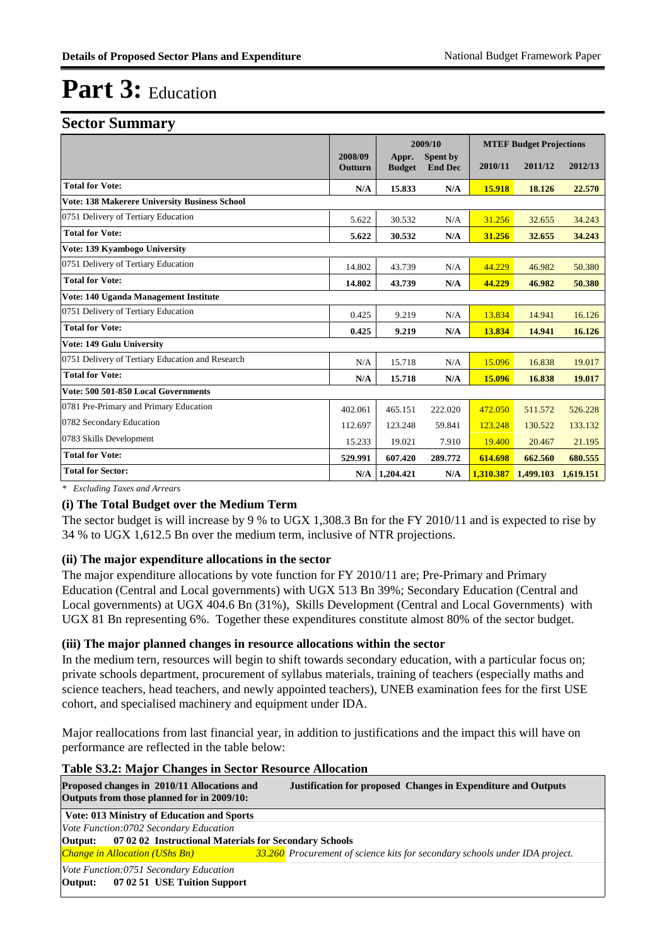#### **Sector Summary**

| ັ                                                    |                    | 2009/10                |                            |           | <b>MTEF Budget Projections</b> |           |  |
|------------------------------------------------------|--------------------|------------------------|----------------------------|-----------|--------------------------------|-----------|--|
|                                                      | 2008/09<br>Outturn | Appr.<br><b>Budget</b> | Spent by<br><b>End Dec</b> | 2010/11   | 2011/12                        | 2012/13   |  |
| <b>Total for Vote:</b>                               | N/A                | 15.833                 | N/A                        | 15.918    | 18.126                         | 22.570    |  |
| <b>Vote: 138 Makerere University Business School</b> |                    |                        |                            |           |                                |           |  |
| 0751 Delivery of Tertiary Education                  | 5.622              | 30.532                 | N/A                        | 31.256    | 32.655                         | 34.243    |  |
| <b>Total for Vote:</b>                               | 5.622              | 30.532                 | N/A                        | 31.256    | 32.655                         | 34.243    |  |
| Vote: 139 Kyambogo University                        |                    |                        |                            |           |                                |           |  |
| 0751 Delivery of Tertiary Education                  | 14.802             | 43.739                 | N/A                        | 44.229    | 46.982                         | 50.380    |  |
| <b>Total for Vote:</b>                               | 14.802             | 43.739                 | N/A                        | 44.229    | 46.982                         | 50.380    |  |
| Vote: 140 Uganda Management Institute                |                    |                        |                            |           |                                |           |  |
| 0751 Delivery of Tertiary Education                  | 0.425              | 9.219                  | N/A                        | 13.834    | 14.941                         | 16.126    |  |
| <b>Total for Vote:</b>                               | 0.425              | 9.219                  | N/A                        | 13.834    | 14.941                         | 16.126    |  |
| Vote: 149 Gulu University                            |                    |                        |                            |           |                                |           |  |
| 0751 Delivery of Tertiary Education and Research     | N/A                | 15.718                 | N/A                        | 15.096    | 16.838                         | 19.017    |  |
| <b>Total for Vote:</b>                               | N/A                | 15.718                 | N/A                        | 15.096    | 16.838                         | 19.017    |  |
| Vote: 500 501-850 Local Governments                  |                    |                        |                            |           |                                |           |  |
| 0781 Pre-Primary and Primary Education               | 402.061            | 465.151                | 222.020                    | 472.050   | 511.572                        | 526.228   |  |
| 0782 Secondary Education                             | 112.697            | 123.248                | 59.841                     | 123.248   | 130.522                        | 133.132   |  |
| 0783 Skills Development                              | 15.233             | 19.021                 | 7.910                      | 19.400    | 20.467                         | 21.195    |  |
| <b>Total for Vote:</b>                               | 529.991            | 607.420                | 289.772                    | 614.698   | 662.560                        | 680.555   |  |
| <b>Total for Sector:</b>                             |                    | N/A   1,204.421        | N/A                        | 1,310.387 | 1.499.103                      | 1,619.151 |  |

*\* Excluding Taxes and Arrears*

#### **(i) The Total Budget over the Medium Term**

The sector budget is will increase by 9 % to UGX 1,308.3 Bn for the FY 2010/11 and is expected to rise by 34 % to UGX 1,612.5 Bn over the medium term, inclusive of NTR projections.

#### **(ii) The major expenditure allocations in the sector**

The major expenditure allocations by vote function for FY 2010/11 are; Pre-Primary and Primary Education (Central and Local governments) with UGX 513 Bn 39%; Secondary Education (Central and Local governments) at UGX 404.6 Bn (31%), Skills Development (Central and Local Governments) with UGX 81 Bn representing 6%. Together these expenditures constitute almost 80% of the sector budget.

#### **(iii) The major planned changes in resource allocations within the sector**

In the medium tern, resources will begin to shift towards secondary education, with a particular focus on; private schools department, procurement of syllabus materials, training of teachers (especially maths and science teachers, head teachers, and newly appointed teachers), UNEB examination fees for the first USE cohort, and specialised machinery and equipment under IDA.

Major reallocations from last financial year, in addition to justifications and the impact this will have on performance are reflected in the table below:

#### **Table S3.2: Major Changes in Sector Resource Allocation**

| Proposed changes in 2010/11 Allocations and<br>Outputs from those planned for in 2009/10: | <b>Justification for proposed Changes in Expenditure and Outputs</b>        |
|-------------------------------------------------------------------------------------------|-----------------------------------------------------------------------------|
| Vote: 013 Ministry of Education and Sports                                                |                                                                             |
| Vote Function:0702 Secondary Education                                                    |                                                                             |
| <b>Output:</b> 07 02 02 Instructional Materials for Secondary Schools                     |                                                                             |
| <b>Change in Allocation (UShs Bn)</b>                                                     | 33.260 Procurement of science kits for secondary schools under IDA project. |
| Vote Function:0751 Secondary Education<br>07 02 51 USE Tuition Support<br>Output:         |                                                                             |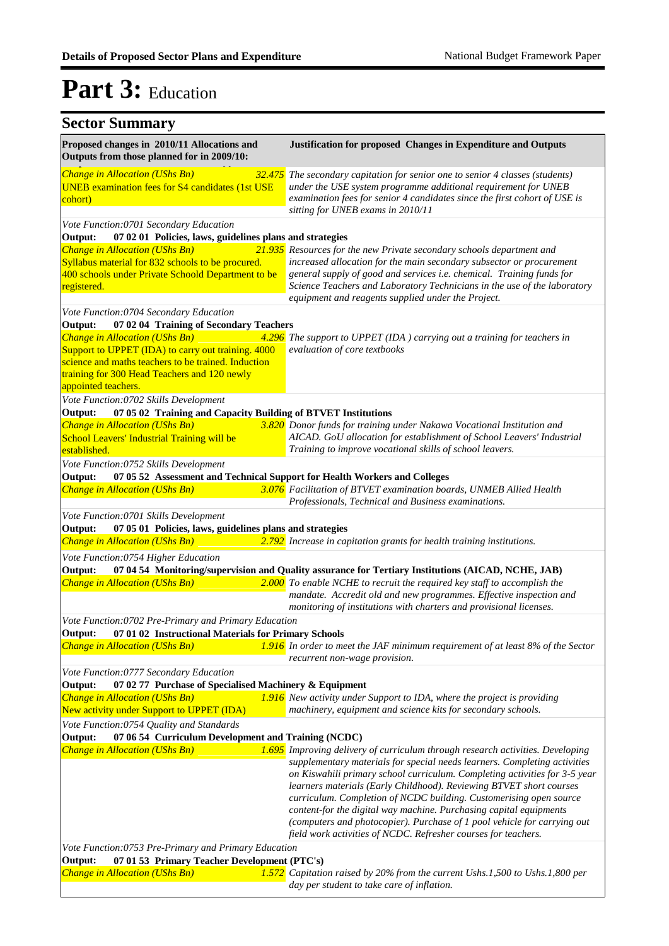|  | <b>Sector Summary</b> |
|--|-----------------------|
|--|-----------------------|

| $\sim$                                                                                                                                                                           |                                                                                                                                                                                                                                                                                                                                                                                                                                                                                                                          |
|----------------------------------------------------------------------------------------------------------------------------------------------------------------------------------|--------------------------------------------------------------------------------------------------------------------------------------------------------------------------------------------------------------------------------------------------------------------------------------------------------------------------------------------------------------------------------------------------------------------------------------------------------------------------------------------------------------------------|
| Proposed changes in 2010/11 Allocations and<br>Outputs from those planned for in 2009/10:                                                                                        | Justification for proposed Changes in Expenditure and Outputs                                                                                                                                                                                                                                                                                                                                                                                                                                                            |
| Change in Allocation (UShs Bn)<br><b>UNEB</b> examination fees for S4 candidates (1st USE<br>cohort)                                                                             | 32.475 The secondary capitation for senior one to senior 4 classes (students)<br>under the USE system programme additional requirement for UNEB<br>examination fees for senior 4 candidates since the first cohort of USE is<br>sitting for UNEB exams in 2010/11                                                                                                                                                                                                                                                        |
| Vote Function:0701 Secondary Education                                                                                                                                           |                                                                                                                                                                                                                                                                                                                                                                                                                                                                                                                          |
| Output:<br>07 02 01 Policies, laws, guidelines plans and strategies                                                                                                              |                                                                                                                                                                                                                                                                                                                                                                                                                                                                                                                          |
| Change in Allocation (UShs Bn)                                                                                                                                                   | 21.935 Resources for the new Private secondary schools department and                                                                                                                                                                                                                                                                                                                                                                                                                                                    |
| Syllabus material for 832 schools to be procured.<br>400 schools under Private Schoold Department to be<br>registered.                                                           | increased allocation for the main secondary subsector or procurement<br>general supply of good and services i.e. chemical. Training funds for<br>Science Teachers and Laboratory Technicians in the use of the laboratory                                                                                                                                                                                                                                                                                                |
|                                                                                                                                                                                  | equipment and reagents supplied under the Project.                                                                                                                                                                                                                                                                                                                                                                                                                                                                       |
| Vote Function:0704 Secondary Education                                                                                                                                           |                                                                                                                                                                                                                                                                                                                                                                                                                                                                                                                          |
| 07 02 04 Training of Secondary Teachers<br>Output:                                                                                                                               |                                                                                                                                                                                                                                                                                                                                                                                                                                                                                                                          |
| Change in Allocation (UShs Bn)<br>4.296                                                                                                                                          | The support to UPPET (IDA) carrying out a training for teachers in                                                                                                                                                                                                                                                                                                                                                                                                                                                       |
| Support to UPPET (IDA) to carry out training. 4000<br>science and maths teachers to be trained. Induction<br>training for 300 Head Teachers and 120 newly<br>appointed teachers. | evaluation of core textbooks                                                                                                                                                                                                                                                                                                                                                                                                                                                                                             |
| Vote Function:0702 Skills Development                                                                                                                                            |                                                                                                                                                                                                                                                                                                                                                                                                                                                                                                                          |
| 07 05 02 Training and Capacity Building of BTVET Institutions<br>Output:                                                                                                         |                                                                                                                                                                                                                                                                                                                                                                                                                                                                                                                          |
| Change in Allocation (UShs Bn)                                                                                                                                                   | 3.820 Donor funds for training under Nakawa Vocational Institution and                                                                                                                                                                                                                                                                                                                                                                                                                                                   |
| School Leavers' Industrial Training will be<br>established.                                                                                                                      | AICAD. GoU allocation for establishment of School Leavers' Industrial<br>Training to improve vocational skills of school leavers.                                                                                                                                                                                                                                                                                                                                                                                        |
| Vote Function:0752 Skills Development                                                                                                                                            |                                                                                                                                                                                                                                                                                                                                                                                                                                                                                                                          |
| Output:<br>07 05 52 Assessment and Technical Support for Health Workers and Colleges                                                                                             |                                                                                                                                                                                                                                                                                                                                                                                                                                                                                                                          |
| Change in Allocation (UShs Bn)                                                                                                                                                   | 3.076 Facilitation of BTVET examination boards, UNMEB Allied Health<br>Professionals, Technical and Business examinations.                                                                                                                                                                                                                                                                                                                                                                                               |
| Vote Function:0701 Skills Development                                                                                                                                            |                                                                                                                                                                                                                                                                                                                                                                                                                                                                                                                          |
| 07 05 01 Policies, laws, guidelines plans and strategies<br>Output:                                                                                                              |                                                                                                                                                                                                                                                                                                                                                                                                                                                                                                                          |
| Change in Allocation (UShs Bn)                                                                                                                                                   | 2.792 Increase in capitation grants for health training institutions.                                                                                                                                                                                                                                                                                                                                                                                                                                                    |
| Vote Function:0754 Higher Education<br>Output:                                                                                                                                   | 07 04 54 Monitoring/supervision and Quality assurance for Tertiary Institutions (AICAD, NCHE, JAB)                                                                                                                                                                                                                                                                                                                                                                                                                       |
| Change in Allocation (UShs Bn)                                                                                                                                                   | $2.000$ To enable NCHE to recruit the required key staff to accomplish the<br>mandate. Accredit old and new programmes. Effective inspection and<br>monitoring of institutions with charters and provisional licenses.                                                                                                                                                                                                                                                                                                   |
| Vote Function:0702 Pre-Primary and Primary Education                                                                                                                             |                                                                                                                                                                                                                                                                                                                                                                                                                                                                                                                          |
| 07 01 02 Instructional Materials for Primary Schools<br>Output:                                                                                                                  |                                                                                                                                                                                                                                                                                                                                                                                                                                                                                                                          |
| <b>Change in Allocation (UShs Bn)</b>                                                                                                                                            | 1.916 In order to meet the JAF minimum requirement of at least $8\%$ of the Sector<br>recurrent non-wage provision.                                                                                                                                                                                                                                                                                                                                                                                                      |
| Vote Function:0777 Secondary Education                                                                                                                                           |                                                                                                                                                                                                                                                                                                                                                                                                                                                                                                                          |
| Output:<br>07 02 77 Purchase of Specialised Machinery & Equipment                                                                                                                |                                                                                                                                                                                                                                                                                                                                                                                                                                                                                                                          |
| Change in Allocation (UShs Bn)                                                                                                                                                   | 1.916 New activity under Support to IDA, where the project is providing                                                                                                                                                                                                                                                                                                                                                                                                                                                  |
| New activity under Support to UPPET (IDA)                                                                                                                                        | machinery, equipment and science kits for secondary schools.                                                                                                                                                                                                                                                                                                                                                                                                                                                             |
| Vote Function:0754 Quality and Standards                                                                                                                                         |                                                                                                                                                                                                                                                                                                                                                                                                                                                                                                                          |
| 07 06 54 Curriculum Development and Training (NCDC)<br>Output:                                                                                                                   |                                                                                                                                                                                                                                                                                                                                                                                                                                                                                                                          |
| Change in Allocation (UShs Bn)                                                                                                                                                   | 1.695 Improving delivery of curriculum through research activities. Developing                                                                                                                                                                                                                                                                                                                                                                                                                                           |
|                                                                                                                                                                                  | supplementary materials for special needs learners. Completing activities<br>on Kiswahili primary school curriculum. Completing activities for 3-5 year<br>learners materials (Early Childhood). Reviewing BTVET short courses<br>curriculum. Completion of NCDC building. Customerising open source<br>content-for the digital way machine. Purchasing capital equipments<br>(computers and photocopier). Purchase of 1 pool vehicle for carrying out<br>field work activities of NCDC. Refresher courses for teachers. |
| Vote Function:0753 Pre-Primary and Primary Education                                                                                                                             |                                                                                                                                                                                                                                                                                                                                                                                                                                                                                                                          |
| 07 01 53 Primary Teacher Development (PTC's)<br>Output:                                                                                                                          |                                                                                                                                                                                                                                                                                                                                                                                                                                                                                                                          |
| <b>Change in Allocation (UShs Bn)</b>                                                                                                                                            | 1.572 Capitation raised by 20% from the current Ushs.1,500 to Ushs.1,800 per<br>day per student to take care of inflation.                                                                                                                                                                                                                                                                                                                                                                                               |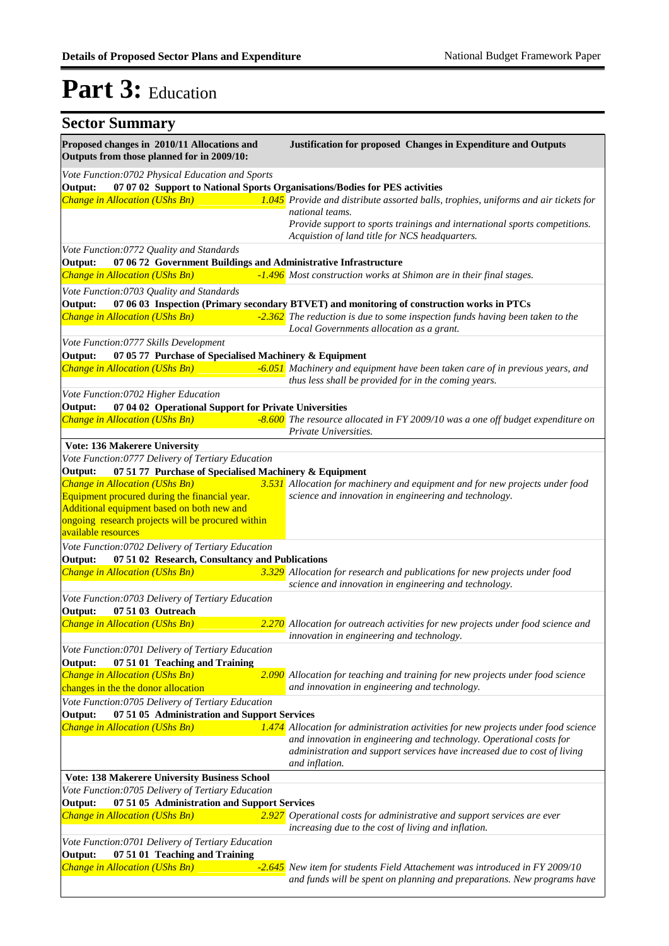| <b>Sector Summary</b>                                                                     |                                                                                                                                                                             |
|-------------------------------------------------------------------------------------------|-----------------------------------------------------------------------------------------------------------------------------------------------------------------------------|
| Proposed changes in 2010/11 Allocations and<br>Outputs from those planned for in 2009/10: | <b>Justification for proposed Changes in Expenditure and Outputs</b>                                                                                                        |
| Vote Function:0702 Physical Education and Sports                                          |                                                                                                                                                                             |
| Output:                                                                                   | 07 07 02 Support to National Sports Organisations/Bodies for PES activities                                                                                                 |
| Change in Allocation (UShs Bn)                                                            | 1.045 Provide and distribute assorted balls, trophies, uniforms and air tickets for                                                                                         |
|                                                                                           | national teams.<br>Provide support to sports trainings and international sports competitions.<br>Acquistion of land title for NCS headquarters.                             |
| Vote Function:0772 Quality and Standards                                                  |                                                                                                                                                                             |
| 07 06 72 Government Buildings and Administrative Infrastructure<br>Output:                |                                                                                                                                                                             |
| Change in Allocation (UShs Bn)                                                            | -1.496 Most construction works at Shimon are in their final stages.                                                                                                         |
|                                                                                           |                                                                                                                                                                             |
| Vote Function:0703 Quality and Standards<br>Output:                                       |                                                                                                                                                                             |
| Change in Allocation (UShs Bn)                                                            | 07 06 03 Inspection (Primary secondary BTVET) and monitoring of construction works in PTCs<br>-2.362 The reduction is due to some inspection funds having been taken to the |
|                                                                                           | Local Governments allocation as a grant.                                                                                                                                    |
| Vote Function:0777 Skills Development                                                     |                                                                                                                                                                             |
| Output:<br>07 05 77 Purchase of Specialised Machinery & Equipment                         |                                                                                                                                                                             |
| Change in Allocation (UShs Bn)                                                            | -6.051 Machinery and equipment have been taken care of in previous years, and                                                                                               |
|                                                                                           | thus less shall be provided for in the coming years.                                                                                                                        |
| Vote Function:0702 Higher Education                                                       |                                                                                                                                                                             |
| 07 04 02 Operational Support for Private Universities<br>Output:                          |                                                                                                                                                                             |
| Change in Allocation (UShs Bn)                                                            | -8.600 The resource allocated in FY 2009/10 was a one off budget expenditure on                                                                                             |
|                                                                                           | Private Universities.                                                                                                                                                       |
| Vote: 136 Makerere University                                                             |                                                                                                                                                                             |
| Vote Function:0777 Delivery of Tertiary Education                                         |                                                                                                                                                                             |
| 07 51 77 Purchase of Specialised Machinery & Equipment<br>Output:                         |                                                                                                                                                                             |
| Change in Allocation (UShs Bn)                                                            | 3.531 Allocation for machinery and equipment and for new projects under food                                                                                                |
| Equipment procured during the financial year.                                             | science and innovation in engineering and technology.                                                                                                                       |
| Additional equipment based on both new and                                                |                                                                                                                                                                             |
| ongoing research projects will be procured within<br>available resources                  |                                                                                                                                                                             |
| Vote Function:0702 Delivery of Tertiary Education                                         |                                                                                                                                                                             |
| 07 51 02 Research, Consultancy and Publications<br>Output:                                |                                                                                                                                                                             |
| Change in Allocation (UShs Bn)                                                            | 3.329 Allocation for research and publications for new projects under food                                                                                                  |
|                                                                                           | science and innovation in engineering and technology.                                                                                                                       |
| Vote Function:0703 Delivery of Tertiary Education                                         |                                                                                                                                                                             |
| Output:<br>07 51 03 Outreach                                                              |                                                                                                                                                                             |
| Change in Allocation (UShs Bn)                                                            | 2.270 Allocation for outreach activities for new projects under food science and                                                                                            |
|                                                                                           | innovation in engineering and technology.                                                                                                                                   |
| Vote Function:0701 Delivery of Tertiary Education                                         |                                                                                                                                                                             |
| 07 51 01 Teaching and Training<br>Output:                                                 |                                                                                                                                                                             |
| Change in Allocation (UShs Bn)                                                            | 2.090 Allocation for teaching and training for new projects under food science                                                                                              |
| changes in the the donor allocation                                                       | and innovation in engineering and technology.                                                                                                                               |
| Vote Function:0705 Delivery of Tertiary Education                                         |                                                                                                                                                                             |
| 07 51 05 Administration and Support Services<br>Output:                                   |                                                                                                                                                                             |
| <b>Change in Allocation (UShs Bn)</b>                                                     | 1.474 Allocation for administration activities for new projects under food science                                                                                          |
|                                                                                           | and innovation in engineering and technology. Operational costs for<br>administration and support services have increased due to cost of living<br>and inflation.           |
| Vote: 138 Makerere University Business School                                             |                                                                                                                                                                             |
| Vote Function:0705 Delivery of Tertiary Education                                         |                                                                                                                                                                             |
| 07 51 05 Administration and Support Services<br>Output:                                   |                                                                                                                                                                             |
| Change in Allocation (UShs Bn)                                                            | 2.927 Operational costs for administrative and support services are ever                                                                                                    |
|                                                                                           | increasing due to the cost of living and inflation.                                                                                                                         |
| Vote Function:0701 Delivery of Tertiary Education                                         |                                                                                                                                                                             |
| 07 51 01 Teaching and Training<br>Output:                                                 |                                                                                                                                                                             |
| Change in Allocation (UShs Bn)                                                            | -2.645 New item for students Field Attachement was introduced in FY 2009/10                                                                                                 |
|                                                                                           | and funds will be spent on planning and preparations. New programs have                                                                                                     |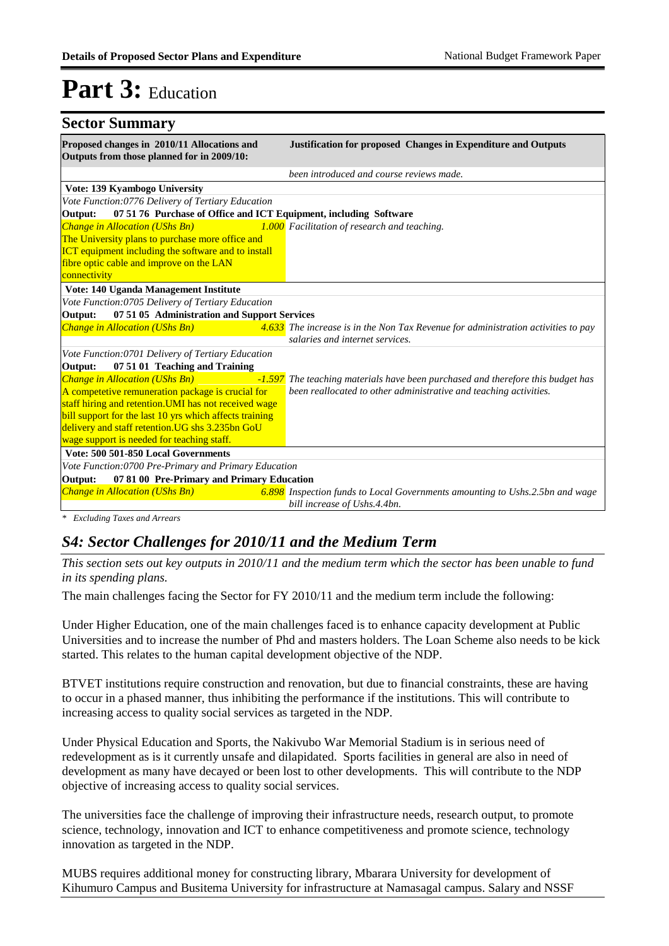| <b>Sector Summary</b>                                                                                                  |                                                                                                                      |
|------------------------------------------------------------------------------------------------------------------------|----------------------------------------------------------------------------------------------------------------------|
| Proposed changes in 2010/11 Allocations and<br>Outputs from those planned for in 2009/10:                              | <b>Justification for proposed Changes in Expenditure and Outputs</b>                                                 |
|                                                                                                                        | been introduced and course reviews made.                                                                             |
| Vote: 139 Kyambogo University                                                                                          |                                                                                                                      |
| Vote Function:0776 Delivery of Tertiary Education                                                                      |                                                                                                                      |
| 07 51 76 Purchase of Office and ICT Equipment, including Software<br>Output:                                           |                                                                                                                      |
| Change in Allocation (UShs Bn)<br>The University plans to purchase more office and                                     | 1.000 Facilitation of research and teaching.                                                                         |
| <b>ICT</b> equipment including the software and to install<br>fibre optic cable and improve on the LAN<br>connectivity |                                                                                                                      |
| Vote: 140 Uganda Management Institute                                                                                  |                                                                                                                      |
| Vote Function:0705 Delivery of Tertiary Education                                                                      |                                                                                                                      |
| 07 51 05 Administration and Support Services<br>Output:                                                                |                                                                                                                      |
| Change in Allocation (UShs Bn)                                                                                         | 4.633 The increase is in the Non Tax Revenue for administration activities to pay<br>salaries and internet services. |
| Vote Function:0701 Delivery of Tertiary Education<br>07 51 01 Teaching and Training<br>Output:                         |                                                                                                                      |
| Change in Allocation (UShs Bn)                                                                                         | -1.597 The teaching materials have been purchased and therefore this budget has                                      |
| A competetive remuneration package is crucial for                                                                      | been reallocated to other administrative and teaching activities.                                                    |
| staff hiring and retention. UMI has not received wage                                                                  |                                                                                                                      |
| bill support for the last 10 yrs which affects training                                                                |                                                                                                                      |
| delivery and staff retention. UG shs 3.235bn GoU                                                                       |                                                                                                                      |
| wage support is needed for teaching staff.                                                                             |                                                                                                                      |
| Vote: 500 501-850 Local Governments                                                                                    |                                                                                                                      |
| Vote Function: 0700 Pre-Primary and Primary Education                                                                  |                                                                                                                      |
| 07 81 00 Pre-Primary and Primary Education<br>Output:                                                                  |                                                                                                                      |
| <b>Change in Allocation (UShs Bn)</b>                                                                                  | 6.898 Inspection funds to Local Governments amounting to Ushs.2.5bn and wage<br>bill increase of Ushs.4.4bn.         |

*\* Excluding Taxes and Arrears*

### *S4: Sector Challenges for 2010/11 and the Medium Term*

*This section sets out key outputs in 2010/11 and the medium term which the sector has been unable to fund in its spending plans.*

The main challenges facing the Sector for FY 2010/11 and the medium term include the following:

Under Higher Education, one of the main challenges faced is to enhance capacity development at Public Universities and to increase the number of Phd and masters holders. The Loan Scheme also needs to be kick started. This relates to the human capital development objective of the NDP.

BTVET institutions require construction and renovation, but due to financial constraints, these are having to occur in a phased manner, thus inhibiting the performance if the institutions. This will contribute to increasing access to quality social services as targeted in the NDP.

Under Physical Education and Sports, the Nakivubo War Memorial Stadium is in serious need of redevelopment as is it currently unsafe and dilapidated. Sports facilities in general are also in need of development as many have decayed or been lost to other developments. This will contribute to the NDP objective of increasing access to quality social services.

The universities face the challenge of improving their infrastructure needs, research output, to promote science, technology, innovation and ICT to enhance competitiveness and promote science, technology innovation as targeted in the NDP.

MUBS requires additional money for constructing library, Mbarara University for development of Kihumuro Campus and Busitema University for infrastructure at Namasagal campus. Salary and NSSF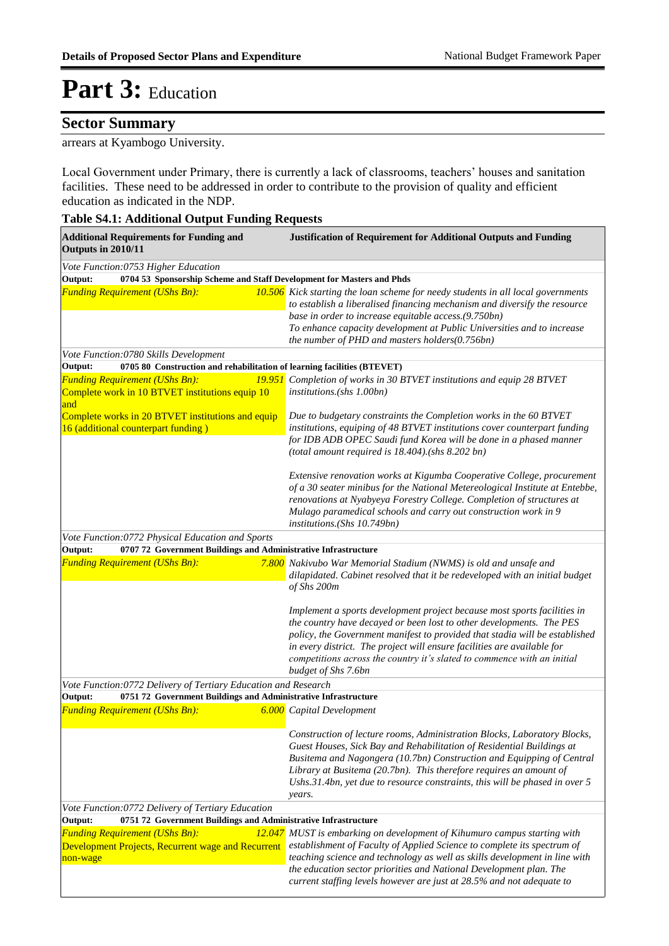### **Sector Summary**

#### arrears at Kyambogo University.

Local Government under Primary, there is currently a lack of classrooms, teachers' houses and sanitation facilities. These need to be addressed in order to contribute to the provision of quality and efficient education as indicated in the NDP.

#### **Table S4.1: Additional Output Funding Requests**

| <b>Additional Requirements for Funding and</b><br>Outputs in 2010/11                                                        | <b>Justification of Requirement for Additional Outputs and Funding</b>                                                                                                                                                                                                                                                                                                                                       |
|-----------------------------------------------------------------------------------------------------------------------------|--------------------------------------------------------------------------------------------------------------------------------------------------------------------------------------------------------------------------------------------------------------------------------------------------------------------------------------------------------------------------------------------------------------|
| Vote Function:0753 Higher Education<br>0704 53 Sponsorship Scheme and Staff Development for Masters and Phds<br>Output:     |                                                                                                                                                                                                                                                                                                                                                                                                              |
| <b>Funding Requirement (UShs Bn):</b>                                                                                       | 10.506 Kick starting the loan scheme for needy students in all local governments<br>to establish a liberalised financing mechanism and diversify the resource<br>base in order to increase equitable access.(9.750bn)<br>To enhance capacity development at Public Universities and to increase<br>the number of PHD and masters holders(0.756bn)                                                            |
| Vote Function:0780 Skills Development<br>Output:<br>0705 80 Construction and rehabilitation of learning facilities (BTEVET) |                                                                                                                                                                                                                                                                                                                                                                                                              |
|                                                                                                                             |                                                                                                                                                                                                                                                                                                                                                                                                              |
| <b>Funding Requirement (UShs Bn):</b><br>Complete work in 10 BTVET institutions equip 10<br>and                             | <b>19.951</b> Completion of works in 30 BTVET institutions and equip 28 BTVET<br>institutions.(shs 1.00bn)                                                                                                                                                                                                                                                                                                   |
| Complete works in 20 BTVET institutions and equip<br>16 (additional counterpart funding)                                    | Due to budgetary constraints the Completion works in the 60 BTVET<br>institutions, equiping of 48 BTVET institutions cover counterpart funding<br>for IDB ADB OPEC Saudi fund Korea will be done in a phased manner<br>(total amount required is 18.404).(shs 8.202 bn)                                                                                                                                      |
|                                                                                                                             | Extensive renovation works at Kigumba Cooperative College, procurement<br>of a 30 seater minibus for the National Metereological Institute at Entebbe,<br>renovations at Nyabyeya Forestry College. Completion of structures at<br>Mulago paramedical schools and carry out construction work in 9<br>institutions.(Shs 10.749bn)                                                                            |
| Vote Function:0772 Physical Education and Sports                                                                            |                                                                                                                                                                                                                                                                                                                                                                                                              |
| Output:<br>0707 72 Government Buildings and Administrative Infrastructure                                                   |                                                                                                                                                                                                                                                                                                                                                                                                              |
| <b>Funding Requirement (UShs Bn):</b>                                                                                       | 7.800 Nakivubo War Memorial Stadium (NWMS) is old and unsafe and<br>dilapidated. Cabinet resolved that it be redeveloped with an initial budget<br>of Shs 200m                                                                                                                                                                                                                                               |
|                                                                                                                             | Implement a sports development project because most sports facilities in<br>the country have decayed or been lost to other developments. The PES<br>policy, the Government manifest to provided that stadia will be established<br>in every district. The project will ensure facilities are available for<br>competitions across the country it's slated to commence with an initial<br>budget of Shs 7.6bn |
| Vote Function: 0772 Delivery of Tertiary Education and Research                                                             |                                                                                                                                                                                                                                                                                                                                                                                                              |
| 0751 72 Government Buildings and Administrative Infrastructure<br>Output:                                                   |                                                                                                                                                                                                                                                                                                                                                                                                              |
| <b>Funding Requirement (UShs Bn):</b>                                                                                       | <b>6.000</b> Capital Development                                                                                                                                                                                                                                                                                                                                                                             |
|                                                                                                                             | Construction of lecture rooms, Administration Blocks, Laboratory Blocks,<br>Guest Houses, Sick Bay and Rehabilitation of Residential Buildings at<br>Busitema and Nagongera (10.7bn) Construction and Equipping of Central<br>Library at Busitema (20.7bn). This therefore requires an amount of<br>Ushs.31.4bn, yet due to resource constraints, this will be phased in over 5<br>years.                    |
| Vote Function:0772 Delivery of Tertiary Education                                                                           |                                                                                                                                                                                                                                                                                                                                                                                                              |
| Output:<br>0751 72 Government Buildings and Administrative Infrastructure                                                   |                                                                                                                                                                                                                                                                                                                                                                                                              |
| <b>Funding Requirement (UShs Bn):</b><br>Development Projects, Recurrent wage and Recurrent<br>non-wage                     | 12.047 MUST is embarking on development of Kihumuro campus starting with<br>establishment of Faculty of Applied Science to complete its spectrum of<br>teaching science and technology as well as skills development in line with<br>the education sector priorities and National Development plan. The<br>current staffing levels however are just at 28.5% and not adequate to                             |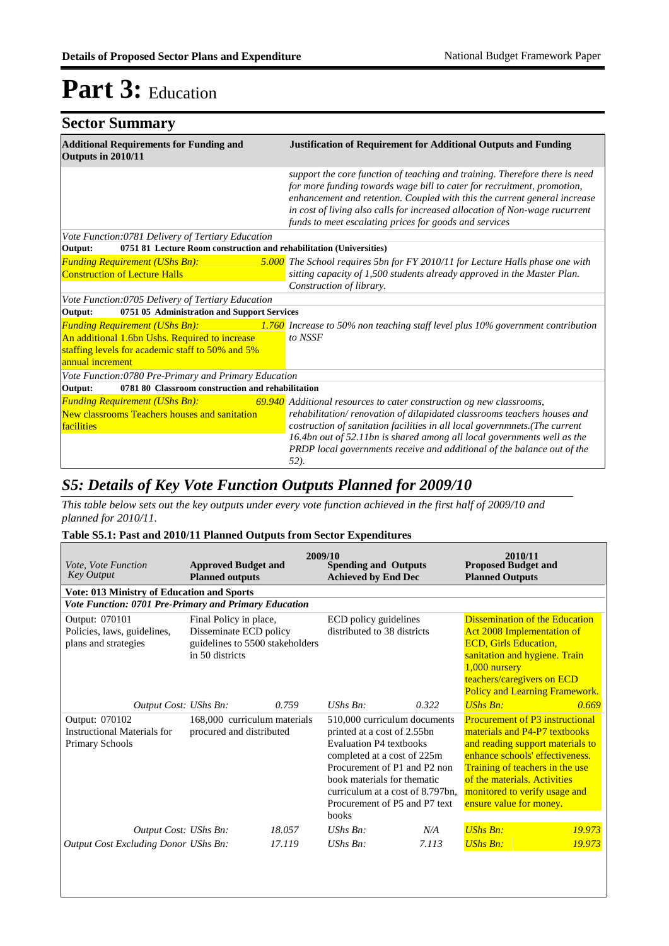| <b>Sector Summary</b>                                                                                                                                           |                                                                                                                                                                                                                                                                                                                                                                                             |  |  |
|-----------------------------------------------------------------------------------------------------------------------------------------------------------------|---------------------------------------------------------------------------------------------------------------------------------------------------------------------------------------------------------------------------------------------------------------------------------------------------------------------------------------------------------------------------------------------|--|--|
| <b>Additional Requirements for Funding and</b><br>Outputs in 2010/11                                                                                            | <b>Justification of Requirement for Additional Outputs and Funding</b>                                                                                                                                                                                                                                                                                                                      |  |  |
|                                                                                                                                                                 | support the core function of teaching and training. Therefore there is need<br>for more funding towards wage bill to cater for recruitment, promotion,<br>enhancement and retention. Coupled with this the current general increase<br>in cost of living also calls for increased allocation of Non-wage rucurrent<br>funds to meet escalating prices for goods and services                |  |  |
| Vote Function: 0781 Delivery of Tertiary Education                                                                                                              |                                                                                                                                                                                                                                                                                                                                                                                             |  |  |
| 0751 81 Lecture Room construction and rehabilitation (Universities)<br>Output:                                                                                  |                                                                                                                                                                                                                                                                                                                                                                                             |  |  |
| <b>Funding Requirement (UShs Bn):</b><br><b>Construction of Lecture Halls</b>                                                                                   | 5.000 The School requires 5bn for FY 2010/11 for Lecture Halls phase one with<br>sitting capacity of 1,500 students already approved in the Master Plan.<br>Construction of library.                                                                                                                                                                                                        |  |  |
| Vote Function:0705 Delivery of Tertiary Education                                                                                                               |                                                                                                                                                                                                                                                                                                                                                                                             |  |  |
| 0751 05 Administration and Support Services<br>Output:                                                                                                          |                                                                                                                                                                                                                                                                                                                                                                                             |  |  |
| <b>Funding Requirement (UShs Bn):</b><br>An additional 1.6bn Ushs. Required to increase<br>staffing levels for academic staff to 50% and 5%<br>annual increment | 1.760 Increase to 50% non teaching staff level plus 10% government contribution<br>to NSSF                                                                                                                                                                                                                                                                                                  |  |  |
| Vote Function: 0780 Pre-Primary and Primary Education                                                                                                           |                                                                                                                                                                                                                                                                                                                                                                                             |  |  |
| 0781 80 Classroom construction and rehabilitation<br>Output:                                                                                                    |                                                                                                                                                                                                                                                                                                                                                                                             |  |  |
| <b>Funding Requirement (UShs Bn):</b><br>New classrooms Teachers houses and sanitation<br>facilities                                                            | 69.940 Additional resources to cater construction og new classrooms,<br>rehabilitation/renovation of dilapidated classrooms teachers houses and<br>costruction of sanitation facilities in all local governmnets.(The current<br>16.4bn out of 52.11bn is shared among all local governments well as the<br>PRDP local governments receive and additional of the balance out of the<br>52). |  |  |

### *S5: Details of Key Vote Function Outputs Planned for 2009/10*

*This table below sets out the key outputs under every vote function achieved in the first half of 2009/10 and planned for 2010/11.*

#### **Table S5.1: Past and 2010/11 Planned Outputs from Sector Expenditures**

| <i>Vote. Vote Function</i><br><b>Key Output</b>                         | <b>Approved Budget and</b><br><b>Planned outputs</b>                                                   | 2009/10 | <b>Spending and Outputs</b><br><b>Achieved by End Dec</b>                                                                                                                                                                                                          |       | 2010/11<br><b>Proposed Budget and</b><br><b>Planned Outputs</b>                                                                                                                                                                                                               |        |
|-------------------------------------------------------------------------|--------------------------------------------------------------------------------------------------------|---------|--------------------------------------------------------------------------------------------------------------------------------------------------------------------------------------------------------------------------------------------------------------------|-------|-------------------------------------------------------------------------------------------------------------------------------------------------------------------------------------------------------------------------------------------------------------------------------|--------|
| <b>Vote: 013 Ministry of Education and Sports</b>                       |                                                                                                        |         |                                                                                                                                                                                                                                                                    |       |                                                                                                                                                                                                                                                                               |        |
| Vote Function: 0701 Pre-Primary and Primary Education                   |                                                                                                        |         |                                                                                                                                                                                                                                                                    |       |                                                                                                                                                                                                                                                                               |        |
| Output: 070101<br>Policies, laws, guidelines,<br>plans and strategies   | Final Policy in place,<br>Disseminate ECD policy<br>guidelines to 5500 stakeholders<br>in 50 districts |         | ECD policy guidelines<br>distributed to 38 districts                                                                                                                                                                                                               |       | <b>Dissemination of the Education</b><br><b>Act 2008 Implementation of</b><br><b>ECD, Girls Education,</b><br>sanitation and hygiene. Train<br>1,000 nursery<br>teachers/caregivers on ECD<br><b>Policy and Learning Framework.</b>                                           |        |
| Output Cost: UShs Bn:                                                   |                                                                                                        | 0.759   | $UShs Bn$ :                                                                                                                                                                                                                                                        | 0.322 | $UShs Bn:$                                                                                                                                                                                                                                                                    | 0.669  |
| Output: 070102<br>Instructional Materials for<br><b>Primary Schools</b> | 168,000 curriculum materials<br>procured and distributed                                               |         | 510,000 curriculum documents<br>printed at a cost of 2.55bn<br>Evaluation P4 textbooks<br>completed at a cost of 225m<br>Procurement of P1 and P2 non<br>book materials for thematic<br>curriculum at a cost of 8.797bn,<br>Procurement of P5 and P7 text<br>books |       | <b>Procurement of P3 instructional</b><br>materials and P4-P7 textbooks<br>and reading support materials to<br>enhance schools' effectiveness.<br>Training of teachers in the use<br>of the materials. Activities<br>monitored to verify usage and<br>ensure value for money. |        |
| Output Cost: UShs Bn:                                                   |                                                                                                        | 18.057  | $UShs Bn$ :                                                                                                                                                                                                                                                        | N/A   | <b>UShs Bn:</b>                                                                                                                                                                                                                                                               | 19.973 |
| <b>Output Cost Excluding Donor UShs Bn:</b>                             |                                                                                                        | 17.119  | $UShs Bn$ :                                                                                                                                                                                                                                                        | 7.113 | <b>UShs Bn:</b>                                                                                                                                                                                                                                                               | 19.973 |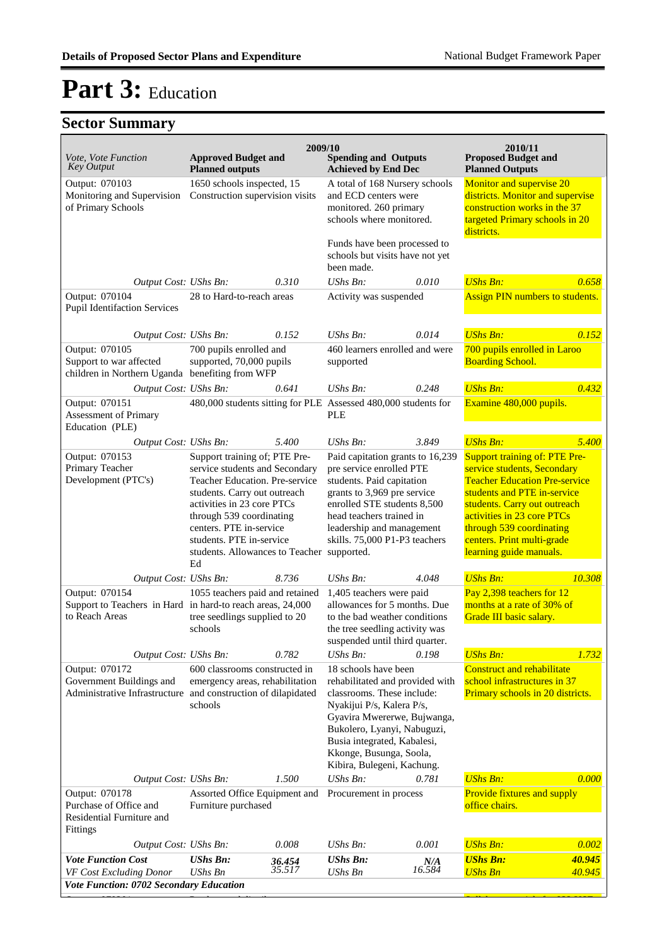## **Sector Summary**

| Vote, Vote Function                                                                            | <b>Approved Budget and</b>                                                                                                                                                                                                                                                                  | 2009/10 | <b>Spending and Outputs</b>                                                                                                                                                                                                                                              |                   | 2010/11<br><b>Proposed Budget and</b>                                                                                                                                                                                                                                                         |        |
|------------------------------------------------------------------------------------------------|---------------------------------------------------------------------------------------------------------------------------------------------------------------------------------------------------------------------------------------------------------------------------------------------|---------|--------------------------------------------------------------------------------------------------------------------------------------------------------------------------------------------------------------------------------------------------------------------------|-------------------|-----------------------------------------------------------------------------------------------------------------------------------------------------------------------------------------------------------------------------------------------------------------------------------------------|--------|
| <b>Key Output</b>                                                                              | <b>Planned outputs</b>                                                                                                                                                                                                                                                                      |         | <b>Achieved by End Dec</b>                                                                                                                                                                                                                                               |                   | <b>Planned Outputs</b>                                                                                                                                                                                                                                                                        |        |
| Output: 070103<br>Monitoring and Supervision<br>of Primary Schools                             | 1650 schools inspected, 15<br>Construction supervision visits                                                                                                                                                                                                                               |         | A total of 168 Nursery schools<br>and ECD centers were<br>monitored. 260 primary<br>schools where monitored.<br>Funds have been processed to<br>schools but visits have not yet<br>been made.                                                                            |                   | Monitor and supervise 20<br>districts. Monitor and supervise<br>construction works in the 37<br>targeted Primary schools in 20<br>districts.                                                                                                                                                  |        |
| Output Cost: UShs Bn:                                                                          |                                                                                                                                                                                                                                                                                             | 0.310   | UShs Bn:                                                                                                                                                                                                                                                                 | 0.010             | <b>UShs Bn:</b>                                                                                                                                                                                                                                                                               | 0.658  |
| Output: 070104<br><b>Pupil Identifaction Services</b>                                          | 28 to Hard-to-reach areas                                                                                                                                                                                                                                                                   |         | Activity was suspended                                                                                                                                                                                                                                                   |                   | <b>Assign PIN numbers to students.</b>                                                                                                                                                                                                                                                        |        |
| Output Cost: UShs Bn:                                                                          |                                                                                                                                                                                                                                                                                             | 0.152   | $UShs Bn$ :                                                                                                                                                                                                                                                              | 0.014             | <b>UShs Bn:</b>                                                                                                                                                                                                                                                                               | 0.152  |
| Output: 070105<br>Support to war affected<br>children in Northern Uganda benefiting from WFP   | 700 pupils enrolled and<br>supported, 70,000 pupils                                                                                                                                                                                                                                         |         | 460 learners enrolled and were<br>supported                                                                                                                                                                                                                              |                   | 700 pupils enrolled in Laroo<br><b>Boarding School.</b>                                                                                                                                                                                                                                       |        |
| Output Cost: UShs Bn:                                                                          |                                                                                                                                                                                                                                                                                             | 0.641   | $UShs Bn$ :                                                                                                                                                                                                                                                              | 0.248             | <b>UShs Bn:</b>                                                                                                                                                                                                                                                                               | 0.432  |
| Output: 070151<br>Assessment of Primary<br>Education (PLE)                                     |                                                                                                                                                                                                                                                                                             |         | 480,000 students sitting for PLE Assessed 480,000 students for<br><b>PLE</b>                                                                                                                                                                                             |                   | Examine 480,000 pupils.                                                                                                                                                                                                                                                                       |        |
| Output Cost: UShs Bn:                                                                          |                                                                                                                                                                                                                                                                                             | 5.400   | $UShs Bn$ :                                                                                                                                                                                                                                                              | 3.849             | <b>UShs Bn:</b>                                                                                                                                                                                                                                                                               | 5.400  |
| Output: 070153<br>Primary Teacher<br>Development (PTC's)                                       | Support training of; PTE Pre-<br>service students and Secondary<br>Teacher Education. Pre-service<br>students. Carry out outreach<br>activities in 23 core PTCs<br>through 539 coordinating<br>centers. PTE in-service<br>students. PTE in-service<br>students. Allowances to Teacher<br>Ed |         | Paid capitation grants to 16,239<br>pre service enrolled PTE<br>students. Paid capitation<br>grants to 3,969 pre service<br>enrolled STE students 8,500<br>head teachers trained in<br>leadership and management<br>skills. 75,000 P1-P3 teachers<br>supported.          |                   | <b>Support training of: PTE Pre-</b><br>service students, Secondary<br><b>Teacher Education Pre-service</b><br>students and PTE in-service<br>students. Carry out outreach<br>activities in 23 core PTCs<br>through 539 coordinating<br>centers. Print multi-grade<br>learning guide manuals. |        |
| Output Cost: UShs Bn:                                                                          |                                                                                                                                                                                                                                                                                             | 8.736   | $UShs Bn$ :                                                                                                                                                                                                                                                              | 4.048             | <b>UShs Bn:</b>                                                                                                                                                                                                                                                                               | 10.308 |
| Output: 070154<br>Support to Teachers in Hard in hard-to reach areas, 24,000<br>to Reach Areas | 1055 teachers paid and retained<br>tree seedlings supplied to 20<br>schools                                                                                                                                                                                                                 |         | 1,405 teachers were paid<br>allowances for 5 months. Due<br>to the bad weather conditions<br>the tree seedling activity was<br>suspended until third quarter.                                                                                                            |                   | Pay 2,398 teachers for 12<br>months at a rate of 30% of<br>Grade III basic salary.                                                                                                                                                                                                            |        |
| Output Cost: UShs Bn:                                                                          |                                                                                                                                                                                                                                                                                             | 0.782   | UShs Bn:                                                                                                                                                                                                                                                                 | 0.198             | <b>UShs Bn:</b>                                                                                                                                                                                                                                                                               | 1.732  |
| Output: 070172<br>Government Buildings and<br>Administrative Infrastructure                    | 600 classrooms constructed in<br>emergency areas, rehabilitation<br>and construction of dilapidated<br>schools                                                                                                                                                                              |         | 18 schools have been<br>rehabilitated and provided with<br>classrooms. These include:<br>Nyakijui P/s, Kalera P/s,<br>Gyavira Mwererwe, Bujwanga,<br>Bukolero, Lyanyi, Nabuguzi,<br>Busia integrated, Kabalesi,<br>Kkonge, Busunga, Soola,<br>Kibira, Bulegeni, Kachung. |                   | <b>Construct and rehabilitate</b><br>school infrastructures in 37<br>Primary schools in 20 districts.                                                                                                                                                                                         |        |
| Output Cost: UShs Bn:                                                                          |                                                                                                                                                                                                                                                                                             | 1.500   | UShs Bn:                                                                                                                                                                                                                                                                 | 0.781             | <b>UShs Bn:</b>                                                                                                                                                                                                                                                                               | 0.000  |
| Output: 070178<br>Purchase of Office and<br>Residential Furniture and<br>Fittings              | Assorted Office Equipment and<br>Furniture purchased                                                                                                                                                                                                                                        |         | Procurement in process                                                                                                                                                                                                                                                   |                   | Provide fixtures and supply<br>office chairs.                                                                                                                                                                                                                                                 |        |
| Output Cost: UShs Bn:                                                                          |                                                                                                                                                                                                                                                                                             | 0.008   | UShs Bn:                                                                                                                                                                                                                                                                 | 0.001             | <b>UShs Bn:</b>                                                                                                                                                                                                                                                                               | 0.002  |
| <b>Vote Function Cost</b>                                                                      | <b>UShs Bn:</b>                                                                                                                                                                                                                                                                             | 36.454  | <b>UShs Bn:</b>                                                                                                                                                                                                                                                          | $N/A$<br>$16.584$ | <b>UShs Bn:</b>                                                                                                                                                                                                                                                                               | 40.945 |
| VF Cost Excluding Donor<br>Vote Function: 0702 Secondary Education                             | <b>UShs Bn</b>                                                                                                                                                                                                                                                                              | 35.517  | UShs Bn                                                                                                                                                                                                                                                                  |                   | <b>UShs Bn</b>                                                                                                                                                                                                                                                                                | 40.945 |

Output: 070201 Produce and distribute Syllabus materials for 832 USE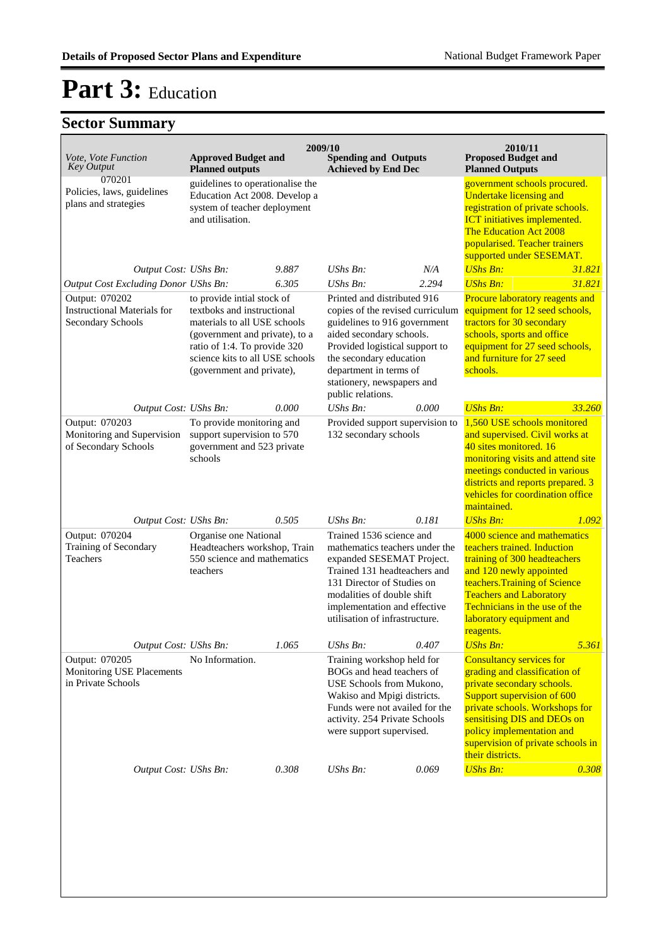| Vote, Vote Function<br><b>Key Output</b>                                     | <b>Approved Budget and</b><br><b>Planned outputs</b>                                                                                                                                                                       |       | 2009/10<br><b>Spending and Outputs</b><br><b>Achieved by End Dec</b>                                                                                                                                                                                                  |       | 2010/11<br><b>Proposed Budget and</b><br><b>Planned Outputs</b>                                                                                                                                                                                                                     |        |
|------------------------------------------------------------------------------|----------------------------------------------------------------------------------------------------------------------------------------------------------------------------------------------------------------------------|-------|-----------------------------------------------------------------------------------------------------------------------------------------------------------------------------------------------------------------------------------------------------------------------|-------|-------------------------------------------------------------------------------------------------------------------------------------------------------------------------------------------------------------------------------------------------------------------------------------|--------|
| 070201<br>Policies, laws, guidelines<br>plans and strategies                 | guidelines to operationalise the<br>Education Act 2008. Develop a<br>system of teacher deployment<br>and utilisation.                                                                                                      |       |                                                                                                                                                                                                                                                                       |       | government schools procured.<br><b>Undertake licensing and</b><br>registration of private schools.<br><b>ICT</b> initiatives implemented.<br>The Education Act 2008<br>popularised. Teacher trainers<br>supported under SESEMAT.                                                    |        |
| Output Cost: UShs Bn:                                                        |                                                                                                                                                                                                                            | 9.887 | $UShs Bn$ :                                                                                                                                                                                                                                                           | N/A   | <b>UShs Bn:</b>                                                                                                                                                                                                                                                                     | 31.821 |
| Output Cost Excluding Donor UShs Bn:                                         |                                                                                                                                                                                                                            | 6.305 | $UShs Bn$ :                                                                                                                                                                                                                                                           | 2.294 | <b>UShs Bn:</b>                                                                                                                                                                                                                                                                     | 31.821 |
| Output: 070202<br><b>Instructional Materials for</b><br>Secondary Schools    | to provide intial stock of<br>textboks and instructional<br>materials to all USE schools<br>(government and private), to a<br>ratio of 1:4. To provide 320<br>science kits to all USE schools<br>(government and private), |       | Printed and distributed 916<br>copies of the revised curriculum<br>guidelines to 916 government<br>aided secondary schools.<br>Provided logistical support to<br>the secondary education<br>department in terms of<br>stationery, newspapers and<br>public relations. |       | Procure laboratory reagents and<br>equipment for 12 seed schools,<br>tractors for 30 secondary<br>schools, sports and office<br>equipment for 27 seed schools,<br>and furniture for 27 seed<br>schools.                                                                             |        |
| Output Cost: UShs Bn:                                                        |                                                                                                                                                                                                                            | 0.000 | $UShs Bn$ :                                                                                                                                                                                                                                                           | 0.000 | <b>UShs Bn:</b>                                                                                                                                                                                                                                                                     | 33.260 |
| Output: 070203<br>Monitoring and Supervision<br>of Secondary Schools         | To provide monitoring and<br>support supervision to 570<br>government and 523 private<br>schools                                                                                                                           |       | Provided support supervision to<br>132 secondary schools                                                                                                                                                                                                              |       | 1,560 USE schools monitored<br>and supervised. Civil works at<br>40 sites monitored. 16<br>monitoring visits and attend site<br>meetings conducted in various<br>districts and reports prepared. 3<br>vehicles for coordination office<br>maintained.                               |        |
| Output Cost: UShs Bn:                                                        |                                                                                                                                                                                                                            | 0.505 | $UShs Bn$ :                                                                                                                                                                                                                                                           | 0.181 | <b>UShs Bn:</b>                                                                                                                                                                                                                                                                     | 1.092  |
| Output: 070204<br>Training of Secondary<br>Teachers<br>Output Cost: UShs Bn: | Organise one National<br>Headteachers workshop, Train<br>550 science and mathematics<br>teachers                                                                                                                           |       | Trained 1536 science and<br>mathematics teachers under the<br>expanded SESEMAT Project.<br>Trained 131 headteachers and<br>131 Director of Studies on<br>modalities of double shift<br>implementation and effective<br>utilisation of infrastructure.                 |       | 4000 science and mathematics<br>teachers trained. Induction<br>training of 300 headteachers<br>and 120 newly appointed<br>teachers. Training of Science<br><b>Teachers and Laboratory</b><br>Technicians in the use of the<br>laboratory equipment and<br>reagents.                 |        |
|                                                                              |                                                                                                                                                                                                                            | 1.065 | UShs Bn:                                                                                                                                                                                                                                                              | 0.407 | <b>UShs Bn:</b>                                                                                                                                                                                                                                                                     | 5.361  |
| Output: 070205<br>Monitoring USE Placements<br>in Private Schools            | No Information.                                                                                                                                                                                                            |       | Training workshop held for<br>BOGs and head teachers of<br>USE Schools from Mukono.<br>Wakiso and Mpigi districts.<br>Funds were not availed for the<br>activity. 254 Private Schools<br>were support supervised.                                                     |       | <b>Consultancy services for</b><br>grading and classification of<br>private secondary schools.<br>Support supervision of 600<br>private schools. Workshops for<br>sensitising DIS and DEOs on<br>policy implementation and<br>supervision of private schools in<br>their districts. |        |
| Output Cost: UShs Bn:                                                        |                                                                                                                                                                                                                            | 0.308 | UShs Bn:                                                                                                                                                                                                                                                              | 0.069 | <b>UShs Bn:</b>                                                                                                                                                                                                                                                                     | 0.308  |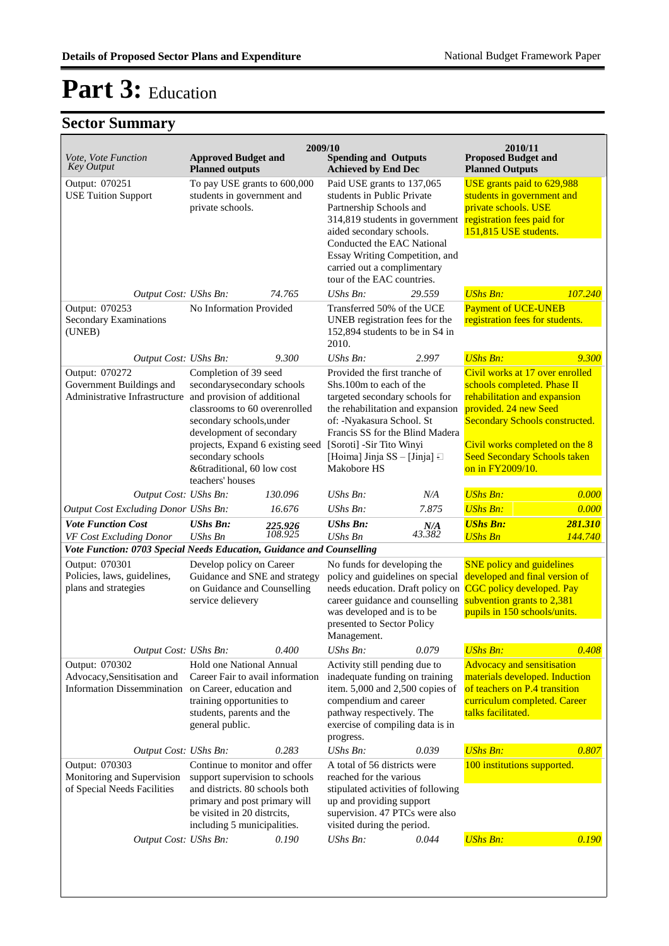| Vote, Vote Function<br><b>Key Output</b>                                                                                      | <b>Approved Budget and</b><br><b>Planned outputs</b>                                                                                                                                                                                                                                   | 2009/10            | <b>Spending and Outputs</b><br><b>Achieved by End Dec</b>                                                                                                                                                                                                                      |                                                                                                                                                                                                    | 2010/11<br><b>Proposed Budget and</b><br><b>Planned Outputs</b>                                                                                                                                                                                               |                                                                                                                                                               |
|-------------------------------------------------------------------------------------------------------------------------------|----------------------------------------------------------------------------------------------------------------------------------------------------------------------------------------------------------------------------------------------------------------------------------------|--------------------|--------------------------------------------------------------------------------------------------------------------------------------------------------------------------------------------------------------------------------------------------------------------------------|----------------------------------------------------------------------------------------------------------------------------------------------------------------------------------------------------|---------------------------------------------------------------------------------------------------------------------------------------------------------------------------------------------------------------------------------------------------------------|---------------------------------------------------------------------------------------------------------------------------------------------------------------|
| Output: 070251<br><b>USE Tuition Support</b>                                                                                  | To pay USE grants to 600,000<br>students in government and<br>private schools.                                                                                                                                                                                                         |                    | Paid USE grants to 137,065<br>students in Public Private<br>Partnership Schools and<br>314,819 students in government<br>aided secondary schools.<br>Conducted the EAC National<br>Essay Writing Competition, and<br>carried out a complimentary<br>tour of the EAC countries. |                                                                                                                                                                                                    | USE grants paid to 629,988<br>students in government and<br>private schools. USE<br>registration fees paid for<br>151,815 USE students.                                                                                                                       |                                                                                                                                                               |
| Output Cost: UShs Bn:                                                                                                         |                                                                                                                                                                                                                                                                                        | 74.765             | UShs Bn:                                                                                                                                                                                                                                                                       | 29.559                                                                                                                                                                                             | <b>UShs Bn:</b>                                                                                                                                                                                                                                               | 107.240                                                                                                                                                       |
| Output: 070253<br><b>Secondary Examinations</b><br>(UNEB)                                                                     | No Information Provided                                                                                                                                                                                                                                                                |                    | Transferred 50% of the UCE<br>UNEB registration fees for the<br>152,894 students to be in S4 in<br>2010.                                                                                                                                                                       |                                                                                                                                                                                                    | <b>Payment of UCE-UNEB</b><br>registration fees for students.                                                                                                                                                                                                 |                                                                                                                                                               |
| Output Cost: UShs Bn:                                                                                                         |                                                                                                                                                                                                                                                                                        | 9.300              | UShs Bn:                                                                                                                                                                                                                                                                       | 2.997                                                                                                                                                                                              | <b>UShs Bn:</b>                                                                                                                                                                                                                                               | 9.300                                                                                                                                                         |
| Output: 070272<br>Government Buildings and<br>Administrative Infrastructure                                                   | Completion of 39 seed<br>secondarysecondary schools<br>and provision of additional<br>classrooms to 60 overenrolled<br>secondary schools, under<br>development of secondary<br>projects, Expand 6 existing seed<br>secondary schools<br>&6traditional, 60 low cost<br>teachers' houses |                    | Provided the first tranche of<br>Shs.100m to each of the<br>targeted secondary schools for<br>the rehabilitation and expansion<br>of: -Nyakasura School. St<br>Francis SS for the Blind Madera<br>[Soroti] -Sir Tito Winyi<br>[Hoima] Jinja SS - [Jinja] $\Box$<br>Makobore HS |                                                                                                                                                                                                    | Civil works at 17 over enrolled<br>schools completed. Phase II<br>rehabilitation and expansion<br>provided. 24 new Seed<br><b>Secondary Schools constructed.</b><br>Civil works completed on the 8<br><b>Seed Secondary Schools taken</b><br>on in FY2009/10. |                                                                                                                                                               |
| Output Cost: UShs Bn:                                                                                                         |                                                                                                                                                                                                                                                                                        | 130.096            | UShs Bn:                                                                                                                                                                                                                                                                       | N/A                                                                                                                                                                                                | <b>UShs Bn:</b>                                                                                                                                                                                                                                               | 0.000                                                                                                                                                         |
| Output Cost Excluding Donor UShs Bn:                                                                                          |                                                                                                                                                                                                                                                                                        | 16.676             | UShs Bn:                                                                                                                                                                                                                                                                       | 7.875                                                                                                                                                                                              | <b>UShs Bn:</b>                                                                                                                                                                                                                                               | 0.000                                                                                                                                                         |
| <b>Vote Function Cost</b><br>VF Cost Excluding Donor<br>Vote Function: 0703 Special Needs Education, Guidance and Counselling | <b>UShs Bn:</b><br><b>UShs Bn</b>                                                                                                                                                                                                                                                      | 225.926<br>108.925 | <b>UShs Bn:</b><br><b>UShs Bn</b>                                                                                                                                                                                                                                              | $N/A$<br>43.382                                                                                                                                                                                    | <b>UShs Bn:</b><br><b>UShs Bn</b>                                                                                                                                                                                                                             | 281.310<br>144.740                                                                                                                                            |
| Output: 070301<br>Policies, laws, guidelines,<br>plans and strategies                                                         | Develop policy on Career<br>Guidance and SNE and strategy<br>on Guidance and Counselling<br>service delievery                                                                                                                                                                          |                    | Management.                                                                                                                                                                                                                                                                    | No funds for developing the<br>policy and guidelines on special<br>needs education. Draft policy on<br>career guidance and counselling<br>was developed and is to be<br>presented to Sector Policy |                                                                                                                                                                                                                                                               | <b>SNE</b> policy and guidelines<br>developed and final version of<br>CGC policy developed. Pay<br>subvention grants to 2,381<br>pupils in 150 schools/units. |
| Output Cost: UShs Bn:                                                                                                         |                                                                                                                                                                                                                                                                                        | 0.400              | UShs Bn:                                                                                                                                                                                                                                                                       | 0.079                                                                                                                                                                                              | <b>UShs Bn:</b>                                                                                                                                                                                                                                               | 0.408                                                                                                                                                         |
| Output: 070302<br>Advocacy, Sensitisation and<br>Information Dissemmination on Career, education and                          | Hold one National Annual<br>Career Fair to avail information<br>training opportunities to<br>students, parents and the<br>general public.                                                                                                                                              |                    | Activity still pending due to<br>inadequate funding on training<br>item. $5,000$ and $2,500$ copies of<br>compendium and career<br>pathway respectively. The<br>exercise of compiling data is in<br>progress.                                                                  |                                                                                                                                                                                                    | <b>Advocacy and sensitisation</b><br>materials developed. Induction<br>of teachers on P.4 transition<br>curriculum completed. Career<br>talks facilitated.                                                                                                    |                                                                                                                                                               |
| Output Cost: UShs Bn:                                                                                                         |                                                                                                                                                                                                                                                                                        | 0.283              | UShs Bn:                                                                                                                                                                                                                                                                       | 0.039                                                                                                                                                                                              | <b>UShs Bn:</b>                                                                                                                                                                                                                                               | 0.807                                                                                                                                                         |
| Output: 070303<br>Monitoring and Supervision<br>of Special Needs Facilities                                                   | Continue to monitor and offer<br>support supervision to schools<br>and districts. 80 schools both<br>primary and post primary will<br>be visited in 20 distrcits,<br>including 5 municipalities.                                                                                       |                    | A total of 56 districts were<br>reached for the various<br>stipulated activities of following<br>up and providing support<br>supervision. 47 PTCs were also<br>visited during the period.                                                                                      |                                                                                                                                                                                                    | 100 institutions supported.                                                                                                                                                                                                                                   |                                                                                                                                                               |
| Output Cost: UShs Bn:                                                                                                         |                                                                                                                                                                                                                                                                                        | 0.190              | UShs Bn:                                                                                                                                                                                                                                                                       | 0.044                                                                                                                                                                                              | <b>UShs Bn:</b>                                                                                                                                                                                                                                               | 0.190                                                                                                                                                         |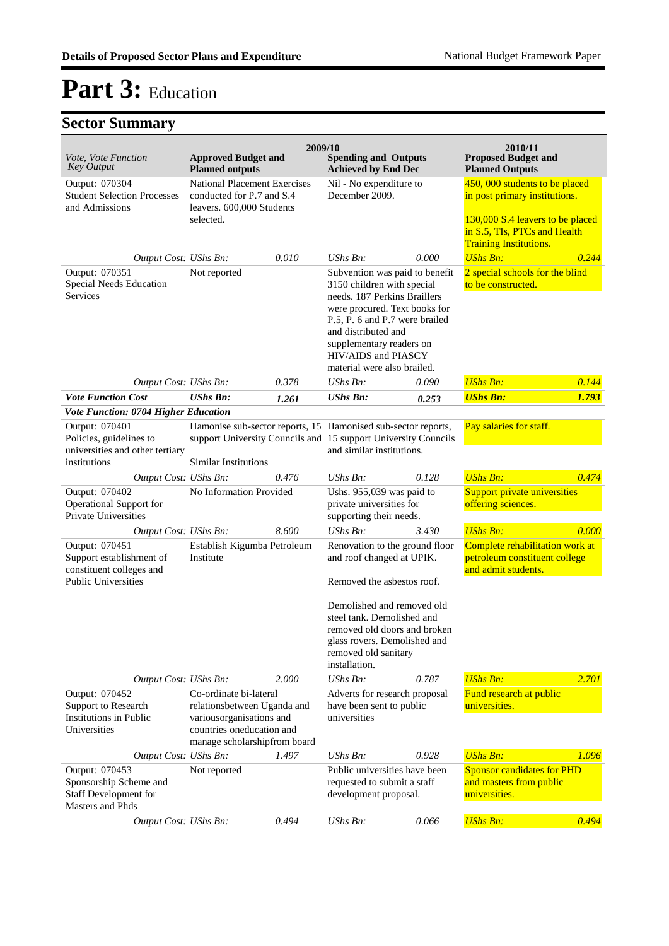| <i>Vote, Vote Function</i><br><b>Key Output</b>                                                                                      | <b>Approved Budget and</b><br><b>Planned outputs</b>                                                                                           |       | 2009/10<br><b>Spending and Outputs</b><br><b>Achieved by End Dec</b>                                                                                                                                                                                                     |       | 2010/11<br><b>Proposed Budget and</b><br><b>Planned Outputs</b>                                     |       |
|--------------------------------------------------------------------------------------------------------------------------------------|------------------------------------------------------------------------------------------------------------------------------------------------|-------|--------------------------------------------------------------------------------------------------------------------------------------------------------------------------------------------------------------------------------------------------------------------------|-------|-----------------------------------------------------------------------------------------------------|-------|
| Output: 070304<br><b>Student Selection Processes</b><br>and Admissions                                                               | <b>National Placement Exercises</b><br>conducted for P.7 and S.4<br>leavers. 600,000 Students<br>selected.                                     |       | Nil - No expenditure to<br>December 2009.                                                                                                                                                                                                                                |       | 450, 000 students to be placed<br>in post primary institutions.<br>130,000 S.4 leavers to be placed |       |
| Output Cost: UShs Bn:                                                                                                                |                                                                                                                                                | 0.010 | $UShs Bn$ :                                                                                                                                                                                                                                                              | 0.000 | in S.5, TIs, PTCs and Health<br><b>Training Institutions.</b><br><b>UShs Bn:</b>                    | 0.244 |
| Output: 070351<br>Special Needs Education<br><b>Services</b>                                                                         | Not reported                                                                                                                                   |       | Subvention was paid to benefit<br>3150 children with special<br>needs. 187 Perkins Braillers<br>were procured. Text books for<br>P.5, P. 6 and P.7 were brailed<br>and distributed and<br>supplementary readers on<br>HIV/AIDS and PIASCY<br>material were also brailed. |       | 2 special schools for the blind<br>to be constructed.                                               |       |
| Output Cost: UShs Bn:                                                                                                                |                                                                                                                                                | 0.378 | UShs Bn:                                                                                                                                                                                                                                                                 | 0.090 | <b>UShs Bn:</b>                                                                                     | 0.144 |
| <b>Vote Function Cost</b>                                                                                                            | <b>UShs Bn:</b>                                                                                                                                | 1.261 | <b>UShs Bn:</b>                                                                                                                                                                                                                                                          | 0.253 | <b>UShs Bn:</b>                                                                                     | 1.793 |
| Vote Function: 0704 Higher Education<br>Output: 070401<br>Policies, guidelines to<br>universities and other tertiary<br>institutions | <b>Similar Institutions</b>                                                                                                                    |       | Hamonise sub-sector reports, 15 Hamonised sub-sector reports,<br>support University Councils and 15 support University Councils<br>and similar institutions.                                                                                                             |       | Pay salaries for staff.                                                                             |       |
| Output Cost: UShs Bn:                                                                                                                |                                                                                                                                                | 0.476 | UShs Bn:                                                                                                                                                                                                                                                                 | 0.128 | <b>UShs Bn:</b>                                                                                     | 0.474 |
| Output: 070402<br><b>Operational Support for</b><br>Private Universities                                                             | No Information Provided                                                                                                                        |       | Ushs. 955,039 was paid to<br>private universities for<br>supporting their needs.                                                                                                                                                                                         |       | <b>Support private universities</b><br>offering sciences.                                           |       |
| Output Cost: UShs Bn:                                                                                                                |                                                                                                                                                | 8.600 | $UShs Bn$ :                                                                                                                                                                                                                                                              | 3.430 | <b>UShs Bn:</b>                                                                                     | 0.000 |
| Output: 070451<br>Support establishment of<br>constituent colleges and<br><b>Public Universities</b>                                 | Establish Kigumba Petroleum<br>Institute                                                                                                       |       | Renovation to the ground floor<br>and roof changed at UPIK.<br>Removed the asbestos roof.                                                                                                                                                                                |       | Complete rehabilitation work at<br>petroleum constituent college<br>and admit students.             |       |
|                                                                                                                                      |                                                                                                                                                |       | Demolished and removed old<br>steel tank. Demolished and<br>removed old doors and broken<br>glass rovers. Demolished and<br>removed old sanitary<br>installation.                                                                                                        |       |                                                                                                     |       |
| Output Cost: UShs Bn:                                                                                                                |                                                                                                                                                | 2.000 | UShs Bn:                                                                                                                                                                                                                                                                 | 0.787 | <b>UShs Bn:</b>                                                                                     | 2.701 |
| Output: 070452<br>Support to Research<br><b>Institutions in Public</b><br>Universities                                               | Co-ordinate bi-lateral<br>relationsbetween Uganda and<br>variousorganisations and<br>countries oneducation and<br>manage scholarshipfrom board |       | Adverts for research proposal<br>have been sent to public<br>universities                                                                                                                                                                                                |       | Fund research at public<br>universities.                                                            |       |
| Output Cost: UShs Bn:                                                                                                                |                                                                                                                                                | 1.497 | $UShs Bn$ :                                                                                                                                                                                                                                                              | 0.928 | <b>UShs Bn:</b>                                                                                     | 1.096 |
| Output: 070453<br>Sponsorship Scheme and<br>Staff Development for<br>Masters and Phds                                                | Not reported                                                                                                                                   |       | Public universities have been<br>requested to submit a staff<br>development proposal.                                                                                                                                                                                    |       | <b>Sponsor candidates for PHD</b><br>and masters from public<br>universities.                       |       |
| Output Cost: UShs Bn:                                                                                                                |                                                                                                                                                | 0.494 | UShs Bn:                                                                                                                                                                                                                                                                 | 0.066 | <b>UShs Bn:</b>                                                                                     | 0.494 |
|                                                                                                                                      |                                                                                                                                                |       |                                                                                                                                                                                                                                                                          |       |                                                                                                     |       |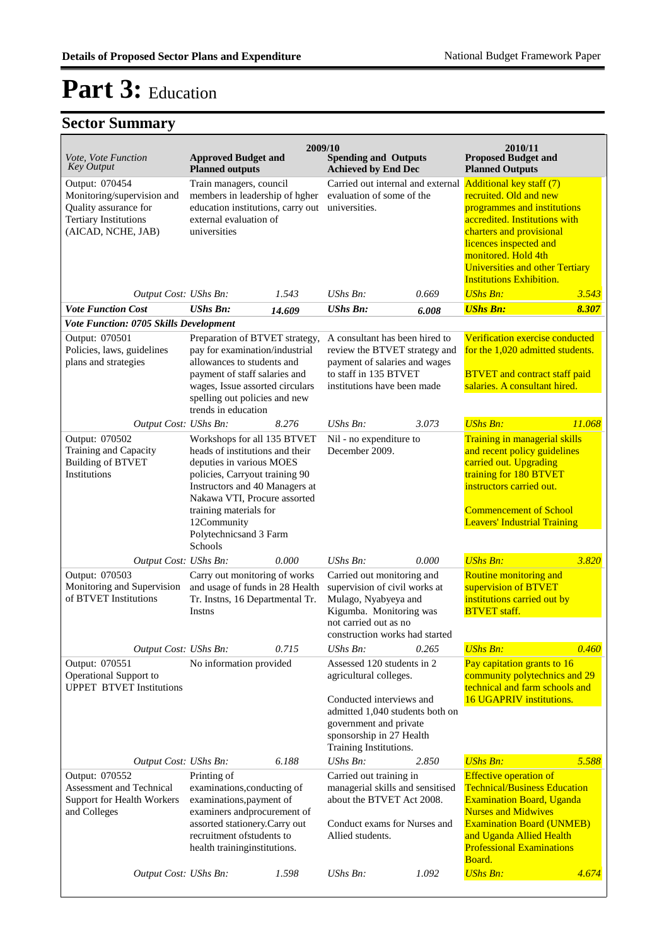| Vote, Vote Function<br><b>Key Output</b>                                                                                    | <b>Approved Budget and</b><br><b>Planned outputs</b>                                                                                                                                                                                                                         | 2009/10           | <b>Spending and Outputs</b><br><b>Achieved by End Dec</b>                                                                                                                                           |       | 2010/11<br><b>Proposed Budget and</b><br><b>Planned Outputs</b>                                                                                                                                                                                                                     |        |
|-----------------------------------------------------------------------------------------------------------------------------|------------------------------------------------------------------------------------------------------------------------------------------------------------------------------------------------------------------------------------------------------------------------------|-------------------|-----------------------------------------------------------------------------------------------------------------------------------------------------------------------------------------------------|-------|-------------------------------------------------------------------------------------------------------------------------------------------------------------------------------------------------------------------------------------------------------------------------------------|--------|
| Output: 070454<br>Monitoring/supervision and<br>Quality assurance for<br><b>Tertiary Institutions</b><br>(AICAD, NCHE, JAB) | Train managers, council<br>members in leadership of hgher<br>education institutions, carry out<br>external evaluation of<br>universities                                                                                                                                     |                   | Carried out internal and external<br>evaluation of some of the<br>universities.                                                                                                                     |       | <b>Additional key staff (7)</b><br>recruited. Old and new<br>programmes and institutions<br>accredited. Institutions with<br>charters and provisional<br>licences inspected and<br>monitored. Hold 4th<br><b>Universities and other Tertiary</b><br><b>Institutions Exhibition.</b> |        |
| Output Cost: UShs Bn:                                                                                                       |                                                                                                                                                                                                                                                                              | UShs Bn:<br>1.543 |                                                                                                                                                                                                     | 0.669 | <b>UShs Bn:</b>                                                                                                                                                                                                                                                                     | 3.543  |
| <b>Vote Function Cost</b>                                                                                                   | <b>UShs Bn:</b>                                                                                                                                                                                                                                                              | 14.609            | <b>UShs Bn:</b>                                                                                                                                                                                     | 6.008 | <b>UShs Bn:</b>                                                                                                                                                                                                                                                                     | 8.307  |
| Vote Function: 0705 Skills Development                                                                                      |                                                                                                                                                                                                                                                                              |                   |                                                                                                                                                                                                     |       |                                                                                                                                                                                                                                                                                     |        |
| Output: 070501<br>Policies, laws, guidelines<br>plans and strategies                                                        | Preparation of BTVET strategy,<br>pay for examination/industrial<br>allowances to students and<br>payment of staff salaries and<br>wages, Issue assorted circulars<br>spelling out policies and new<br>trends in education                                                   |                   | A consultant has been hired to<br>review the BTVET strategy and<br>payment of salaries and wages<br>to staff in 135 BTVET<br>institutions have been made                                            |       | Verification exercise conducted<br>for the 1,020 admitted students.<br><b>BTVET</b> and contract staff paid<br>salaries. A consultant hired.                                                                                                                                        |        |
| Output Cost: UShs Bn:                                                                                                       |                                                                                                                                                                                                                                                                              | 8.276             | UShs Bn:                                                                                                                                                                                            | 3.073 | <b>UShs Bn:</b>                                                                                                                                                                                                                                                                     | 11.068 |
| Output: 070502<br>Training and Capacity<br><b>Building of BTVET</b><br>Institutions                                         | Workshops for all 135 BTVET<br>heads of institutions and their<br>deputies in various MOES<br>policies, Carryout training 90<br>Instructors and 40 Managers at<br>Nakawa VTI, Procure assorted<br>training materials for<br>12Community<br>Polytechnicsand 3 Farm<br>Schools |                   | Nil - no expenditure to<br>December 2009.                                                                                                                                                           |       | Training in managerial skills<br>and recent policy guidelines<br>carried out. Upgrading<br>training for 180 BTVET<br>instructors carried out.<br><b>Commencement of School</b><br><b>Leavers' Industrial Training</b>                                                               |        |
| Output Cost: UShs Bn:                                                                                                       |                                                                                                                                                                                                                                                                              | 0.000             | UShs Bn:                                                                                                                                                                                            | 0.000 | <b>UShs Bn:</b>                                                                                                                                                                                                                                                                     | 3.820  |
| Output: 070503<br>Monitoring and Supervision<br>of BTVET Institutions                                                       | Carry out monitoring of works<br>and usage of funds in 28 Health<br>Tr. Instns, 16 Departmental Tr.<br>Instns                                                                                                                                                                |                   | Carried out monitoring and<br>supervision of civil works at<br>Mulago, Nyabyeya and<br>Kigumba. Monitoring was<br>not carried out as no<br>construction works had started                           |       | Routine monitoring and<br>supervision of BTVET<br>institutions carried out by<br><b>BTVET</b> staff.                                                                                                                                                                                |        |
| Output Cost: UShs Bn:                                                                                                       |                                                                                                                                                                                                                                                                              | 0.715             | UShs Bn:                                                                                                                                                                                            | 0.265 | <b>UShs Bn:</b>                                                                                                                                                                                                                                                                     | 0.460  |
| Output: 070551<br>Operational Support to<br><b>UPPET BTVET Institutions</b>                                                 | No information provided                                                                                                                                                                                                                                                      |                   | Assessed 120 students in 2<br>agricultural colleges.<br>Conducted interviews and<br>admitted 1,040 students both on<br>government and private<br>sponsorship in 27 Health<br>Training Institutions. |       | Pay capitation grants to 16<br>community polytechnics and 29<br>technical and farm schools and<br>16 UGAPRIV institutions.                                                                                                                                                          |        |
| Output Cost: UShs Bn:                                                                                                       |                                                                                                                                                                                                                                                                              | 6.188             | UShs Bn:                                                                                                                                                                                            | 2.850 | <b>UShs Bn:</b>                                                                                                                                                                                                                                                                     | 5.588  |
| Output: 070552<br>Assessment and Technical<br>Support for Health Workers<br>and Colleges                                    | Printing of<br>examinations, conducting of<br>examinations, payment of<br>examiners and<br>procurement of<br>assorted stationery.Carry out<br>recruitment of students to<br>health training<br>institutions.                                                                 |                   | Carried out training in<br>managerial skills and sensitised<br>about the BTVET Act 2008.<br>Conduct exams for Nurses and<br>Allied students.                                                        |       | <b>Effective operation of</b><br><b>Technical/Business Education</b><br><b>Examination Board, Uganda</b><br><b>Nurses and Midwives</b><br><b>Examination Board (UNMEB)</b><br>and Uganda Allied Health<br><b>Professional Examinations</b><br>Board.                                |        |
| Output Cost: UShs Bn:                                                                                                       |                                                                                                                                                                                                                                                                              | 1.598             | <b>UShs Bn:</b>                                                                                                                                                                                     | 1.092 | <b>UShs Bn:</b>                                                                                                                                                                                                                                                                     | 4.674  |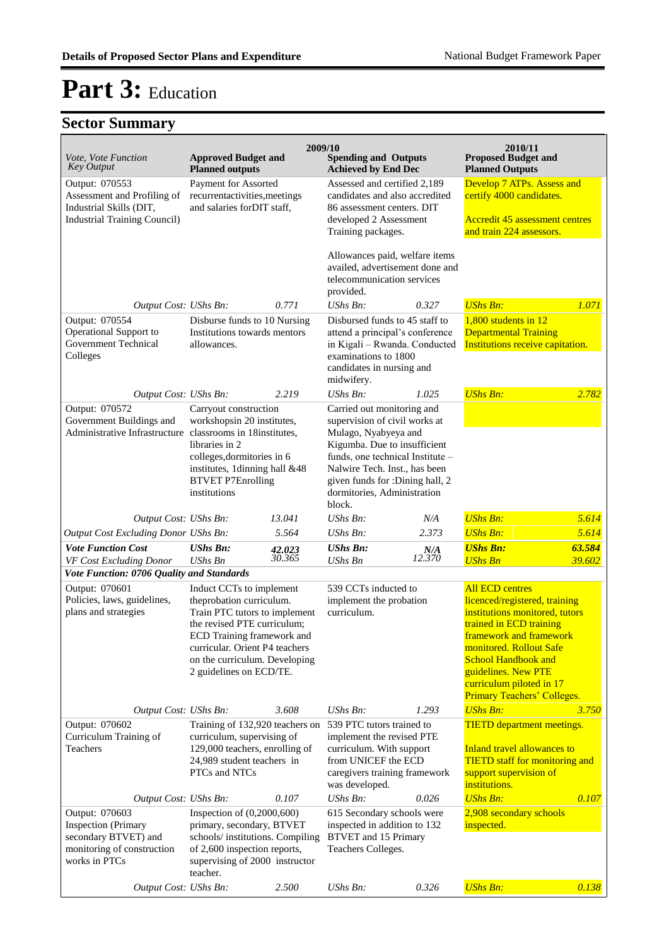|                                                                                                                     |                                                                                                                                                                                                                                                  | 2009/10          |                                                                                                                                                                                                                                                            |                                                                                                                                            | 2010/11                                                                                                                                                                                                                                                                                    |                                                                                                                                                             |  |
|---------------------------------------------------------------------------------------------------------------------|--------------------------------------------------------------------------------------------------------------------------------------------------------------------------------------------------------------------------------------------------|------------------|------------------------------------------------------------------------------------------------------------------------------------------------------------------------------------------------------------------------------------------------------------|--------------------------------------------------------------------------------------------------------------------------------------------|--------------------------------------------------------------------------------------------------------------------------------------------------------------------------------------------------------------------------------------------------------------------------------------------|-------------------------------------------------------------------------------------------------------------------------------------------------------------|--|
| Vote, Vote Function<br><b>Key Output</b>                                                                            | <b>Approved Budget and</b><br><b>Planned outputs</b>                                                                                                                                                                                             |                  | <b>Spending and Outputs</b><br><b>Achieved by End Dec</b>                                                                                                                                                                                                  |                                                                                                                                            | <b>Proposed Budget and</b><br><b>Planned Outputs</b>                                                                                                                                                                                                                                       |                                                                                                                                                             |  |
| Output: 070553<br>Assessment and Profiling of<br>Industrial Skills (DIT,                                            | Payment for Assorted<br>recurrentactivities, meetings<br>and salaries for DIT staff,                                                                                                                                                             |                  | Assessed and certified 2,189<br>candidates and also accredited<br>86 assessment centers. DIT                                                                                                                                                               |                                                                                                                                            | Develop 7 ATPs. Assess and<br>certify 4000 candidates.                                                                                                                                                                                                                                     |                                                                                                                                                             |  |
| <b>Industrial Training Council)</b>                                                                                 |                                                                                                                                                                                                                                                  |                  | developed 2 Assessment<br>Training packages.                                                                                                                                                                                                               |                                                                                                                                            | <b>Accredit 45 assessment centres</b><br>and train 224 assessors.                                                                                                                                                                                                                          |                                                                                                                                                             |  |
|                                                                                                                     |                                                                                                                                                                                                                                                  |                  | Allowances paid, welfare items<br>availed, advertisement done and<br>telecommunication services<br>provided.                                                                                                                                               |                                                                                                                                            |                                                                                                                                                                                                                                                                                            |                                                                                                                                                             |  |
| Output Cost: UShs Bn:                                                                                               |                                                                                                                                                                                                                                                  | 0.771            | UShs Bn:                                                                                                                                                                                                                                                   | 0.327                                                                                                                                      | <b>UShs Bn:</b>                                                                                                                                                                                                                                                                            | 1.071                                                                                                                                                       |  |
| Output: 070554                                                                                                      | Disburse funds to 10 Nursing                                                                                                                                                                                                                     |                  | Disbursed funds to 45 staff to                                                                                                                                                                                                                             |                                                                                                                                            | $1,800$ students in 12                                                                                                                                                                                                                                                                     |                                                                                                                                                             |  |
| Operational Support to<br>Government Technical<br>Colleges                                                          | Institutions towards mentors<br>allowances.                                                                                                                                                                                                      |                  | attend a principal's conference<br>in Kigali - Rwanda. Conducted<br>examinations to 1800<br>candidates in nursing and<br>midwifery.                                                                                                                        |                                                                                                                                            | <b>Departmental Training</b><br>Institutions receive capitation.                                                                                                                                                                                                                           |                                                                                                                                                             |  |
| Output Cost: UShs Bn:                                                                                               |                                                                                                                                                                                                                                                  | 2.219            | UShs Bn:                                                                                                                                                                                                                                                   | 1.025                                                                                                                                      | <b>UShs Bn:</b>                                                                                                                                                                                                                                                                            | 2.782                                                                                                                                                       |  |
| Output: 070572<br>Government Buildings and<br>Administrative Infrastructure classrooms in 18 institutes,            | Carryout construction<br>workshopsin 20 institutes,<br>libraries in 2<br>colleges, dormitories in 6<br>institutes, 1dinning hall &48<br><b>BTVET P7Enrolling</b><br>institutions                                                                 |                  | Carried out monitoring and<br>supervision of civil works at<br>Mulago, Nyabyeya and<br>Kigumba. Due to insufficient<br>funds, one technical Institute -<br>Nalwire Tech. Inst., has been<br>given funds for :Dining hall, 2<br>dormitories, Administration |                                                                                                                                            |                                                                                                                                                                                                                                                                                            |                                                                                                                                                             |  |
|                                                                                                                     |                                                                                                                                                                                                                                                  |                  | block.                                                                                                                                                                                                                                                     |                                                                                                                                            |                                                                                                                                                                                                                                                                                            |                                                                                                                                                             |  |
| Output Cost: UShs Bn:<br>Output Cost Excluding Donor UShs Bn:                                                       |                                                                                                                                                                                                                                                  | 13.041<br>5.564  | UShs Bn:<br>UShs Bn:                                                                                                                                                                                                                                       | N/A<br>2.373                                                                                                                               | <b>UShs Bn:</b><br><b>UShs Bn:</b>                                                                                                                                                                                                                                                         | 5.614<br>5.614                                                                                                                                              |  |
| <b>Vote Function Cost</b><br>VF Cost Excluding Donor                                                                | <b>UShs Bn:</b><br><b>UShs Bn</b>                                                                                                                                                                                                                | 42.023<br>30.365 | <b>UShs Bn:</b><br><b>UShs Bn</b>                                                                                                                                                                                                                          | N/A<br>12.370                                                                                                                              | <b>UShs Bn:</b><br><b>UShs Bn</b>                                                                                                                                                                                                                                                          | 63.584<br>39.602                                                                                                                                            |  |
| Vote Function: 0706 Quality and Standards                                                                           |                                                                                                                                                                                                                                                  |                  |                                                                                                                                                                                                                                                            |                                                                                                                                            |                                                                                                                                                                                                                                                                                            |                                                                                                                                                             |  |
| Output: 070601<br>Policies, laws, guidelines,<br>plans and strategies                                               | Induct CCTs to implement<br>theprobation curriculum.<br>Train PTC tutors to implement<br>the revised PTE curriculum;<br>ECD Training framework and<br>curricular. Orient P4 teachers<br>on the curriculum. Developing<br>2 guidelines on ECD/TE. |                  | 539 CCTs inducted to<br>implement the probation<br>curriculum.                                                                                                                                                                                             |                                                                                                                                            | <b>All ECD centres</b><br>licenced/registered, training<br>institutions monitored, tutors<br>trained in ECD training<br>framework and framework<br>monitored. Rollout Safe<br><b>School Handbook and</b><br>guidelines. New PTE<br>curriculum piloted in 17<br>Primary Teachers' Colleges. |                                                                                                                                                             |  |
| Output Cost: UShs Bn:                                                                                               |                                                                                                                                                                                                                                                  | 3.608            | UShs Bn:                                                                                                                                                                                                                                                   | 1.293                                                                                                                                      | <b>UShs Bn:</b>                                                                                                                                                                                                                                                                            | 3.750                                                                                                                                                       |  |
| Output: 070602<br>Curriculum Training of<br>Teachers                                                                | Training of 132,920 teachers on<br>curriculum, supervising of<br>129,000 teachers, enrolling of<br>24,989 student teachers in<br>PTCs and NTCs                                                                                                   |                  | was developed.                                                                                                                                                                                                                                             | 539 PTC tutors trained to<br>implement the revised PTE<br>curriculum. With support<br>from UNICEF the ECD<br>caregivers training framework |                                                                                                                                                                                                                                                                                            | <b>TIETD</b> department meetings.<br>Inland travel allowances to<br><b>TIETD</b> staff for monitoring and<br>support supervision of<br><i>institutions.</i> |  |
| Output Cost: UShs Bn:                                                                                               |                                                                                                                                                                                                                                                  | 0.107            | <b>UShs Bn:</b>                                                                                                                                                                                                                                            | 0.026                                                                                                                                      | <b>UShs Bn:</b>                                                                                                                                                                                                                                                                            | 0.107                                                                                                                                                       |  |
| Output: 070603<br><b>Inspection</b> (Primary<br>secondary BTVET) and<br>monitoring of construction<br>works in PTCs | Inspection of $(0,2000,600)$<br>primary, secondary, BTVET<br>schools/institutions. Compiling<br>of 2,600 inspection reports,<br>supervising of 2000 instructor<br>teacher.                                                                       |                  | 615 Secondary schools were<br>inspected in addition to 132<br><b>BTVET</b> and 15 Primary<br>Teachers Colleges.                                                                                                                                            |                                                                                                                                            | 2,908 secondary schools<br>inspected.                                                                                                                                                                                                                                                      |                                                                                                                                                             |  |
| Output Cost: UShs Bn:                                                                                               |                                                                                                                                                                                                                                                  | 2.500            | <b>UShs Bn:</b>                                                                                                                                                                                                                                            | 0.326                                                                                                                                      | <b>UShs Bn:</b>                                                                                                                                                                                                                                                                            | 0.138                                                                                                                                                       |  |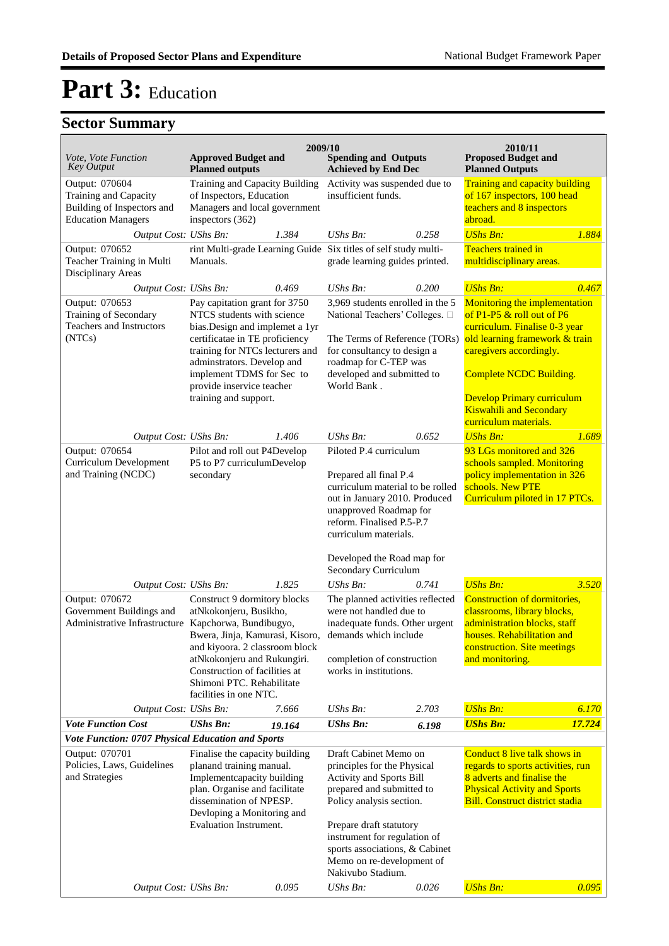|                                                                                                    |                                                                                                                                                                                                                                                                                      | 2009/10 |                                                                                                                                                                                                                                                                                          |       | 2010/11                                                                                                                                                                                                                                                                                    |                             |  |
|----------------------------------------------------------------------------------------------------|--------------------------------------------------------------------------------------------------------------------------------------------------------------------------------------------------------------------------------------------------------------------------------------|---------|------------------------------------------------------------------------------------------------------------------------------------------------------------------------------------------------------------------------------------------------------------------------------------------|-------|--------------------------------------------------------------------------------------------------------------------------------------------------------------------------------------------------------------------------------------------------------------------------------------------|-----------------------------|--|
| Vote, Vote Function<br><b>Key Output</b>                                                           | <b>Approved Budget and</b><br><b>Planned outputs</b>                                                                                                                                                                                                                                 |         | <b>Spending and Outputs</b><br><b>Achieved by End Dec</b>                                                                                                                                                                                                                                |       | <b>Proposed Budget and</b><br><b>Planned Outputs</b>                                                                                                                                                                                                                                       |                             |  |
| Output: 070604<br>Training and Capacity<br>Building of Inspectors and<br><b>Education Managers</b> | Training and Capacity Building<br>of Inspectors, Education<br>Managers and local government<br>inspectors (362)                                                                                                                                                                      |         | Activity was suspended due to<br>insufficient funds.                                                                                                                                                                                                                                     |       | <b>Training and capacity building</b><br>teachers and 8 inspectors<br>abroad.                                                                                                                                                                                                              | of 167 inspectors, 100 head |  |
| Output Cost: UShs Bn:                                                                              |                                                                                                                                                                                                                                                                                      | 1.384   | UShs Bn:                                                                                                                                                                                                                                                                                 | 0.258 | <b>UShs Bn:</b>                                                                                                                                                                                                                                                                            | 1.884                       |  |
| Output: 070652<br>Teacher Training in Multi<br>Disciplinary Areas                                  | Manuals.                                                                                                                                                                                                                                                                             |         | rint Multi-grade Learning Guide Six titles of self study multi-<br>grade learning guides printed.                                                                                                                                                                                        |       | <b>Teachers trained in</b><br>multidisciplinary areas.                                                                                                                                                                                                                                     |                             |  |
| Output Cost: UShs Bn:                                                                              |                                                                                                                                                                                                                                                                                      | 0.469   | $UShs Bn$ :                                                                                                                                                                                                                                                                              | 0.200 | <b>UShs Bn:</b>                                                                                                                                                                                                                                                                            | 0.467                       |  |
| Output: 070653<br>Training of Secondary<br>Teachers and Instructors<br>(NTCs)                      | Pay capitation grant for 3750<br>NTCS students with science<br>bias. Design and implemet a 1yr<br>certificatae in TE proficiency<br>training for NTCs lecturers and<br>adminstrators. Develop and<br>implement TDMS for Sec to<br>provide inservice teacher<br>training and support. |         | 3,969 students enrolled in the 5<br>National Teachers' Colleges. $\square$<br>The Terms of Reference (TORs)<br>for consultancy to design a<br>roadmap for C-TEP was<br>developed and submitted to<br>World Bank.                                                                         |       | Monitoring the implementation<br>of P1-P5 & roll out of P6<br>curriculum. Finalise 0-3 year<br>old learning framework & train<br>caregivers accordingly.<br><b>Complete NCDC Building.</b><br><b>Develop Primary curriculum</b><br><b>Kiswahili and Secondary</b><br>curriculum materials. |                             |  |
| Output Cost: UShs Bn:                                                                              |                                                                                                                                                                                                                                                                                      | 1.406   | UShs Bn:                                                                                                                                                                                                                                                                                 | 0.652 | <b>UShs Bn:</b>                                                                                                                                                                                                                                                                            | 1.689                       |  |
| Output: 070654<br><b>Curriculum Development</b><br>and Training (NCDC)                             | Pilot and roll out P4Develop<br>P5 to P7 curriculumDevelop<br>secondary                                                                                                                                                                                                              |         | Piloted P.4 curriculum<br>Prepared all final P.4<br>curriculum material to be rolled<br>out in January 2010. Produced<br>unapproved Roadmap for<br>reform. Finalised P.5-P.7<br>curriculum materials.<br>Developed the Road map for                                                      |       | 93 LGs monitored and 326<br>schools sampled. Monitoring<br>policy implementation in 326<br>schools. New PTE<br>Curriculum piloted in 17 PTCs.                                                                                                                                              |                             |  |
|                                                                                                    |                                                                                                                                                                                                                                                                                      |         | Secondary Curriculum                                                                                                                                                                                                                                                                     |       |                                                                                                                                                                                                                                                                                            |                             |  |
| Output Cost: UShs Bn:                                                                              |                                                                                                                                                                                                                                                                                      | 1.825   | <b>UShs Bn:</b>                                                                                                                                                                                                                                                                          | 0.741 | <b>UShs Bn:</b>                                                                                                                                                                                                                                                                            | 3.520                       |  |
| Output: 070672<br>Government Buildings and<br>Administrative Infrastructure Kapchorwa, Bundibugyo, | Construct 9 dormitory blocks<br>atNkokonjeru, Busikho,<br>Bwera, Jinja, Kamurasi, Kisoro,<br>and kiyoora. 2 classroom block<br>atNkokonjeru and Rukungiri.<br>Construction of facilities at<br>Shimoni PTC. Rehabilitate<br>facilities in one NTC.                                   |         | The planned activities reflected<br>were not handled due to<br>inadequate funds. Other urgent<br>demands which include<br>completion of construction<br>works in institutions.                                                                                                           |       | Construction of dormitories,<br>classrooms, library blocks,<br>administration blocks, staff<br>houses. Rehabilitation and<br>construction. Site meetings<br>and monitoring.                                                                                                                |                             |  |
| Output Cost: UShs Bn:                                                                              |                                                                                                                                                                                                                                                                                      | 7.666   | UShs Bn:                                                                                                                                                                                                                                                                                 | 2.703 | <b>UShs Bn:</b>                                                                                                                                                                                                                                                                            | 6.170                       |  |
| <b>Vote Function Cost</b>                                                                          | <b>UShs Bn:</b>                                                                                                                                                                                                                                                                      | 19.164  | <b>UShs Bn:</b>                                                                                                                                                                                                                                                                          | 6.198 | <b>UShs Bn:</b>                                                                                                                                                                                                                                                                            | 17.724                      |  |
| Vote Function: 0707 Physical Education and Sports                                                  |                                                                                                                                                                                                                                                                                      |         |                                                                                                                                                                                                                                                                                          |       |                                                                                                                                                                                                                                                                                            |                             |  |
| Output: 070701<br>Policies, Laws, Guidelines<br>and Strategies                                     | Finalise the capacity building<br>planand training manual.<br>Implementcapacity building<br>plan. Organise and facilitate<br>dissemination of NPESP.<br>Devloping a Monitoring and<br>Evaluation Instrument.                                                                         |         | Draft Cabinet Memo on<br>principles for the Physical<br>Activity and Sports Bill<br>prepared and submitted to<br>Policy analysis section.<br>Prepare draft statutory<br>instrument for regulation of<br>sports associations, & Cabinet<br>Memo on re-development of<br>Nakivubo Stadium. |       | Conduct 8 live talk shows in<br>regards to sports activities, run<br>8 adverts and finalise the<br><b>Physical Activity and Sports</b><br><b>Bill. Construct district stadia</b>                                                                                                           |                             |  |
| Output Cost: UShs Bn:                                                                              |                                                                                                                                                                                                                                                                                      | 0.095   | UShs Bn:                                                                                                                                                                                                                                                                                 | 0.026 | <b>UShs Bn:</b>                                                                                                                                                                                                                                                                            | 0.095                       |  |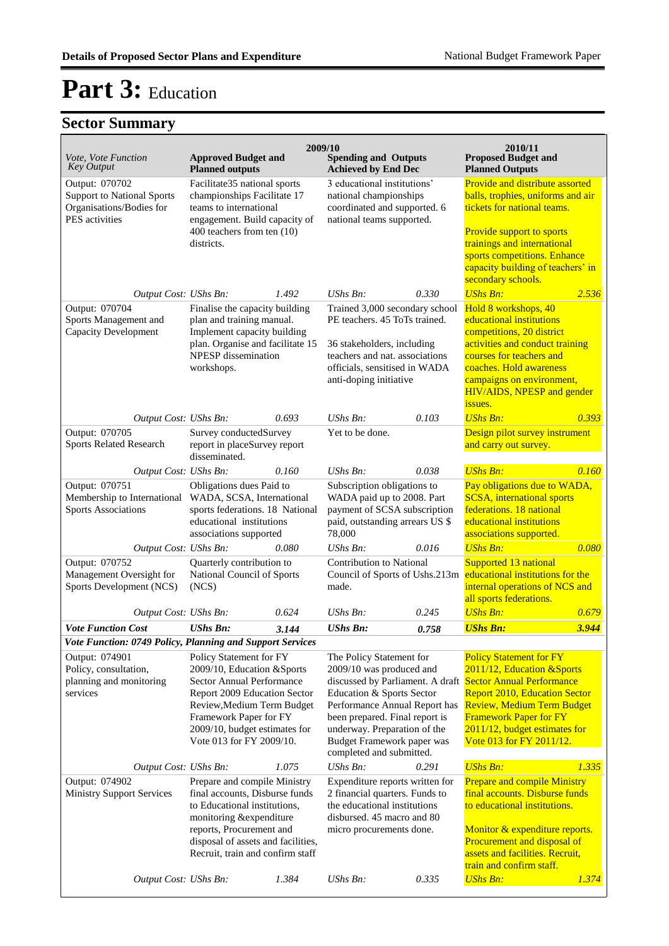| <i>Vote, Vote Function</i><br><b>Key Output</b>                                                   | <b>Approved Budget and</b><br><b>Planned outputs</b>                                                                                                                                                                                                                                                 |       | 2009/10<br><b>Spending and Outputs</b><br><b>Achieved by End Dec</b>                                                                                                                                                                           |       | 2010/11<br><b>Proposed Budget and</b><br><b>Planned Outputs</b>                                                                                                                                                                                                                                        |              |
|---------------------------------------------------------------------------------------------------|------------------------------------------------------------------------------------------------------------------------------------------------------------------------------------------------------------------------------------------------------------------------------------------------------|-------|------------------------------------------------------------------------------------------------------------------------------------------------------------------------------------------------------------------------------------------------|-------|--------------------------------------------------------------------------------------------------------------------------------------------------------------------------------------------------------------------------------------------------------------------------------------------------------|--------------|
| Output: 070702<br><b>Support to National Sports</b><br>Organisations/Bodies for<br>PES activities | Facilitate35 national sports<br>championships Facilitate 17<br>teams to international<br>engagement. Build capacity of<br>400 teachers from ten (10)<br>districts.                                                                                                                                   |       | 3 educational institutions'<br>national championships<br>coordinated and supported. 6<br>national teams supported.                                                                                                                             |       | Provide and distribute assorted<br>balls, trophies, uniforms and air<br>tickets for national teams.<br>Provide support to sports<br>trainings and international<br>sports competitions. Enhance<br>capacity building of teachers' in<br>secondary schools.                                             |              |
| Output Cost: UShs Bn:<br>Output: 070704<br>Sports Management and<br><b>Capacity Development</b>   | 1.492<br>Finalise the capacity building<br>plan and training manual.<br>Implement capacity building<br>plan. Organise and facilitate 15<br>NPESP dissemination<br>workshops.                                                                                                                         |       | 0.330<br>$UShs Bn$ :<br>Trained 3,000 secondary school<br>PE teachers. 45 ToTs trained.<br>36 stakeholders, including<br>teachers and nat. associations<br>officials, sensitised in WADA<br>anti-doping initiative                             |       | <b>UShs Bn:</b><br>2.536<br>Hold 8 workshops, 40<br>educational institutions<br>competitions, 20 district<br>activities and conduct training<br>courses for teachers and<br>coaches. Hold awareness<br>campaigns on environment,<br>HIV/AIDS, NPESP and gender<br>issues.                              |              |
| Output Cost: UShs Bn:<br>Output: 070705                                                           | Survey conductedSurvey                                                                                                                                                                                                                                                                               | 0.693 | UShs Bn:<br>Yet to be done.                                                                                                                                                                                                                    | 0.103 | <b>UShs Bn:</b><br>Design pilot survey instrument                                                                                                                                                                                                                                                      | 0.393        |
| Sports Related Research                                                                           | report in placeSurvey report<br>disseminated.                                                                                                                                                                                                                                                        |       |                                                                                                                                                                                                                                                |       | and carry out survey.                                                                                                                                                                                                                                                                                  |              |
| Output Cost: UShs Bn:                                                                             |                                                                                                                                                                                                                                                                                                      | 0.160 | UShs Bn:                                                                                                                                                                                                                                       | 0.038 | <b>UShs Bn:</b>                                                                                                                                                                                                                                                                                        | 0.160        |
| Output: 070751<br>Membership to International<br><b>Sports Associations</b>                       | Obligations dues Paid to<br>WADA, SCSA, International<br>sports federations. 18 National<br>educational institutions                                                                                                                                                                                 |       | Subscription obligations to<br>WADA paid up to 2008. Part<br>payment of SCSA subscription<br>paid, outstanding arrears US \$<br>78,000                                                                                                         |       | Pay obligations due to WADA,<br><b>SCSA</b> , international sports<br>federations. 18 national<br>educational institutions<br>associations supported.                                                                                                                                                  |              |
|                                                                                                   | associations supported                                                                                                                                                                                                                                                                               |       | UShs Bn:                                                                                                                                                                                                                                       | 0.016 | <b>UShs Bn:</b>                                                                                                                                                                                                                                                                                        | 0.080        |
| Output: 070752<br>Management Oversight for<br>Sports Development (NCS)                            | 0.080<br>Output Cost: UShs Bn:<br>Quarterly contribution to<br>National Council of Sports<br>(NCS)                                                                                                                                                                                                   |       | <b>Contribution to National</b><br>Council of Sports of Ushs.213m<br>made.                                                                                                                                                                     |       | Supported 13 national<br>educational institutions for the<br>internal operations of NCS and<br>all sports federations.                                                                                                                                                                                 |              |
| Output Cost: UShs Bn:                                                                             |                                                                                                                                                                                                                                                                                                      | 0.624 | UShs Bn:                                                                                                                                                                                                                                       | 0.245 | <b>UShs Bn:</b>                                                                                                                                                                                                                                                                                        | 0.679        |
| <b>Vote Function Cost</b>                                                                         | <b>UShs Bn:</b>                                                                                                                                                                                                                                                                                      | 3.144 | <b>UShs Bn:</b>                                                                                                                                                                                                                                | 0.758 | <b>UShs Bn:</b>                                                                                                                                                                                                                                                                                        | 3.944        |
| Output: 074901<br>Policy, consultation,<br>planning and monitoring<br>services                    | Vote Function: 0749 Policy, Planning and Support Services<br>Policy Statement for FY<br>2009/10, Education &Sports<br>Sector Annual Performance<br>Report 2009 Education Sector<br>Review, Medium Term Budget<br>Framework Paper for FY<br>2009/10, budget estimates for<br>Vote 013 for FY 2009/10. |       | The Policy Statement for<br>2009/10 was produced and<br>Education & Sports Sector<br>Performance Annual Report has<br>been prepared. Final report is<br>underway. Preparation of the<br>Budget Framework paper was<br>completed and submitted. |       | <b>Policy Statement for FY</b><br>2011/12, Education & Sports<br>discussed by Parliament. A draft Sector Annual Performance<br><b>Report 2010, Education Sector</b><br><b>Review, Medium Term Budget</b><br><b>Framework Paper for FY</b><br>2011/12, budget estimates for<br>Vote 013 for FY 2011/12. |              |
| Output Cost: UShs Bn:                                                                             |                                                                                                                                                                                                                                                                                                      | 1.075 | UShs Bn:                                                                                                                                                                                                                                       | 0.291 | <b>UShs Bn:</b>                                                                                                                                                                                                                                                                                        | 1.335        |
| Output: 074902<br><b>Ministry Support Services</b>                                                | Prepare and compile Ministry<br>final accounts, Disburse funds<br>to Educational institutions,<br>monitoring &expenditure<br>reports, Procurement and<br>disposal of assets and facilities,<br>Recruit, train and confirm staff                                                                      |       | Expenditure reports written for<br>2 financial quarters. Funds to<br>the educational institutions<br>disbursed. 45 macro and 80<br>micro procurements done.                                                                                    |       | <b>Prepare and compile Ministry</b><br>final accounts. Disburse funds<br>to educational institutions.<br>Monitor & expenditure reports.<br>Procurement and disposal of<br>assets and facilities. Recruit,<br>train and confirm staff.                                                                  |              |
| Output Cost: UShs Bn:                                                                             |                                                                                                                                                                                                                                                                                                      | 1.384 | UShs Bn:                                                                                                                                                                                                                                       | 0.335 | <b>UShs Bn:</b>                                                                                                                                                                                                                                                                                        | <u>1.374</u> |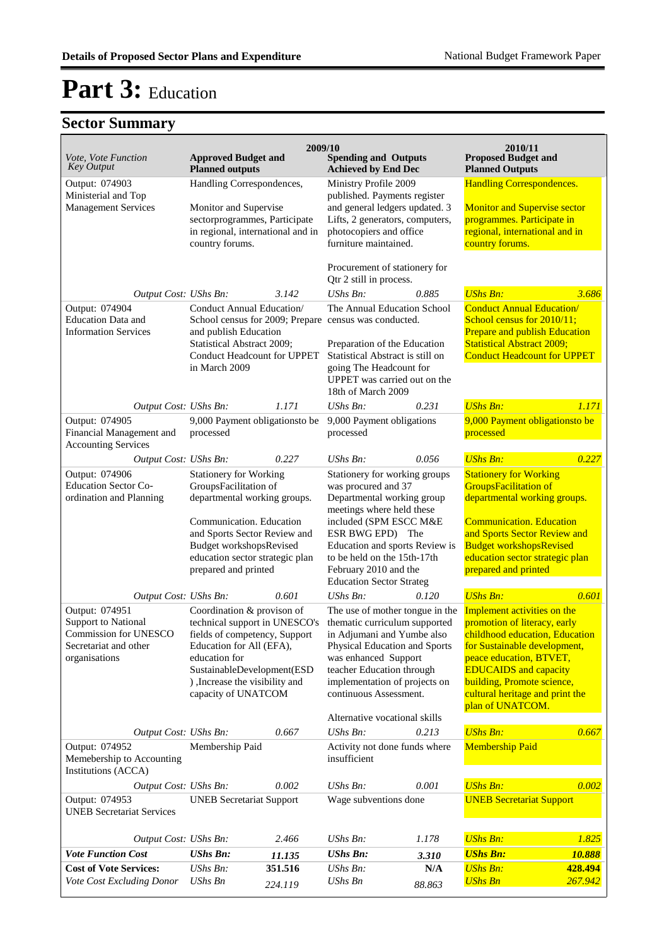| Vote, Vote Function<br><b>Key Output</b>                                                                        | <b>Approved Budget and</b><br><b>Planned outputs</b>                                                                                                                                                                             |                    | 2009/10<br><b>Spending and Outputs</b><br><b>Achieved by End Dec</b>                                                                                                                                                                            |                                                                                                                 | 2010/11<br><b>Proposed Budget and</b><br><b>Planned Outputs</b>                                                                                                                                                                                                               |                              |
|-----------------------------------------------------------------------------------------------------------------|----------------------------------------------------------------------------------------------------------------------------------------------------------------------------------------------------------------------------------|--------------------|-------------------------------------------------------------------------------------------------------------------------------------------------------------------------------------------------------------------------------------------------|-----------------------------------------------------------------------------------------------------------------|-------------------------------------------------------------------------------------------------------------------------------------------------------------------------------------------------------------------------------------------------------------------------------|------------------------------|
| Output: 074903<br>Ministerial and Top<br><b>Management Services</b>                                             | Handling Correspondences,<br>Monitor and Supervise<br>sectorprogrammes, Participate<br>in regional, international and in<br>country forums.                                                                                      |                    | Ministry Profile 2009<br>published. Payments register<br>and general ledgers updated. 3<br>Lifts, 2 generators, computers,<br>photocopiers and office<br>furniture maintained.                                                                  |                                                                                                                 | <b>Handling Correspondences.</b><br><b>Monitor and Supervise sector</b><br>programmes. Participate in<br>regional, international and in<br>country forums.                                                                                                                    |                              |
| Output Cost: UShs Bn:                                                                                           |                                                                                                                                                                                                                                  | 3.142              |                                                                                                                                                                                                                                                 | Procurement of stationery for<br>Qtr 2 still in process.<br>0.885<br><b>UShs Bn:</b>                            |                                                                                                                                                                                                                                                                               | 3.686                        |
| Output: 074904<br><b>Education Data and</b><br><b>Information Services</b>                                      | Conduct Annual Education/<br>School census for 2009; Prepare census was conducted.<br>and publish Education<br>Statistical Abstract 2009;<br><b>Conduct Headcount for UPPET</b><br>in March 2009                                 |                    | The Annual Education School<br>Preparation of the Education<br>Statistical Abstract is still on<br>going The Headcount for<br>UPPET was carried out on the<br>18th of March 2009                                                                |                                                                                                                 | <b>Conduct Annual Education/</b><br>School census for 2010/11;<br>Prepare and publish Education<br><b>Statistical Abstract 2009;</b><br><b>Conduct Headcount for UPPET</b>                                                                                                    |                              |
| Output Cost: UShs Bn:<br>Output: 074905                                                                         | 9,000 Payment obligations to be                                                                                                                                                                                                  | 1.171              | <b>UShs Bn:</b><br>9,000 Payment obligations                                                                                                                                                                                                    | 0.231                                                                                                           | <b>UShs Bn:</b><br>9,000 Payment obligationsto be                                                                                                                                                                                                                             | 1.171                        |
| Financial Management and<br><b>Accounting Services</b>                                                          | processed                                                                                                                                                                                                                        |                    | processed                                                                                                                                                                                                                                       |                                                                                                                 | processed                                                                                                                                                                                                                                                                     |                              |
| Output Cost: UShs Bn:                                                                                           |                                                                                                                                                                                                                                  | 0.227              | <b>UShs Bn:</b>                                                                                                                                                                                                                                 | 0.056                                                                                                           | <b>UShs Bn:</b><br><b>Stationery for Working</b>                                                                                                                                                                                                                              | 0.227                        |
| Output: 074906<br>Education Sector Co-<br>ordination and Planning                                               | <b>Stationery for Working</b><br>GroupsFacilitation of<br>departmental working groups.                                                                                                                                           |                    |                                                                                                                                                                                                                                                 | Stationery for working groups<br>was procured and 37<br>Departmental working group<br>meetings where held these |                                                                                                                                                                                                                                                                               | departmental working groups. |
|                                                                                                                 | Communication. Education<br>and Sports Sector Review and<br><b>Budget workshopsRevised</b><br>education sector strategic plan<br>prepared and printed                                                                            |                    | included (SPM ESCC M&E<br>ESR BWG EPD) The<br>Education and sports Review is<br>to be held on the 15th-17th<br>February 2010 and the<br><b>Education Sector Strateg</b>                                                                         |                                                                                                                 | <b>Communication. Education</b><br>and Sports Sector Review and<br><b>Budget workshopsRevised</b><br>education sector strategic plan<br>prepared and printed                                                                                                                  |                              |
| Output Cost: UShs Bn:                                                                                           |                                                                                                                                                                                                                                  | 0.601              | $UShs Bn$ :                                                                                                                                                                                                                                     | 0.120                                                                                                           | <b>UShs Bn:</b>                                                                                                                                                                                                                                                               | 0.601                        |
| Output: 074951<br><b>Support to National</b><br>Commission for UNESCO<br>Secretariat and other<br>organisations | Coordination & provison of<br>technical support in UNESCO's<br>fields of competency, Support<br>Education for All (EFA),<br>education for<br>SustainableDevelopment(ESD<br>), Increase the visibility and<br>capacity of UNATCOM |                    | The use of mother tongue in the<br>thematic curriculum supported<br>in Adjumani and Yumbe also<br>Physical Education and Sports<br>was enhanced Support<br>teacher Education through<br>implementation of projects on<br>continuous Assessment. |                                                                                                                 | Implement activities on the<br>promotion of literacy, early<br>childhood education. Education<br>for Sustainable development,<br>peace education, BTVET,<br><b>EDUCAIDS</b> and capacity<br>building, Promote science,<br>cultural heritage and print the<br>plan of UNATCOM. |                              |
|                                                                                                                 |                                                                                                                                                                                                                                  |                    | Alternative vocational skills                                                                                                                                                                                                                   |                                                                                                                 |                                                                                                                                                                                                                                                                               |                              |
| Output Cost: UShs Bn:                                                                                           |                                                                                                                                                                                                                                  | 0.667              | UShs Bn:                                                                                                                                                                                                                                        | 0.213                                                                                                           | <b>UShs Bn:</b>                                                                                                                                                                                                                                                               | 0.667                        |
| Output: 074952<br>Memebership to Accounting<br>Institutions (ACCA)                                              | Membership Paid                                                                                                                                                                                                                  |                    | Activity not done funds where<br>insufficient                                                                                                                                                                                                   |                                                                                                                 | <b>Membership Paid</b>                                                                                                                                                                                                                                                        |                              |
| Output Cost: UShs Bn:                                                                                           |                                                                                                                                                                                                                                  | 0.002              | UShs Bn:                                                                                                                                                                                                                                        | 0.001                                                                                                           | <b>UShs Bn:</b>                                                                                                                                                                                                                                                               | 0.002                        |
| Output: 074953<br><b>UNEB Secretariat Services</b>                                                              | <b>UNEB</b> Secretariat Support                                                                                                                                                                                                  |                    | Wage subventions done                                                                                                                                                                                                                           |                                                                                                                 | <b>UNEB Secretariat Support</b>                                                                                                                                                                                                                                               |                              |
| Output Cost: UShs Bn:                                                                                           |                                                                                                                                                                                                                                  | 2.466              | UShs Bn:                                                                                                                                                                                                                                        | 1.178                                                                                                           | <b>UShs Bn:</b>                                                                                                                                                                                                                                                               | 1.825                        |
| <b>Vote Function Cost</b>                                                                                       | <b>UShs Bn:</b>                                                                                                                                                                                                                  | 11.135             | <b>UShs Bn:</b>                                                                                                                                                                                                                                 | 3.310                                                                                                           | <b>UShs Bn:</b>                                                                                                                                                                                                                                                               | 10.888                       |
| <b>Cost of Vote Services:</b><br>Vote Cost Excluding Donor                                                      | UShs Bn:<br><b>UShs Bn</b>                                                                                                                                                                                                       | 351.516<br>224.119 | <b>UShs Bn:</b><br><b>UShs Bn</b>                                                                                                                                                                                                               | N/A<br>88.863                                                                                                   | <b>UShs Bn:</b><br><b>UShs Bn</b>                                                                                                                                                                                                                                             | 428.494<br>267.942           |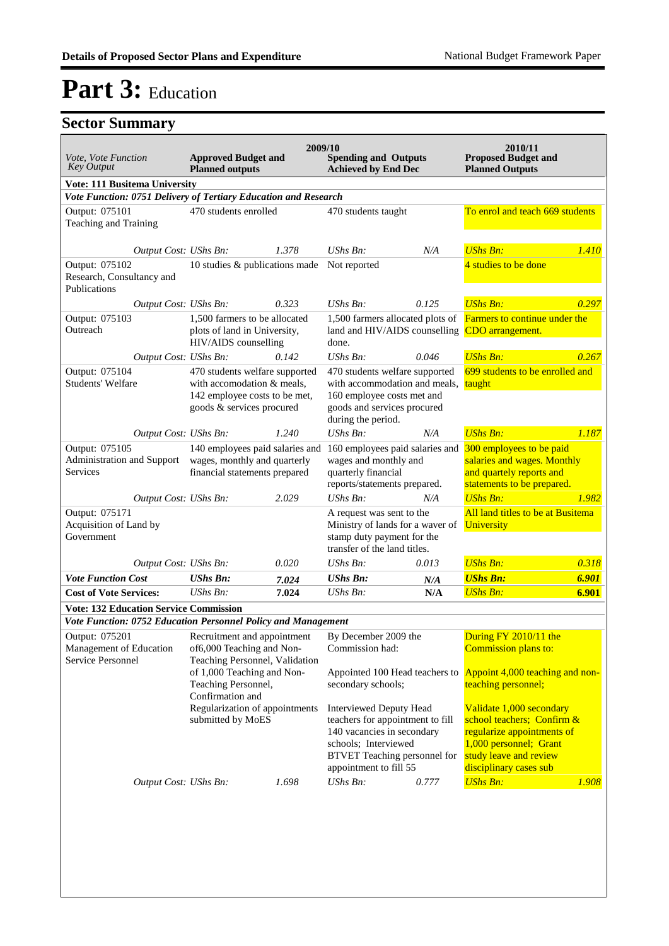| Vote, Vote Function<br><b>Key Output</b>                                                                        | <b>Approved Budget and</b><br><b>Planned outputs</b>                                                                       |       | 2009/10<br><b>Spending and Outputs</b><br><b>Achieved by End Dec</b>                                                                                                               |       | 2010/11<br><b>Proposed Budget and</b><br><b>Planned Outputs</b>                                                                                                    |       |
|-----------------------------------------------------------------------------------------------------------------|----------------------------------------------------------------------------------------------------------------------------|-------|------------------------------------------------------------------------------------------------------------------------------------------------------------------------------------|-------|--------------------------------------------------------------------------------------------------------------------------------------------------------------------|-------|
| Vote: 111 Busitema University                                                                                   |                                                                                                                            |       |                                                                                                                                                                                    |       |                                                                                                                                                                    |       |
| Vote Function: 0751 Delivery of Tertiary Education and Research<br>Output: 075101<br>Teaching and Training      | 470 students enrolled                                                                                                      |       | 470 students taught                                                                                                                                                                |       | To enrol and teach 669 students                                                                                                                                    |       |
| Output Cost: UShs Bn:<br>Output: 075102<br>Research, Consultancy and<br>Publications                            | 10 studies & publications made                                                                                             | 1.378 | UShs Bn:<br>Not reported                                                                                                                                                           | N/A   | <b>UShs Bn:</b><br>4 studies to be done                                                                                                                            | 1.410 |
| Output Cost: UShs Bn:                                                                                           |                                                                                                                            | 0.323 | $UShs Bn$ :                                                                                                                                                                        | 0.125 | <b>UShs Bn:</b>                                                                                                                                                    | 0.297 |
| Output: 075103<br>Outreach                                                                                      | 1,500 farmers to be allocated<br>plots of land in University,<br>HIV/AIDS counselling                                      |       | 1,500 farmers allocated plots of<br>land and HIV/AIDS counselling<br>done.                                                                                                         |       | <b>Farmers to continue under the</b><br>CDO arrangement.                                                                                                           |       |
| Output Cost: UShs Bn:                                                                                           |                                                                                                                            | 0.142 | UShs Bn:                                                                                                                                                                           | 0.046 | <b>UShs Bn:</b>                                                                                                                                                    | 0.267 |
| Output: 075104<br>Students' Welfare                                                                             | 470 students welfare supported<br>with accomodation & meals,<br>142 employee costs to be met,<br>goods & services procured |       | 470 students welfare supported<br>with accommodation and meals,<br>160 employee costs met and<br>goods and services procured<br>during the period.                                 |       | 699 students to be enrolled and<br>taught                                                                                                                          |       |
| Output Cost: UShs Bn:                                                                                           |                                                                                                                            | 1.240 | UShs Bn:                                                                                                                                                                           | N/A   | <b>UShs Bn:</b>                                                                                                                                                    | 1.187 |
| Output: 075105<br>Administration and Support<br>Services                                                        | 140 employees paid salaries and<br>wages, monthly and quarterly<br>financial statements prepared                           |       | 160 employees paid salaries and<br>wages and monthly and<br>quarterly financial<br>reports/statements prepared.                                                                    |       | 300 employees to be paid<br>salaries and wages. Monthly<br>and quartely reports and<br>statements to be prepared.                                                  |       |
| Output Cost: UShs Bn:                                                                                           |                                                                                                                            | 2.029 | UShs Bn:                                                                                                                                                                           | N/A   | <b>UShs Bn:</b>                                                                                                                                                    | 1.982 |
| Output: 075171<br>Acquisition of Land by<br>Government                                                          |                                                                                                                            |       | A request was sent to the<br>Ministry of lands for a waver of<br>stamp duty payment for the<br>transfer of the land titles.                                                        |       | All land titles to be at Busitema<br>University                                                                                                                    |       |
| Output Cost: UShs Bn:                                                                                           |                                                                                                                            | 0.020 | UShs Bn:                                                                                                                                                                           | 0.013 | <b>UShs Bn:</b>                                                                                                                                                    | 0.318 |
| <b>Vote Function Cost</b>                                                                                       | <b>UShs Bn:</b>                                                                                                            | 7.024 | <b>UShs Bn:</b>                                                                                                                                                                    | N/A   | <b>UShs Bn:</b>                                                                                                                                                    | 6.901 |
| <b>Cost of Vote Services:</b>                                                                                   | $UShs Bn$ :                                                                                                                | 7.024 | UShs Bn:                                                                                                                                                                           | N/A   | <b>UShs Bn:</b>                                                                                                                                                    | 6.901 |
| <b>Vote: 132 Education Service Commission</b>                                                                   |                                                                                                                            |       |                                                                                                                                                                                    |       |                                                                                                                                                                    |       |
| Vote Function: 0752 Education Personnel Policy and Management                                                   |                                                                                                                            |       |                                                                                                                                                                                    |       |                                                                                                                                                                    |       |
| Output: 075201 Recruitment and appointment By December 2009 the<br>Management of Education<br>Service Personnel | of6,000 Teaching and Non-<br>Teaching Personnel, Validation<br>of 1,000 Teaching and Non-<br>Teaching Personnel,           |       | Commission had:<br>Appointed 100 Head teachers to<br>secondary schools;                                                                                                            |       | During FY 2010/11 the<br>Commission plans to:<br>Appoint 4,000 teaching and non-<br>teaching personnel;                                                            |       |
|                                                                                                                 | Confirmation and<br>Regularization of appointments<br>submitted by MoES                                                    |       | <b>Interviewed Deputy Head</b><br>teachers for appointment to fill<br>140 vacancies in secondary<br>schools; Interviewed<br>BTVET Teaching personnel for<br>appointment to fill 55 |       | Validate 1,000 secondary<br>school teachers; Confirm &<br>regularize appointments of<br>1,000 personnel; Grant<br>study leave and review<br>disciplinary cases sub |       |
| Output Cost: UShs Bn:                                                                                           |                                                                                                                            | 1.698 | $UShs Bn$ :                                                                                                                                                                        | 0.777 | <b>UShs Bn:</b>                                                                                                                                                    | 1.908 |
|                                                                                                                 |                                                                                                                            |       |                                                                                                                                                                                    |       |                                                                                                                                                                    |       |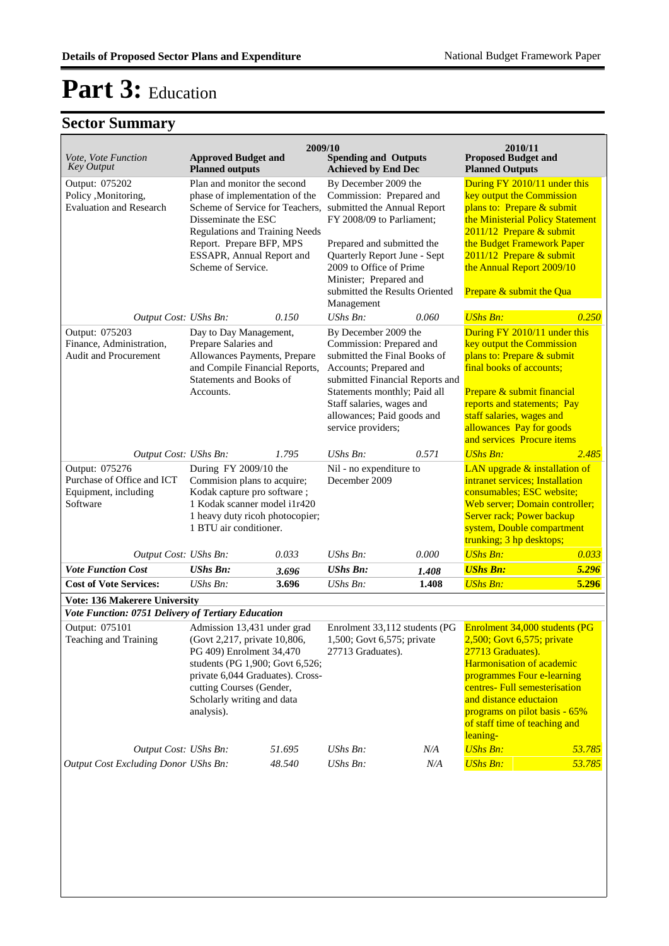| Vote, Vote Function<br><b>Key Output</b>                                                   | <b>Approved Budget and</b><br><b>Planned outputs</b>                                                                                                                                                                                            | 2009/10 | <b>Spending and Outputs</b><br><b>Achieved by End Dec</b>                                                                                                                                                                                                                       |       | 2010/11<br><b>Proposed Budget and</b><br><b>Planned Outputs</b>                                                                                                                                                                                                                      |        |
|--------------------------------------------------------------------------------------------|-------------------------------------------------------------------------------------------------------------------------------------------------------------------------------------------------------------------------------------------------|---------|---------------------------------------------------------------------------------------------------------------------------------------------------------------------------------------------------------------------------------------------------------------------------------|-------|--------------------------------------------------------------------------------------------------------------------------------------------------------------------------------------------------------------------------------------------------------------------------------------|--------|
| Output: 075202<br>Policy , Monitoring,<br><b>Evaluation and Research</b>                   | Plan and monitor the second<br>phase of implementation of the<br>Scheme of Service for Teachers,<br>Disseminate the ESC<br><b>Regulations and Training Needs</b><br>Report. Prepare BFP, MPS<br>ESSAPR, Annual Report and<br>Scheme of Service. |         | By December 2009 the<br>Commission: Prepared and<br>submitted the Annual Report<br>FY 2008/09 to Parliament;<br>Prepared and submitted the<br>Quarterly Report June - Sept<br>2009 to Office of Prime<br>Minister; Prepared and<br>submitted the Results Oriented<br>Management |       | During FY 2010/11 under this<br>key output the Commission<br>plans to: Prepare & submit<br>the Ministerial Policy Statement<br>2011/12 Prepare & submit<br>the Budget Framework Paper<br>2011/12 Prepare & submit<br>the Annual Report 2009/10<br>Prepare & submit the Qua           |        |
| Output Cost: UShs Bn:                                                                      |                                                                                                                                                                                                                                                 | 0.150   | <b>UShs Bn:</b>                                                                                                                                                                                                                                                                 | 0.060 | <b>UShs Bn:</b>                                                                                                                                                                                                                                                                      | 0.250  |
| Output: 075203<br>Finance, Administration,<br>Audit and Procurement                        | Day to Day Management,<br>Prepare Salaries and<br>Allowances Payments, Prepare<br>and Compile Financial Reports,<br>Statements and Books of<br>Accounts.                                                                                        |         | By December 2009 the<br>Commission: Prepared and<br>submitted the Final Books of<br>Accounts; Prepared and<br>submitted Financial Reports and<br>Statements monthly; Paid all<br>Staff salaries, wages and<br>allowances; Paid goods and<br>service providers;                  |       | During FY 2010/11 under this<br>key output the Commission<br>plans to: Prepare & submit<br>final books of accounts;<br>Prepare & submit financial<br>reports and statements; Pay<br>staff salaries, wages and<br>allowances Pay for goods<br>and services Procure items              |        |
|                                                                                            |                                                                                                                                                                                                                                                 | 1.795   | $UShs Bn$ :                                                                                                                                                                                                                                                                     | 0.571 | <b>UShs Bn:</b>                                                                                                                                                                                                                                                                      | 2.485  |
| Output: 075276<br>Purchase of Office and ICT<br>Equipment, including<br>Software           | Output Cost: UShs Bn:<br>During FY 2009/10 the<br>Commision plans to acquire;<br>Kodak capture pro software;<br>1 Kodak scanner model i1r420<br>1 heavy duty ricoh photocopier;<br>1 BTU air conditioner.                                       |         | Nil - no expenditure to<br>December 2009                                                                                                                                                                                                                                        |       | LAN upgrade & installation of<br>intranet services; Installation<br>consumables; ESC website;<br>Web server; Domain controller;<br>Server rack; Power backup<br>system, Double compartment<br>trunking; 3 hp desktops;                                                               |        |
| Output Cost: UShs Bn:                                                                      |                                                                                                                                                                                                                                                 | 0.033   | <b>UShs Bn:</b>                                                                                                                                                                                                                                                                 | 0.000 | <b>UShs Bn:</b>                                                                                                                                                                                                                                                                      | 0.033  |
| <b>Vote Function Cost</b>                                                                  | <b>UShs Bn:</b>                                                                                                                                                                                                                                 | 3.696   | <b>UShs Bn:</b>                                                                                                                                                                                                                                                                 | 1.408 | <b>UShs Bn:</b>                                                                                                                                                                                                                                                                      | 5.296  |
| <b>Cost of Vote Services:</b>                                                              | UShs Bn:                                                                                                                                                                                                                                        | 3.696   | UShs Bn:                                                                                                                                                                                                                                                                        | 1.408 | <b>UShs Bn:</b>                                                                                                                                                                                                                                                                      | 5.296  |
| <b>Vote: 136 Makerere University</b><br>Vote Function: 0751 Delivery of Tertiary Education |                                                                                                                                                                                                                                                 |         |                                                                                                                                                                                                                                                                                 |       |                                                                                                                                                                                                                                                                                      |        |
| Output: 075101<br>Teaching and Training                                                    | Admission 13,431 under grad<br>(Govt 2,217, private 10,806,<br>PG 409) Enrolment 34,470<br>students (PG 1,900; Govt 6,526;<br>private 6,044 Graduates). Cross-<br>cutting Courses (Gender,<br>Scholarly writing and data<br>analysis).          |         | Enrolment 33,112 students (PG<br>1,500; Govt 6,575; private<br>27713 Graduates).                                                                                                                                                                                                |       | Enrolment 34,000 students (PG<br>2,500; Govt 6,575; private<br>27713 Graduates).<br>Harmonisation of academic<br>programmes Four e-learning<br>centres- Full semesterisation<br>and distance eductaion<br>programs on pilot basis - 65%<br>of staff time of teaching and<br>leaning- |        |
| Output Cost: UShs Bn:                                                                      |                                                                                                                                                                                                                                                 | 51.695  | UShs Bn:                                                                                                                                                                                                                                                                        | N/A   | <b>UShs Bn:</b>                                                                                                                                                                                                                                                                      | 53.785 |
| Output Cost Excluding Donor UShs Bn:                                                       |                                                                                                                                                                                                                                                 | 48.540  | UShs Bn:                                                                                                                                                                                                                                                                        | N/A   | <b>UShs Bn:</b>                                                                                                                                                                                                                                                                      | 53.785 |
|                                                                                            |                                                                                                                                                                                                                                                 |         |                                                                                                                                                                                                                                                                                 |       |                                                                                                                                                                                                                                                                                      |        |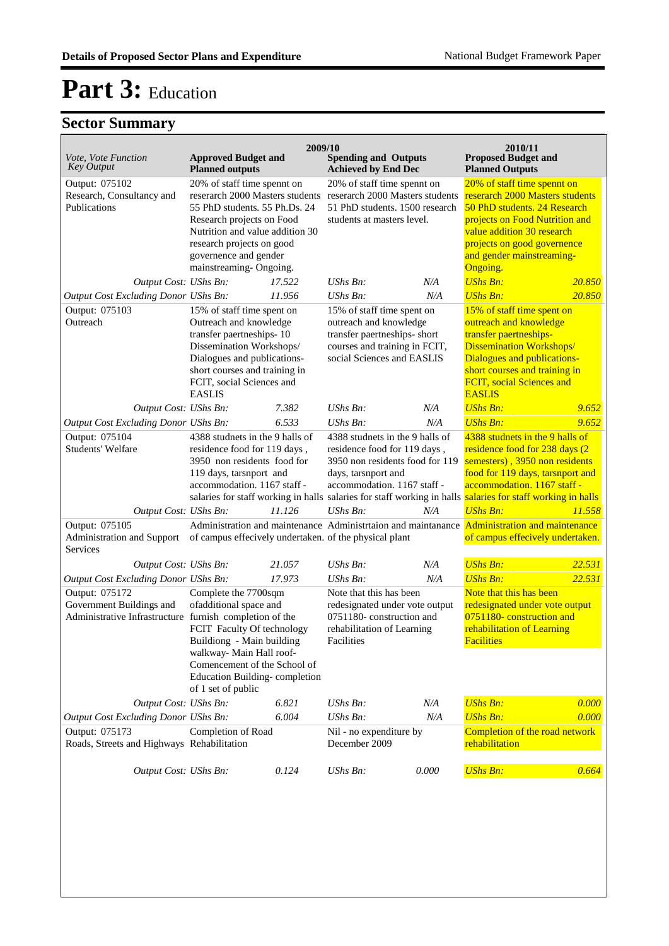| Vote, Vote Function<br><b>Key Output</b>                                                              | <b>Approved Budget and</b><br><b>Planned outputs</b>                                                                                                                                                                                            | 2009/10 | <b>Spending and Outputs</b><br><b>Achieved by End Dec</b>                                                                                                |       | 2010/11<br><b>Proposed Budget and</b><br><b>Planned Outputs</b>                                                                                                                                                                                                                        |        |
|-------------------------------------------------------------------------------------------------------|-------------------------------------------------------------------------------------------------------------------------------------------------------------------------------------------------------------------------------------------------|---------|----------------------------------------------------------------------------------------------------------------------------------------------------------|-------|----------------------------------------------------------------------------------------------------------------------------------------------------------------------------------------------------------------------------------------------------------------------------------------|--------|
| Output: 075102<br>Research, Consultancy and<br>Publications                                           | 20% of staff time spennt on<br>reserarch 2000 Masters students<br>55 PhD students, 55 Ph.Ds, 24<br>Research projects on Food<br>Nutrition and value addition 30<br>research projects on good<br>governence and gender<br>mainstreaming-Ongoing. |         | 20% of staff time spennt on<br>reserarch 2000 Masters students<br>51 PhD students. 1500 research<br>students at masters level.                           |       | 20% of staff time spennt on<br>reserarch 2000 Masters students<br>50 PhD students. 24 Research<br>projects on Food Nutrition and<br>value addition 30 research<br>projects on good governence<br>and gender mainstreaming-<br>Ongoing.                                                 |        |
| Output Cost: UShs Bn:                                                                                 |                                                                                                                                                                                                                                                 | 17.522  | $UShs Bn$ :                                                                                                                                              | N/A   | <b>UShs Bn:</b>                                                                                                                                                                                                                                                                        | 20.850 |
| Output Cost Excluding Donor UShs Bn:                                                                  |                                                                                                                                                                                                                                                 | 11.956  | $UShs Bn$ :                                                                                                                                              | N/A   | <b>UShs Bn:</b>                                                                                                                                                                                                                                                                        | 20.850 |
| Output: 075103<br>Outreach                                                                            | 15% of staff time spent on<br>Outreach and knowledge<br>transfer paertneships-10<br>Dissemination Workshops/<br>Dialogues and publications-<br>short courses and training in<br>FCIT, social Sciences and<br><b>EASLIS</b>                      |         | 15% of staff time spent on<br>outreach and knowledge<br>transfer paertneships- short<br>courses and training in FCIT,<br>social Sciences and EASLIS      |       | 15% of staff time spent on<br>outreach and knowledge<br>transfer paertneships-<br><b>Dissemination Workshops/</b><br><b>Dialogues and publications-</b><br>short courses and training in<br>FCIT, social Sciences and<br><b>EASLIS</b>                                                 |        |
| Output Cost: UShs Bn:                                                                                 |                                                                                                                                                                                                                                                 | 7.382   | UShs $Bn$ :                                                                                                                                              | N/A   | <b>UShs Bn:</b>                                                                                                                                                                                                                                                                        | 9.652  |
| Output Cost Excluding Donor UShs Bn:                                                                  |                                                                                                                                                                                                                                                 | 6.533   | $UShs Bn$ :                                                                                                                                              | N/A   | <b>UShs Bn:</b>                                                                                                                                                                                                                                                                        | 9.652  |
| Output: 075104<br>Students' Welfare                                                                   | 4388 studnets in the 9 halls of<br>residence food for 119 days,<br>3950 non residents food for<br>119 days, tarsnport and<br>accommodation. 1167 staff -                                                                                        |         | 4388 studnets in the 9 halls of<br>residence food for 119 days,<br>3950 non residents food for 119<br>days, tarsnport and<br>accommodation. 1167 staff - |       | 4388 studnets in the 9 halls of<br>residence food for 238 days (2)<br>semesters), 3950 non residents<br>food for 119 days, tarsnport and<br>accommodation. 1167 staff -<br>salaries for staff working in halls salaries for staff working in halls salaries for staff working in halls |        |
| Output Cost: UShs Bn:                                                                                 |                                                                                                                                                                                                                                                 | 11.126  | UShs Bn:                                                                                                                                                 | N/A   | <b>UShs Bn:</b>                                                                                                                                                                                                                                                                        | 11.558 |
| Output: 075105<br>Administration and Support<br>Services                                              |                                                                                                                                                                                                                                                 |         | Administration and maintenance Administration and maintanance<br>of campus effecively undertaken. of the physical plant                                  |       | <b>Administration and maintenance</b><br>of campus effecively undertaken.                                                                                                                                                                                                              |        |
| Output Cost: UShs Bn:                                                                                 |                                                                                                                                                                                                                                                 | 21.057  | $UShs Bn$ :                                                                                                                                              | N/A   | <b>UShs Bn:</b>                                                                                                                                                                                                                                                                        | 22.531 |
| Output Cost Excluding Donor UShs Bn:                                                                  |                                                                                                                                                                                                                                                 | 17.973  | UShs Bn:                                                                                                                                                 | N/A   | <b>UShs Bn:</b>                                                                                                                                                                                                                                                                        | 22.531 |
| Output: 075172<br>Government Buildings and<br>Administrative Infrastructure furnish completion of the | Complete the 7700sqm<br>ofadditional space and<br>FCIT Faculty Of technology<br>Buildiong - Main building<br>walkway- Main Hall roof-<br>Comencement of the School of<br>Education Building-completion<br>of 1 set of public                    |         | Note that this has been<br>redesignated under vote output<br>0751180-construction and<br>rehabilitation of Learning<br>Facilities                        |       | Note that this has been<br>redesignated under vote output<br>0751180-construction and<br>rehabilitation of Learning<br><b>Facilities</b>                                                                                                                                               |        |
| Output Cost: UShs Bn:                                                                                 |                                                                                                                                                                                                                                                 | 6.821   | UShs Bn:                                                                                                                                                 | N/A   | <b>UShs Bn:</b>                                                                                                                                                                                                                                                                        | 0.000  |
| Output Cost Excluding Donor UShs Bn:                                                                  |                                                                                                                                                                                                                                                 | 6.004   | UShs Bn:                                                                                                                                                 | N/A   | <b>UShs Bn:</b>                                                                                                                                                                                                                                                                        | 0.000  |
| Output: 075173<br>Roads, Streets and Highways Rehabilitation                                          | Completion of Road                                                                                                                                                                                                                              |         | Nil - no expenditure by<br>December 2009                                                                                                                 |       | Completion of the road network<br>rehabilitation                                                                                                                                                                                                                                       |        |
| Output Cost: UShs Bn:                                                                                 |                                                                                                                                                                                                                                                 | 0.124   | UShs Bn:                                                                                                                                                 | 0.000 | <b>UShs Bn:</b>                                                                                                                                                                                                                                                                        | 0.664  |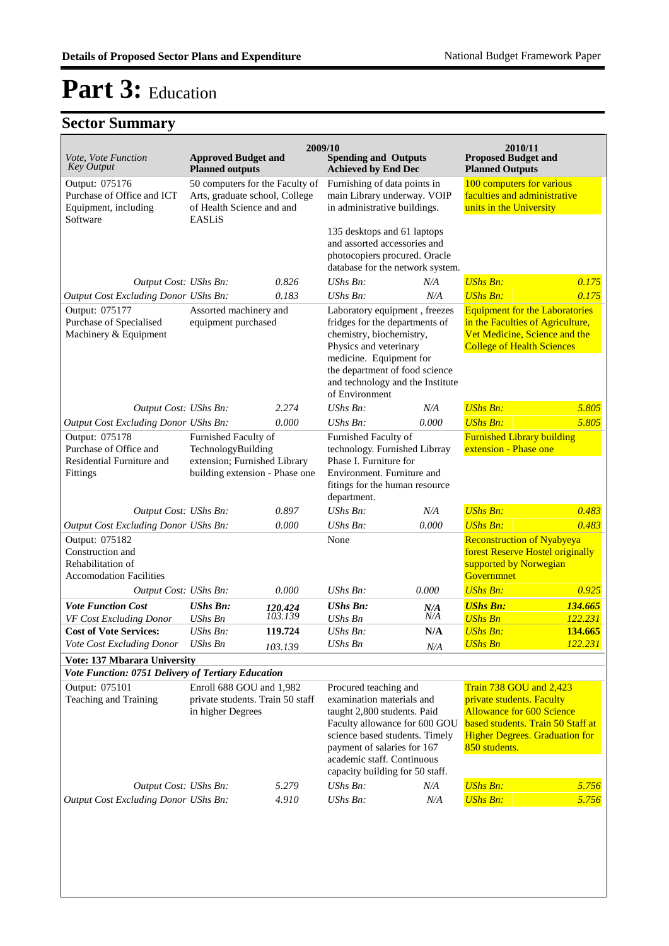| <i>Vote, Vote Function</i>                                                                | <b>Approved Budget and</b>                                                                                   | 2009/10            | <b>Spending and Outputs</b>                                                                                                                                                                                                                          |            | 2010/11<br><b>Proposed Budget and</b>                                                                                                                                                          |                    |
|-------------------------------------------------------------------------------------------|--------------------------------------------------------------------------------------------------------------|--------------------|------------------------------------------------------------------------------------------------------------------------------------------------------------------------------------------------------------------------------------------------------|------------|------------------------------------------------------------------------------------------------------------------------------------------------------------------------------------------------|--------------------|
| <b>Key Output</b>                                                                         | <b>Planned outputs</b>                                                                                       |                    | <b>Achieved by End Dec</b>                                                                                                                                                                                                                           |            | <b>Planned Outputs</b>                                                                                                                                                                         |                    |
| Output: 075176<br>Purchase of Office and ICT<br>Equipment, including<br>Software          | 50 computers for the Faculty of<br>Arts, graduate school, College<br>of Health Science and and<br>EASLIS     |                    | Furnishing of data points in<br>main Library underway. VOIP<br>in administrative buildings.                                                                                                                                                          |            | 100 computers for various<br>faculties and administrative<br>units in the University                                                                                                           |                    |
|                                                                                           |                                                                                                              |                    | 135 desktops and 61 laptops<br>and assorted accessories and<br>photocopiers procured. Oracle<br>database for the network system.                                                                                                                     |            |                                                                                                                                                                                                |                    |
| Output Cost: UShs Bn:                                                                     |                                                                                                              | 0.826              | $UShs Bn$ :                                                                                                                                                                                                                                          | N/A        | <b>UShs Bn:</b>                                                                                                                                                                                | 0.175              |
| Output Cost Excluding Donor UShs Bn:                                                      |                                                                                                              | 0.183              | UShs Bn:                                                                                                                                                                                                                                             | N/A        | <b>UShs Bn:</b>                                                                                                                                                                                | 0.175              |
| Output: 075177<br>Purchase of Specialised<br>Machinery & Equipment                        | Assorted machinery and<br>equipment purchased                                                                |                    | Laboratory equipment, freezes<br>fridges for the departments of<br>chemistry, biochemistry,<br>Physics and veterinary<br>medicine. Equipment for<br>the department of food science<br>and technology and the Institute<br>of Environment             |            | <b>Equipment for the Laboratories</b><br>in the Faculties of Agriculture,<br>Vet Medicine, Science and the<br><b>College of Health Sciences</b>                                                |                    |
| Output Cost: UShs Bn:                                                                     |                                                                                                              | 2.274              | UShs Bn:                                                                                                                                                                                                                                             | N/A        | <b>UShs Bn:</b>                                                                                                                                                                                | 5.805              |
| Output Cost Excluding Donor UShs Bn:                                                      |                                                                                                              | 0.000              | UShs Bn:                                                                                                                                                                                                                                             | 0.000      | <b>UShs Bn:</b>                                                                                                                                                                                | 5.805              |
| Output: 075178<br>Purchase of Office and<br>Residential Furniture and<br>Fittings         | Furnished Faculty of<br>TechnologyBuilding<br>extension; Furnished Library<br>building extension - Phase one |                    | Furnished Faculty of<br>technology. Furnished Librray<br>Phase I. Furniture for<br>Environment. Furniture and<br>fitings for the human resource<br>department.                                                                                       |            | <b>Furnished Library building</b><br>extension - Phase one                                                                                                                                     |                    |
| Output Cost: UShs Bn:                                                                     |                                                                                                              | 0.897              | UShs Bn:                                                                                                                                                                                                                                             | N/A        | <b>UShs Bn:</b>                                                                                                                                                                                | 0.483              |
| Output Cost Excluding Donor UShs Bn:                                                      |                                                                                                              | 0.000              | UShs Bn:                                                                                                                                                                                                                                             | 0.000      | <b>UShs Bn:</b>                                                                                                                                                                                | 0.483              |
| Output: 075182<br>Construction and<br>Rehabilitation of<br><b>Accomodation Facilities</b> |                                                                                                              |                    | None                                                                                                                                                                                                                                                 |            | <b>Reconstruction of Nyabyeya</b><br>forest Reserve Hostel originally<br>supported by Norwegian<br>Governmnet                                                                                  |                    |
| Output Cost: UShs Bn:                                                                     |                                                                                                              | 0.000              | UShs Bn:                                                                                                                                                                                                                                             | 0.000      | <b>UShs Bn:</b>                                                                                                                                                                                | 0.925              |
| <b>Vote Function Cost</b><br>VF Cost Excluding Donor                                      | <b>UShs Bn:</b><br><b>UShs Bn</b>                                                                            | 120.424<br>103.139 | <b>UShs Bn:</b><br><b>UShs Bn</b>                                                                                                                                                                                                                    | N/A<br>N/A | <b>UShs Bn:</b><br><b>UShs Bn</b>                                                                                                                                                              | 134.665<br>122.231 |
| <b>Cost of Vote Services:</b>                                                             | $UShs Bn$ :                                                                                                  | 119.724            | <b>UShs Bn:</b>                                                                                                                                                                                                                                      | N/A        | <b>UShs Bn:</b>                                                                                                                                                                                | 134.665            |
| Vote Cost Excluding Donor                                                                 | UShs Bn                                                                                                      | 103.139            | <b>UShs Bn</b>                                                                                                                                                                                                                                       | N/A        | <b>UShs Bn</b>                                                                                                                                                                                 | 122.231            |
| Vote: 137 Mbarara University                                                              |                                                                                                              |                    |                                                                                                                                                                                                                                                      |            |                                                                                                                                                                                                |                    |
| Vote Function: 0751 Delivery of Tertiary Education                                        |                                                                                                              |                    |                                                                                                                                                                                                                                                      |            |                                                                                                                                                                                                |                    |
| Output: 075101<br>Teaching and Training                                                   | Enroll 688 GOU and 1,982<br>private students. Train 50 staff<br>in higher Degrees                            |                    | Procured teaching and<br>examination materials and<br>taught 2,800 students. Paid<br>Faculty allowance for 600 GOU<br>science based students. Timely<br>payment of salaries for 167<br>academic staff. Continuous<br>capacity building for 50 staff. |            | <b>Train 738 GOU and 2,423</b><br>private students. Faculty<br><b>Allowance for 600 Science</b><br>based students. Train 50 Staff at<br><b>Higher Degrees. Graduation for</b><br>850 students. |                    |
| Output Cost: UShs Bn:                                                                     |                                                                                                              | 5.279              | UShs Bn:                                                                                                                                                                                                                                             | N/A        | <b>UShs Bn:</b>                                                                                                                                                                                | 5.756              |
| <b>Output Cost Excluding Donor UShs Bn:</b>                                               |                                                                                                              | 4.910              | UShs Bn:                                                                                                                                                                                                                                             | N/A        | <b>UShs Bn:</b>                                                                                                                                                                                | 5.756              |
|                                                                                           |                                                                                                              |                    |                                                                                                                                                                                                                                                      |            |                                                                                                                                                                                                |                    |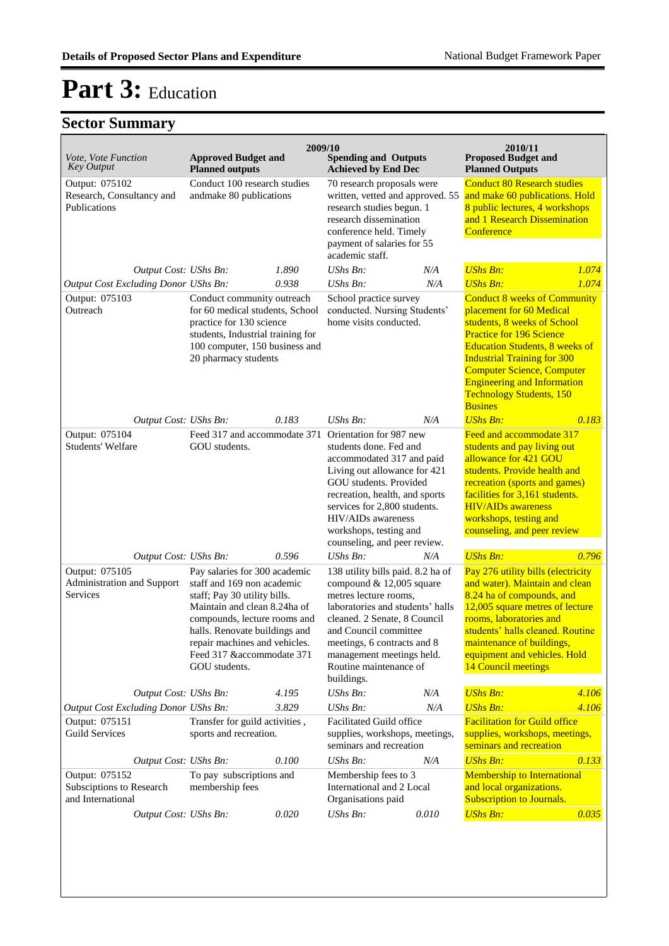| Vote, Vote Function<br><b>Key Output</b>                        | <b>Approved Budget and</b><br><b>Planned outputs</b>                                                                                                                                                                                                                         | 2009/10                                                 | <b>Spending and Outputs</b><br><b>Achieved by End Dec</b>                                                                                                                                                                                                                                  |                                                                                                                                                                                                   | 2010/11<br><b>Proposed Budget and</b><br><b>Planned Outputs</b>                                                                                                                                                                                                                                                                                  |                                                                                                                                        |
|-----------------------------------------------------------------|------------------------------------------------------------------------------------------------------------------------------------------------------------------------------------------------------------------------------------------------------------------------------|---------------------------------------------------------|--------------------------------------------------------------------------------------------------------------------------------------------------------------------------------------------------------------------------------------------------------------------------------------------|---------------------------------------------------------------------------------------------------------------------------------------------------------------------------------------------------|--------------------------------------------------------------------------------------------------------------------------------------------------------------------------------------------------------------------------------------------------------------------------------------------------------------------------------------------------|----------------------------------------------------------------------------------------------------------------------------------------|
| Output: 075102<br>Research, Consultancy and<br>Publications     |                                                                                                                                                                                                                                                                              | Conduct 100 research studies<br>andmake 80 publications |                                                                                                                                                                                                                                                                                            | 70 research proposals were<br>written, vetted and approved. 55<br>research studies begun. 1<br>research dissemination<br>conference held. Timely<br>payment of salaries for 55<br>academic staff. |                                                                                                                                                                                                                                                                                                                                                  | <b>Conduct 80 Research studies</b><br>and make 60 publications. Hold<br>8 public lectures, 4 workshops<br>and 1 Research Dissemination |
| Output Cost: UShs Bn:                                           |                                                                                                                                                                                                                                                                              | 1.890                                                   | UShs Bn:                                                                                                                                                                                                                                                                                   | N/A                                                                                                                                                                                               | <b>UShs Bn:</b>                                                                                                                                                                                                                                                                                                                                  | 1.074                                                                                                                                  |
| Output Cost Excluding Donor UShs Bn:                            |                                                                                                                                                                                                                                                                              | 0.938                                                   | $UShs Bn$ :                                                                                                                                                                                                                                                                                | N/A                                                                                                                                                                                               | <b>UShs Bn:</b>                                                                                                                                                                                                                                                                                                                                  | 1.074                                                                                                                                  |
| Output: 075103<br>Outreach                                      | Conduct community outreach<br>for 60 medical students, School<br>practice for 130 science<br>students, Industrial training for<br>100 computer, 150 business and<br>20 pharmacy students                                                                                     |                                                         | School practice survey<br>conducted. Nursing Students'<br>home visits conducted.                                                                                                                                                                                                           |                                                                                                                                                                                                   | <b>Conduct 8 weeks of Community</b><br>placement for 60 Medical<br>students, 8 weeks of School<br><b>Practice for 196 Science</b><br><b>Education Students, 8 weeks of</b><br><b>Industrial Training for 300</b><br><b>Computer Science, Computer</b><br><b>Engineering and Information</b><br><b>Technology Students, 150</b><br><b>Busines</b> |                                                                                                                                        |
| Output Cost: UShs Bn:                                           |                                                                                                                                                                                                                                                                              | 0.183                                                   | <b>UShs Bn:</b>                                                                                                                                                                                                                                                                            | N/A                                                                                                                                                                                               | <b>UShs Bn:</b>                                                                                                                                                                                                                                                                                                                                  | 0.183                                                                                                                                  |
| Output: 075104<br>Students' Welfare                             | Feed 317 and accommodate 371<br>GOU students.                                                                                                                                                                                                                                |                                                         | Orientation for 987 new<br>students done. Fed and<br>accommodated 317 and paid<br>Living out allowance for 421<br>GOU students. Provided<br>recreation, health, and sports<br>services for 2,800 students.<br>HIV/AIDs awareness<br>workshops, testing and<br>counseling, and peer review. |                                                                                                                                                                                                   | Feed and accommodate 317<br>students and pay living out<br>allowance for 421 GOU<br>students. Provide health and<br>recreation (sports and games)<br>facilities for 3,161 students.<br><b>HIV/AIDs</b> awareness<br>workshops, testing and<br>counseling, and peer review                                                                        |                                                                                                                                        |
| Output Cost: UShs Bn:                                           |                                                                                                                                                                                                                                                                              | 0.596                                                   | UShs Bn:                                                                                                                                                                                                                                                                                   | N/A                                                                                                                                                                                               | <b>UShs Bn:</b>                                                                                                                                                                                                                                                                                                                                  | 0.796                                                                                                                                  |
| Output: 075105<br>Administration and Support<br>Services        | Pay salaries for 300 academic<br>staff and 169 non academic<br>staff; Pay 30 utility bills.<br>Maintain and clean 8.24ha of<br>compounds, lecture rooms and<br>halls. Renovate buildings and<br>repair machines and vehicles.<br>Feed 317 & accommodate 371<br>GOU students. |                                                         | 138 utility bills paid. 8.2 ha of<br>compound & 12,005 square<br>metres lecture rooms,<br>laboratories and students' halls<br>cleaned. 2 Senate, 8 Council<br>and Council committee<br>meetings, 6 contracts and 8<br>management meetings held.<br>Routine maintenance of<br>buildings.    |                                                                                                                                                                                                   | Pay 276 utility bills (electricity<br>and water). Maintain and clean<br>8.24 ha of compounds, and<br>12,005 square metres of lecture<br>rooms, laboratories and<br>students' halls cleaned. Routine<br>maintenance of buildings,<br>equipment and vehicles. Hold<br>14 Council meetings                                                          |                                                                                                                                        |
| Output Cost: UShs Bn:                                           |                                                                                                                                                                                                                                                                              | 4.195                                                   | UShs Bn:                                                                                                                                                                                                                                                                                   | N/A                                                                                                                                                                                               | <b>UShs Bn:</b>                                                                                                                                                                                                                                                                                                                                  | 4.106                                                                                                                                  |
| <b>Output Cost Excluding Donor UShs Bn:</b>                     |                                                                                                                                                                                                                                                                              | 3.829                                                   | UShs Bn:                                                                                                                                                                                                                                                                                   | N/A                                                                                                                                                                                               | <b>UShs Bn:</b>                                                                                                                                                                                                                                                                                                                                  | 4.106                                                                                                                                  |
| Output: 075151<br>Guild Services                                | Transfer for guild activities,<br>sports and recreation.                                                                                                                                                                                                                     |                                                         | <b>Facilitated Guild office</b><br>supplies, workshops, meetings,<br>seminars and recreation                                                                                                                                                                                               |                                                                                                                                                                                                   | <b>Facilitation for Guild office</b><br>supplies, workshops, meetings,<br>seminars and recreation                                                                                                                                                                                                                                                |                                                                                                                                        |
| Output Cost: UShs Bn:                                           |                                                                                                                                                                                                                                                                              | 0.100                                                   | UShs Bn:                                                                                                                                                                                                                                                                                   | N/A                                                                                                                                                                                               | <b>UShs Bn:</b>                                                                                                                                                                                                                                                                                                                                  | 0.133                                                                                                                                  |
| Output: 075152<br>Subsciptions to Research<br>and International | To pay subscriptions and<br>membership fees                                                                                                                                                                                                                                  |                                                         | Membership fees to 3<br>International and 2 Local<br>Organisations paid                                                                                                                                                                                                                    |                                                                                                                                                                                                   | <b>Membership to International</b><br>and local organizations.<br>Subscription to Journals.                                                                                                                                                                                                                                                      |                                                                                                                                        |
| Output Cost: UShs Bn:                                           |                                                                                                                                                                                                                                                                              | 0.020                                                   | UShs Bn:                                                                                                                                                                                                                                                                                   | 0.010                                                                                                                                                                                             | <b>UShs Bn:</b>                                                                                                                                                                                                                                                                                                                                  | 0.035                                                                                                                                  |
|                                                                 |                                                                                                                                                                                                                                                                              |                                                         |                                                                                                                                                                                                                                                                                            |                                                                                                                                                                                                   |                                                                                                                                                                                                                                                                                                                                                  |                                                                                                                                        |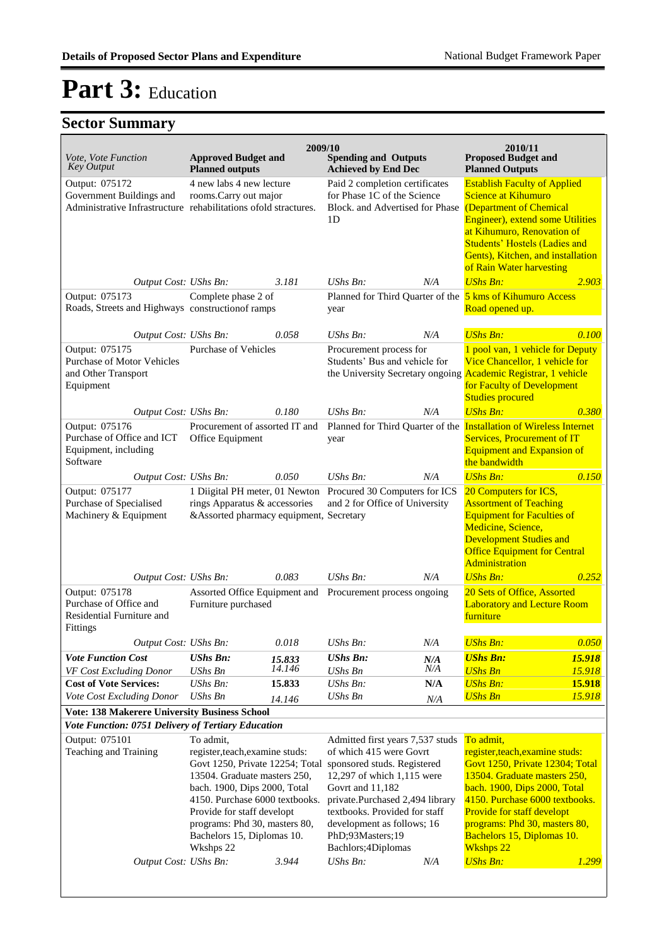| <i>Vote, Vote Function</i>                                                                          | <b>Approved Budget and</b>                                                                                                                                                                                                                                                                  | 2009/10          | <b>Spending and Outputs</b>                                                                                                                                                                                                                                                               |            | 2010/11<br><b>Proposed Budget and</b>                                                                                                                                                                                                                                                              |                  |
|-----------------------------------------------------------------------------------------------------|---------------------------------------------------------------------------------------------------------------------------------------------------------------------------------------------------------------------------------------------------------------------------------------------|------------------|-------------------------------------------------------------------------------------------------------------------------------------------------------------------------------------------------------------------------------------------------------------------------------------------|------------|----------------------------------------------------------------------------------------------------------------------------------------------------------------------------------------------------------------------------------------------------------------------------------------------------|------------------|
| <b>Key Output</b>                                                                                   | <b>Planned outputs</b>                                                                                                                                                                                                                                                                      |                  | <b>Achieved by End Dec</b>                                                                                                                                                                                                                                                                |            | <b>Planned Outputs</b>                                                                                                                                                                                                                                                                             |                  |
| Output: 075172<br>Government Buildings and                                                          | 4 new labs 4 new lecture<br>rooms.Carry out major<br>Administrative Infrastructure rehabilitations ofold stractures.                                                                                                                                                                        |                  | Paid 2 completion certificates<br>for Phase 1C of the Science<br>Block, and Advertised for Phase<br>1 <sub>D</sub>                                                                                                                                                                        |            | <b>Establish Faculty of Applied</b><br>Science at Kihumuro<br>(Department of Chemical<br>Engineer), extend some Utilities<br>at Kihumuro, Renovation of<br><b>Students' Hostels (Ladies and</b><br>Gents), Kitchen, and installation<br>of Rain Water harvesting                                   |                  |
| Output Cost: UShs Bn:                                                                               |                                                                                                                                                                                                                                                                                             | 3.181            | $UShs Bn$ :                                                                                                                                                                                                                                                                               | N/A        | <b>UShs Bn:</b>                                                                                                                                                                                                                                                                                    | 2.903            |
| Output: 075173<br>Roads, Streets and Highways construction of ramps                                 | Complete phase 2 of                                                                                                                                                                                                                                                                         |                  | year                                                                                                                                                                                                                                                                                      |            | Planned for Third Quarter of the 5 kms of Kihumuro Access<br>Road opened up.                                                                                                                                                                                                                       |                  |
| Output Cost: UShs Bn:                                                                               |                                                                                                                                                                                                                                                                                             | 0.058            | $UShs Bn$ :                                                                                                                                                                                                                                                                               | N/A        | <b>UShs Bn:</b>                                                                                                                                                                                                                                                                                    | 0.100            |
| Output: 075175<br><b>Purchase of Motor Vehicles</b><br>and Other Transport<br>Equipment             | <b>Purchase of Vehicles</b>                                                                                                                                                                                                                                                                 |                  | Procurement process for<br>Students' Bus and vehicle for                                                                                                                                                                                                                                  |            | 1 pool van, 1 vehicle for Deputy<br>Vice Chancellor, 1 vehicle for<br>the University Secretary ongoing Academic Registrar, 1 vehicle<br>for Faculty of Development<br><b>Studies procured</b>                                                                                                      |                  |
| Output Cost: UShs Bn:                                                                               |                                                                                                                                                                                                                                                                                             | 0.180            | UShs Bn:                                                                                                                                                                                                                                                                                  | N/A        | <b>UShs Bn:</b>                                                                                                                                                                                                                                                                                    | 0.380            |
| Output: 075176<br>Purchase of Office and ICT<br>Equipment, including<br>Software                    | Procurement of assorted IT and<br>Office Equipment                                                                                                                                                                                                                                          |                  | Planned for Third Quarter of the Installation of Wireless Internet<br>year                                                                                                                                                                                                                |            | <b>Services, Procurement of IT</b><br><b>Equipment and Expansion of</b><br>the bandwidth                                                                                                                                                                                                           |                  |
| Output Cost: UShs Bn:                                                                               |                                                                                                                                                                                                                                                                                             | 0.050            | $UShs Bn$ :                                                                                                                                                                                                                                                                               | N/A        | <b>UShs Bn:</b>                                                                                                                                                                                                                                                                                    | 0.150            |
| Output: 075177<br>Purchase of Specialised<br>Machinery & Equipment                                  | 1 Diigital PH meter, 01 Newton Procured 30 Computers for ICS<br>rings Apparatus & accessories<br>&Assorted pharmacy equipment, Secretary                                                                                                                                                    |                  | and 2 for Office of University                                                                                                                                                                                                                                                            |            | 20 Computers for ICS,<br><b>Assortment of Teaching</b><br><b>Equipment for Faculties of</b><br>Medicine, Science,<br><b>Development Studies and</b><br><b>Office Equipment for Central</b><br>Administration                                                                                       |                  |
| Output Cost: UShs Bn:                                                                               |                                                                                                                                                                                                                                                                                             | 0.083            | UShs Bn:                                                                                                                                                                                                                                                                                  | N/A        | <b>UShs Bn:</b>                                                                                                                                                                                                                                                                                    | 0.252            |
| Output: 075178<br>Purchase of Office and<br>Residential Furniture and<br>Fittings                   | Assorted Office Equipment and<br>Furniture purchased                                                                                                                                                                                                                                        |                  | Procurement process ongoing                                                                                                                                                                                                                                                               |            | 20 Sets of Office, Assorted<br><b>Laboratory and Lecture Room</b><br>furniture                                                                                                                                                                                                                     |                  |
| Output Cost: UShs Bn:                                                                               |                                                                                                                                                                                                                                                                                             | 0.018            | UShs Bn:                                                                                                                                                                                                                                                                                  | $N\!/\!A$  | <b>UShs Bn:</b>                                                                                                                                                                                                                                                                                    | 0.050            |
| <b>Vote Function Cost</b>                                                                           | <b>UShs Bn:</b>                                                                                                                                                                                                                                                                             | 15.833<br>14.146 | <b>UShs Bn:</b>                                                                                                                                                                                                                                                                           | N/A        | <b>UShs Bn:</b>                                                                                                                                                                                                                                                                                    | 15.918           |
| VF Cost Excluding Donor<br><b>Cost of Vote Services:</b>                                            | <b>UShs Bn</b><br>UShs Bn:                                                                                                                                                                                                                                                                  | 15.833           | <b>UShs Bn</b><br>UShs Bn:                                                                                                                                                                                                                                                                | N/A<br>N/A | <b>UShs Bn</b><br><b>UShs Bn:</b>                                                                                                                                                                                                                                                                  | 15.918<br>15.918 |
| Vote Cost Excluding Donor                                                                           | <b>UShs Bn</b>                                                                                                                                                                                                                                                                              | 14.146           | <b>UShs Bn</b>                                                                                                                                                                                                                                                                            | N/A        | <b>UShs Bn</b>                                                                                                                                                                                                                                                                                     | 15.918           |
| Vote: 138 Makerere University Business School<br>Vote Function: 0751 Delivery of Tertiary Education |                                                                                                                                                                                                                                                                                             |                  |                                                                                                                                                                                                                                                                                           |            |                                                                                                                                                                                                                                                                                                    |                  |
| Output: 075101<br>Teaching and Training                                                             | To admit,<br>register, teach, examine studs:<br>Govt 1250, Private 12254; Total<br>13504. Graduate masters 250,<br>bach. 1900, Dips 2000, Total<br>4150. Purchase 6000 textbooks.<br>Provide for staff developt<br>programs: Phd 30, masters 80,<br>Bachelors 15, Diplomas 10.<br>Wkshps 22 |                  | Admitted first years 7,537 studs<br>of which 415 were Govrt<br>sponsored studs. Registered<br>12,297 of which 1,115 were<br>Govrt and 11,182<br>private.Purchased 2,494 library<br>textbooks. Provided for staff<br>development as follows; 16<br>PhD;93Masters;19<br>Bachlors; 4Diplomas |            | To admit,<br>register, teach, examine studs:<br>Govt 1250, Private 12304; Total<br>13504. Graduate masters 250,<br>bach. 1900, Dips 2000, Total<br>4150. Purchase 6000 textbooks.<br><b>Provide for staff developt</b><br>programs: Phd 30, masters 80,<br>Bachelors 15, Diplomas 10.<br>Wkshps 22 |                  |
| Output Cost: UShs Bn:                                                                               |                                                                                                                                                                                                                                                                                             | 3.944            | UShs Bn:                                                                                                                                                                                                                                                                                  | N/A        | <b>UShs Bn:</b>                                                                                                                                                                                                                                                                                    | <b>1.299</b>     |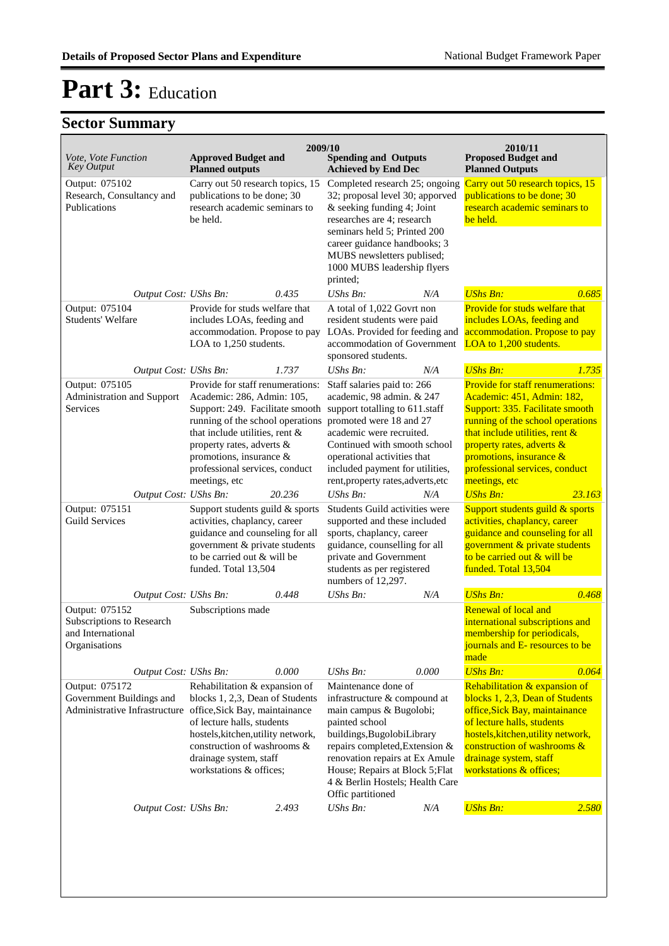|                                                                                                                                     | 2009/10<br>2010/11                                                                                                                                                                                                                                                                    |        |                                                                                                                                                                                                                                                                                                           |       |                                                                                                                                                                                                                                                                                                                    |        |  |
|-------------------------------------------------------------------------------------------------------------------------------------|---------------------------------------------------------------------------------------------------------------------------------------------------------------------------------------------------------------------------------------------------------------------------------------|--------|-----------------------------------------------------------------------------------------------------------------------------------------------------------------------------------------------------------------------------------------------------------------------------------------------------------|-------|--------------------------------------------------------------------------------------------------------------------------------------------------------------------------------------------------------------------------------------------------------------------------------------------------------------------|--------|--|
| Vote, Vote Function<br><b>Key Output</b>                                                                                            | <b>Approved Budget and</b><br><b>Planned outputs</b>                                                                                                                                                                                                                                  |        | <b>Spending and Outputs</b><br><b>Achieved by End Dec</b>                                                                                                                                                                                                                                                 |       | <b>Proposed Budget and</b><br><b>Planned Outputs</b>                                                                                                                                                                                                                                                               |        |  |
| Output: 075102<br>Research, Consultancy and<br>Publications                                                                         | Carry out 50 research topics, 15<br>publications to be done; 30<br>research academic seminars to<br>be held.                                                                                                                                                                          |        | Completed research 25; ongoing<br>32; proposal level 30; apporved<br>& seeking funding 4; Joint<br>researches are 4; research<br>seminars held 5; Printed 200<br>career guidance handbooks; 3<br>MUBS newsletters publised;<br>1000 MUBS leadership flyers<br>printed;                                    |       | Carry out 50 research topics, 15<br>publications to be done; 30<br>research academic seminars to<br>be held.                                                                                                                                                                                                       |        |  |
| Output Cost: UShs Bn:                                                                                                               |                                                                                                                                                                                                                                                                                       | 0.435  | $UShs Bn$ :                                                                                                                                                                                                                                                                                               | N/A   | <b>UShs Bn:</b>                                                                                                                                                                                                                                                                                                    | 0.685  |  |
| Output: 075104<br><b>Students' Welfare</b>                                                                                          | Provide for studs welfare that<br>includes LOAs, feeding and<br>accommodation. Propose to pay<br>LOA to 1,250 students.                                                                                                                                                               |        | A total of 1,022 Govrt non<br>resident students were paid<br>LOAs. Provided for feeding and<br>accommodation of Government<br>sponsored students.                                                                                                                                                         |       | Provide for studs welfare that<br>includes LOAs, feeding and<br>accommodation. Propose to pay<br>LOA to 1,200 students.                                                                                                                                                                                            |        |  |
| Output Cost: UShs Bn:                                                                                                               |                                                                                                                                                                                                                                                                                       | 1.737  | UShs Bn:                                                                                                                                                                                                                                                                                                  | N/A   | <b>UShs Bn:</b>                                                                                                                                                                                                                                                                                                    | 1.735  |  |
| Output: 075105<br>Administration and Support<br>Services<br>Output Cost: UShs Bn:                                                   | Provide for staff renumerations:<br>Academic: 286, Admin: 105,<br>Support: 249. Facilitate smooth<br>running of the school operations<br>that include utilities, rent &<br>property rates, adverts &<br>promotions, insurance $\&$<br>professional services, conduct<br>meetings, etc | 20.236 | Staff salaries paid to: 266<br>academic, 98 admin. & 247<br>support totalling to 611.staff<br>promoted were 18 and 27<br>academic were recruited.<br>Continued with smooth school<br>operational activities that<br>included payment for utilities,<br>rent, property rates, adverts, etc<br>UShs Bn:     | N/A   | <b>Provide for staff renumerations:</b><br>Academic: 451, Admin: 182,<br>Support: 335. Facilitate smooth<br>running of the school operations<br>that include utilities, rent $\&$<br>property rates, adverts &<br>promotions, insurance $\&$<br>professional services, conduct<br>meetings, etc<br><b>UShs Bn:</b> | 23.163 |  |
| Output: 075151                                                                                                                      | Support students guild & sports                                                                                                                                                                                                                                                       |        | Students Guild activities were                                                                                                                                                                                                                                                                            |       | Support students guild & sports                                                                                                                                                                                                                                                                                    |        |  |
| <b>Guild Services</b>                                                                                                               | activities, chaplancy, career<br>guidance and counseling for all<br>government & private students<br>to be carried out & will be<br>funded. Total 13,504                                                                                                                              |        | supported and these included<br>sports, chaplancy, career<br>guidance, counselling for all<br>private and Government<br>students as per registered<br>numbers of 12,297.                                                                                                                                  |       | activities, chaplancy, career<br>guidance and counseling for all<br>government & private students<br>to be carried out & will be<br>funded. Total 13,504                                                                                                                                                           |        |  |
| Output Cost: UShs Bn:                                                                                                               |                                                                                                                                                                                                                                                                                       | 0.448  | UShs Bn:                                                                                                                                                                                                                                                                                                  | N/A   | <b>UShs Bn:</b>                                                                                                                                                                                                                                                                                                    | 0.468  |  |
| Output: 075152<br>Subscriptions to Research<br>and International<br>Organisations                                                   | Subscriptions made                                                                                                                                                                                                                                                                    |        |                                                                                                                                                                                                                                                                                                           |       | Renewal of local and<br>international subscriptions and<br>membership for periodicals,<br>journals and E- resources to be<br>made                                                                                                                                                                                  |        |  |
| Output Cost: UShs Bn:<br>Output: 075172<br>Government Buildings and<br>Administrative Infrastructure office, Sick Bay, maintainance | Rehabilitation & expansion of<br>blocks 1, 2,3, Dean of Students<br>of lecture halls, students<br>hostels, kitchen, utility network,<br>construction of washrooms &<br>drainage system, staff<br>workstations & offices;                                                              | 0.000  | UShs Bn:<br>Maintenance done of<br>infrastructure & compound at<br>main campus & Bugolobi;<br>painted school<br>buildings, BugolobiLibrary<br>repairs completed, Extension &<br>renovation repairs at Ex Amule<br>House; Repairs at Block 5; Flat<br>4 & Berlin Hostels; Health Care<br>Offic partitioned | 0.000 | <b>UShs Bn:</b><br>Rehabilitation & expansion of<br>blocks 1, 2,3, Dean of Students<br>office, Sick Bay, maintainance<br>of lecture halls, students<br>hostels, kitchen, utility network,<br>construction of washrooms &<br>drainage system, staff<br>workstations & offices;                                      | 0.064  |  |
| Output Cost: UShs Bn:                                                                                                               |                                                                                                                                                                                                                                                                                       | 2.493  | UShs Bn:                                                                                                                                                                                                                                                                                                  | N/A   | <b>UShs Bn:</b>                                                                                                                                                                                                                                                                                                    | 2.580  |  |
|                                                                                                                                     |                                                                                                                                                                                                                                                                                       |        |                                                                                                                                                                                                                                                                                                           |       |                                                                                                                                                                                                                                                                                                                    |        |  |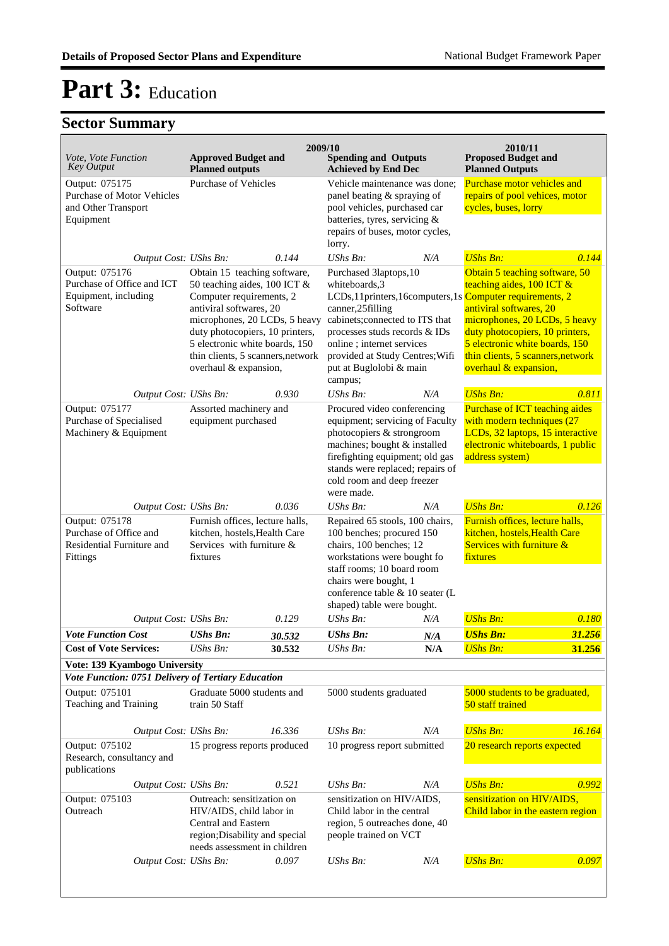|                                                                                         |                                                                                                                                                                                                                                                                                         | 2009/10 |                                                                                                                                                                                                                                                                                                       |     | 2010/11                                                                                                                                                                                                                                                    |        |
|-----------------------------------------------------------------------------------------|-----------------------------------------------------------------------------------------------------------------------------------------------------------------------------------------------------------------------------------------------------------------------------------------|---------|-------------------------------------------------------------------------------------------------------------------------------------------------------------------------------------------------------------------------------------------------------------------------------------------------------|-----|------------------------------------------------------------------------------------------------------------------------------------------------------------------------------------------------------------------------------------------------------------|--------|
| Vote, Vote Function<br><b>Key Output</b>                                                | <b>Approved Budget and</b><br><b>Planned outputs</b>                                                                                                                                                                                                                                    |         | <b>Spending and Outputs</b><br><b>Achieved by End Dec</b>                                                                                                                                                                                                                                             |     | <b>Proposed Budget and</b><br><b>Planned Outputs</b>                                                                                                                                                                                                       |        |
| Output: 075175<br><b>Purchase of Motor Vehicles</b><br>and Other Transport<br>Equipment | Purchase of Vehicles                                                                                                                                                                                                                                                                    |         | Vehicle maintenance was done;<br>panel beating & spraying of<br>pool vehicles, purchased car<br>batteries, tyres, servicing &<br>repairs of buses, motor cycles,<br>lorry.                                                                                                                            |     | Purchase motor vehicles and<br>repairs of pool vehices, motor<br>cycles, buses, lorry                                                                                                                                                                      |        |
| Output Cost: UShs Bn:                                                                   |                                                                                                                                                                                                                                                                                         | 0.144   | UShs Bn:<br>N/A                                                                                                                                                                                                                                                                                       |     | <b>UShs Bn:</b>                                                                                                                                                                                                                                            | 0.144  |
| Output: 075176<br>Purchase of Office and ICT<br>Equipment, including<br>Software        | Obtain 15 teaching software,<br>50 teaching aides, 100 ICT &<br>Computer requirements, 2<br>antiviral softwares, 20<br>microphones, 20 LCDs, 5 heavy<br>duty photocopiers, 10 printers,<br>5 electronic white boards, 150<br>thin clients, 5 scanners, network<br>overhaul & expansion, |         | Purchased 3laptops, 10<br>whiteboards,3<br>LCDs, 11 printers, 16 computers, 1s Computer requirements, 2<br>canner,25filling<br>cabinets; connected to ITS that<br>processes studs records & IDs<br>online; internet services<br>provided at Study Centres; Wifi<br>put at Buglolobi & main<br>campus; |     | Obtain 5 teaching software, 50<br>teaching aides, 100 ICT &<br>antiviral softwares, 20<br>microphones, 20 LCDs, 5 heavy<br>duty photocopiers, 10 printers,<br>5 electronic white boards, 150<br>thin clients, 5 scanners, network<br>overhaul & expansion, |        |
| Output Cost: UShs Bn:                                                                   |                                                                                                                                                                                                                                                                                         | 0.930   | UShs Bn:                                                                                                                                                                                                                                                                                              | N/A | <b>UShs Bn:</b>                                                                                                                                                                                                                                            | 0.811  |
| Output: 075177<br>Purchase of Specialised<br>Machinery & Equipment                      | Assorted machinery and<br>equipment purchased                                                                                                                                                                                                                                           |         | Procured video conferencing<br>equipment; servicing of Faculty<br>photocopiers & strongroom<br>machines; bought & installed<br>firefighting equipment; old gas<br>stands were replaced; repairs of<br>cold room and deep freezer<br>were made.                                                        |     | Purchase of ICT teaching aides<br>with modern techniques (27<br>LCDs, 32 laptops, 15 interactive<br>electronic whiteboards, 1 public<br>address system)                                                                                                    |        |
| Output Cost: UShs Bn:                                                                   |                                                                                                                                                                                                                                                                                         | 0.036   | $UShs Bn$ :                                                                                                                                                                                                                                                                                           | N/A | <b>UShs Bn:</b>                                                                                                                                                                                                                                            | 0.126  |
| Output: 075178<br>Purchase of Office and<br>Residential Furniture and<br>Fittings       | Furnish offices, lecture halls,<br>kitchen, hostels, Health Care<br>Services with furniture &<br>fixtures                                                                                                                                                                               |         | Repaired 65 stools, 100 chairs,<br>100 benches; procured 150<br>chairs, 100 benches; 12<br>workstations were bought fo<br>staff rooms; 10 board room<br>chairs were bought, 1<br>conference table & 10 seater (L<br>shaped) table were bought.                                                        |     | Furnish offices, lecture halls,<br>kitchen, hostels, Health Care<br>Services with furniture &<br>fixtures                                                                                                                                                  |        |
| Output Cost: UShs Bn:                                                                   |                                                                                                                                                                                                                                                                                         | 0.129   | UShs Bn:                                                                                                                                                                                                                                                                                              | N/A | <b>UShs Bn:</b>                                                                                                                                                                                                                                            | 0.180  |
| <b>Vote Function Cost</b>                                                               | <b>UShs Bn:</b>                                                                                                                                                                                                                                                                         | 30.532  | UShs Bn:                                                                                                                                                                                                                                                                                              | N/A | <b>UShs Bn:</b>                                                                                                                                                                                                                                            | 31.256 |
| <b>Cost of Vote Services:</b>                                                           | UShs Bn:                                                                                                                                                                                                                                                                                | 30.532  | UShs Bn:                                                                                                                                                                                                                                                                                              | N/A | <b>UShs Bn:</b>                                                                                                                                                                                                                                            | 31.256 |
| Vote: 139 Kyambogo University<br>Vote Function: 0751 Delivery of Tertiary Education     |                                                                                                                                                                                                                                                                                         |         |                                                                                                                                                                                                                                                                                                       |     |                                                                                                                                                                                                                                                            |        |
| Output: 075101<br>Teaching and Training                                                 | Graduate 5000 students and<br>train 50 Staff                                                                                                                                                                                                                                            |         | 5000 students graduated                                                                                                                                                                                                                                                                               |     | 5000 students to be graduated,<br>50 staff trained                                                                                                                                                                                                         |        |
| Output Cost: UShs Bn:                                                                   |                                                                                                                                                                                                                                                                                         | 16.336  | UShs Bn:                                                                                                                                                                                                                                                                                              | N/A | <b>UShs Bn:</b>                                                                                                                                                                                                                                            | 16.164 |
| Output: 075102<br>Research, consultancy and<br>publications                             | 15 progress reports produced                                                                                                                                                                                                                                                            |         | 10 progress report submitted                                                                                                                                                                                                                                                                          |     | 20 research reports expected                                                                                                                                                                                                                               |        |
| Output Cost: UShs Bn:                                                                   |                                                                                                                                                                                                                                                                                         | 0.521   | UShs Bn:                                                                                                                                                                                                                                                                                              | N/A | <b>UShs Bn:</b>                                                                                                                                                                                                                                            | 0.992  |
| Output: 075103<br>Outreach                                                              | Outreach: sensitization on<br>HIV/AIDS, child labor in<br>Central and Eastern<br>region; Disability and special<br>needs assessment in children                                                                                                                                         |         | sensitization on HIV/AIDS,<br>Child labor in the central<br>region, 5 outreaches done, 40<br>people trained on VCT                                                                                                                                                                                    |     | sensitization on HIV/AIDS,<br>Child labor in the eastern region                                                                                                                                                                                            |        |
| Output Cost: UShs Bn:                                                                   |                                                                                                                                                                                                                                                                                         | 0.097   | <b>UShs Bn:</b>                                                                                                                                                                                                                                                                                       | N/A | <b>UShs Bn:</b>                                                                                                                                                                                                                                            | 0.097  |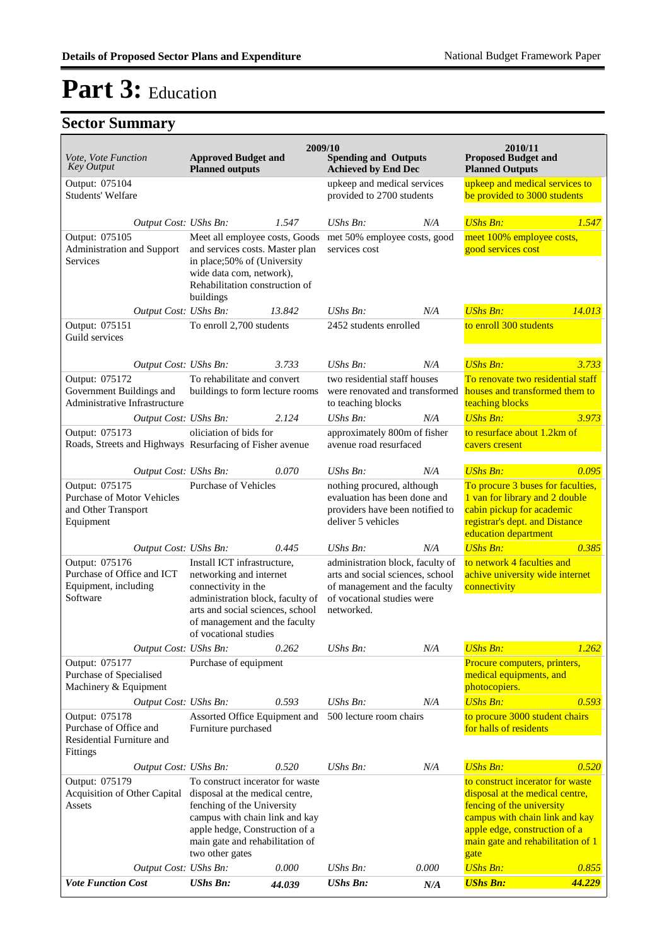| Vote, Vote Function<br><b>Key Output</b>                                                | <b>Approved Budget and</b><br><b>Planned outputs</b>                                                                                                                                                                        | 2009/10                                                        | <b>Spending and Outputs</b><br><b>Achieved by End Dec</b>                                                                                         |                                                                                      | 2010/11<br><b>Proposed Budget and</b><br><b>Planned Outputs</b>                                                                                                                                                  |                                                                                        |  |
|-----------------------------------------------------------------------------------------|-----------------------------------------------------------------------------------------------------------------------------------------------------------------------------------------------------------------------------|----------------------------------------------------------------|---------------------------------------------------------------------------------------------------------------------------------------------------|--------------------------------------------------------------------------------------|------------------------------------------------------------------------------------------------------------------------------------------------------------------------------------------------------------------|----------------------------------------------------------------------------------------|--|
| Output: 075104<br>Students' Welfare                                                     |                                                                                                                                                                                                                             |                                                                | upkeep and medical services<br>provided to 2700 students                                                                                          |                                                                                      | upkeep and medical services to<br>be provided to 3000 students                                                                                                                                                   |                                                                                        |  |
| Output Cost: UShs Bn:                                                                   |                                                                                                                                                                                                                             | 1.547                                                          | $UShs Bn$ :                                                                                                                                       | N/A                                                                                  | <b>UShs Bn:</b>                                                                                                                                                                                                  | 1.547                                                                                  |  |
| Output: 075105<br>Administration and Support<br>Services                                | Meet all employee costs, Goods<br>and services costs. Master plan<br>in place;50% of (University<br>wide data com, network),<br>Rehabilitation construction of<br>buildings                                                 |                                                                | met 50% employee costs, good<br>services cost                                                                                                     |                                                                                      | meet 100% employee costs,<br>good services cost                                                                                                                                                                  |                                                                                        |  |
| Output Cost: UShs Bn:                                                                   |                                                                                                                                                                                                                             | 13.842                                                         | $UShs Bn$ :                                                                                                                                       | N/A                                                                                  | <b>UShs Bn:</b>                                                                                                                                                                                                  | 14.013                                                                                 |  |
| Output: 075151<br>Guild services                                                        | To enroll 2,700 students                                                                                                                                                                                                    |                                                                | 2452 students enrolled                                                                                                                            |                                                                                      | to enroll 300 students                                                                                                                                                                                           |                                                                                        |  |
| Output Cost: UShs Bn:                                                                   |                                                                                                                                                                                                                             | 3.733                                                          | $UShs Bn$ :                                                                                                                                       | N/A                                                                                  | <b>UShs Bn:</b>                                                                                                                                                                                                  | 3.733                                                                                  |  |
| Output: 075172<br>Government Buildings and<br>Administrative Infrastructure             |                                                                                                                                                                                                                             | To rehabilitate and convert<br>buildings to form lecture rooms |                                                                                                                                                   | two residential staff houses<br>were renovated and transformed<br>to teaching blocks |                                                                                                                                                                                                                  | To renovate two residential staff<br>houses and transformed them to<br>teaching blocks |  |
| Output Cost: UShs Bn:                                                                   |                                                                                                                                                                                                                             | 2.124                                                          | <b>UShs Bn:</b>                                                                                                                                   | N/A                                                                                  | <b>UShs Bn:</b>                                                                                                                                                                                                  | 3.973                                                                                  |  |
| Output: 075173<br>Roads, Streets and Highways Resurfacing of Fisher avenue              | oliciation of bids for                                                                                                                                                                                                      |                                                                | approximately 800m of fisher<br>avenue road resurfaced                                                                                            |                                                                                      | to resurface about 1.2km of<br>cavers cresent                                                                                                                                                                    |                                                                                        |  |
| Output Cost: UShs Bn:                                                                   |                                                                                                                                                                                                                             | 0.070                                                          | UShs Bn:                                                                                                                                          | N/A                                                                                  | <b>UShs Bn:</b>                                                                                                                                                                                                  | 0.095                                                                                  |  |
| Output: 075175<br><b>Purchase of Motor Vehicles</b><br>and Other Transport<br>Equipment | <b>Purchase of Vehicles</b>                                                                                                                                                                                                 |                                                                | nothing procured, although<br>evaluation has been done and<br>providers have been notified to<br>deliver 5 vehicles                               |                                                                                      | To procure 3 buses for faculties,<br>1 van for library and 2 double<br>cabin pickup for academic<br>registrar's dept. and Distance<br>education department                                                       |                                                                                        |  |
| Output Cost: UShs Bn:                                                                   |                                                                                                                                                                                                                             | 0.445                                                          | $UShs Bn$ :                                                                                                                                       | N/A                                                                                  | <b>UShs Bn:</b>                                                                                                                                                                                                  | 0.385                                                                                  |  |
| Output: 075176<br>Purchase of Office and ICT<br>Equipment, including<br>Software        | Install ICT infrastructure,<br>networking and internet<br>connectivity in the<br>administration block, faculty of<br>arts and social sciences, school<br>of management and the faculty<br>of vocational studies             |                                                                | administration block, faculty of<br>arts and social sciences, school<br>of management and the faculty<br>of vocational studies were<br>networked. |                                                                                      | to network 4 faculties and<br>achive university wide internet<br>connectivity                                                                                                                                    |                                                                                        |  |
| Output Cost: UShs Bn:                                                                   |                                                                                                                                                                                                                             | 0.262                                                          | UShs Bn:                                                                                                                                          | N/A                                                                                  | <b>UShs Bn:</b>                                                                                                                                                                                                  | 1.262                                                                                  |  |
| Output: 075177<br>Purchase of Specialised<br>Machinery & Equipment                      | Purchase of equipment                                                                                                                                                                                                       |                                                                |                                                                                                                                                   |                                                                                      | Procure computers, printers,<br>medical equipments, and<br>photocopiers.                                                                                                                                         |                                                                                        |  |
| Output Cost: UShs Bn:                                                                   |                                                                                                                                                                                                                             | 0.593                                                          | UShs Bn:                                                                                                                                          | N/A                                                                                  | <b>UShs Bn:</b>                                                                                                                                                                                                  | 0.593                                                                                  |  |
| Output: 075178<br>Purchase of Office and<br>Residential Furniture and<br>Fittings       | Assorted Office Equipment and<br>Furniture purchased                                                                                                                                                                        |                                                                | 500 lecture room chairs                                                                                                                           |                                                                                      | to procure 3000 student chairs<br>for halls of residents                                                                                                                                                         |                                                                                        |  |
| Output Cost: UShs Bn:                                                                   |                                                                                                                                                                                                                             | 0.520                                                          | UShs Bn:                                                                                                                                          | N/A                                                                                  | <b>UShs Bn:</b>                                                                                                                                                                                                  | 0.520                                                                                  |  |
| Output: 075179<br>Acquisition of Other Capital<br>Assets                                | To construct incerator for waste<br>disposal at the medical centre,<br>fenching of the University<br>campus with chain link and kay<br>apple hedge, Construction of a<br>main gate and rehabilitation of<br>two other gates |                                                                |                                                                                                                                                   |                                                                                      | to construct incerator for waste<br>disposal at the medical centre,<br>fencing of the university<br>campus with chain link and kay<br>apple edge, construction of a<br>main gate and rehabilitation of 1<br>gate |                                                                                        |  |
| Output Cost: UShs Bn:                                                                   |                                                                                                                                                                                                                             | 0.000                                                          | UShs Bn:                                                                                                                                          | 0.000                                                                                | <b>UShs Bn:</b>                                                                                                                                                                                                  | 0.855                                                                                  |  |
| <b>Vote Function Cost</b>                                                               | <b>UShs Bn:</b>                                                                                                                                                                                                             | 44.039                                                         | <b>UShs Bn:</b>                                                                                                                                   | $N\!/\!A$                                                                            | <b>UShs Bn:</b>                                                                                                                                                                                                  | 44.229                                                                                 |  |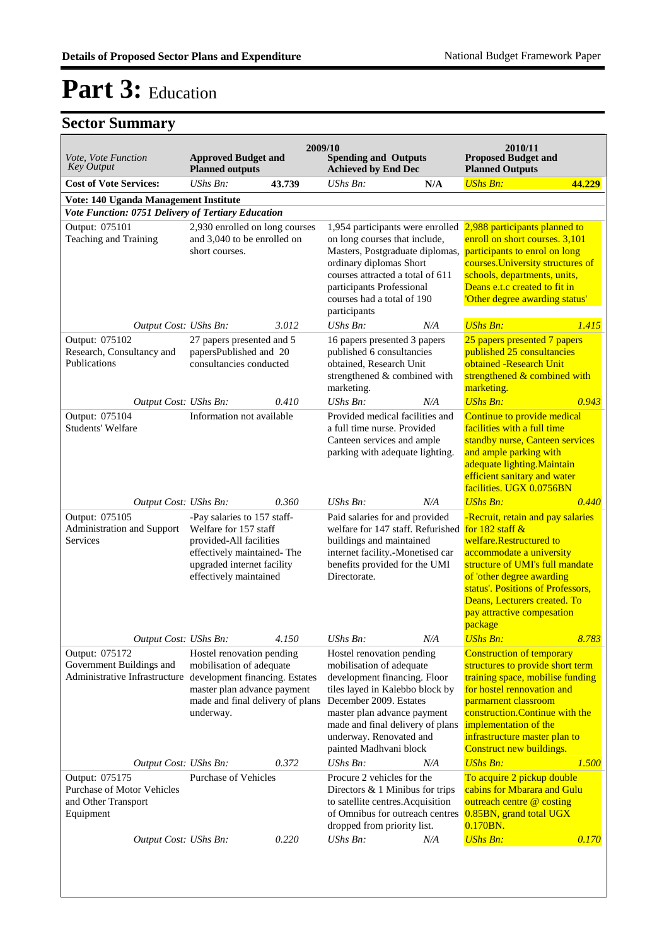|                                                                                               |                                                                                                                                                                         |        | 2009/10                                                                                                                                                                                                                                                                    |     | 2010/11                                                                                                                                                                                                                                                                                       |        |
|-----------------------------------------------------------------------------------------------|-------------------------------------------------------------------------------------------------------------------------------------------------------------------------|--------|----------------------------------------------------------------------------------------------------------------------------------------------------------------------------------------------------------------------------------------------------------------------------|-----|-----------------------------------------------------------------------------------------------------------------------------------------------------------------------------------------------------------------------------------------------------------------------------------------------|--------|
| <i>Vote, Vote Function</i><br><b>Key Output</b>                                               | <b>Approved Budget and</b><br><b>Planned outputs</b>                                                                                                                    |        | <b>Spending and Outputs</b><br><b>Achieved by End Dec</b>                                                                                                                                                                                                                  |     | <b>Proposed Budget and</b><br><b>Planned Outputs</b>                                                                                                                                                                                                                                          |        |
| <b>Cost of Vote Services:</b>                                                                 | $UShs Bn$ :                                                                                                                                                             | 43.739 | <b>UShs Bn:</b>                                                                                                                                                                                                                                                            | N/A | <b>UShs Bn:</b>                                                                                                                                                                                                                                                                               | 44.229 |
| Vote: 140 Uganda Management Institute                                                         |                                                                                                                                                                         |        |                                                                                                                                                                                                                                                                            |     |                                                                                                                                                                                                                                                                                               |        |
| Vote Function: 0751 Delivery of Tertiary Education<br>Output: 075101<br>Teaching and Training | 2,930 enrolled on long courses<br>and 3,040 to be enrolled on<br>short courses.                                                                                         |        | 1,954 participants were enrolled<br>on long courses that include,<br>Masters, Postgraduate diplomas,<br>ordinary diplomas Short<br>courses attracted a total of 611<br>participants Professional<br>courses had a total of 190                                             |     | 2,988 participants planned to<br>enroll on short courses. 3,101<br>participants to enrol on long<br>courses. University structures of<br>schools, departments, units,<br>Deans e.t.c created to fit in<br>'Other degree awarding status'                                                      |        |
|                                                                                               |                                                                                                                                                                         |        | participants                                                                                                                                                                                                                                                               |     | <b>UShs Bn:</b>                                                                                                                                                                                                                                                                               | 1.415  |
| Output Cost: UShs Bn:<br>Output: 075102<br>Research, Consultancy and<br>Publications          | 27 papers presented and 5<br>papersPublished and 20<br>consultancies conducted                                                                                          | 3.012  | UShs Bn:<br>16 papers presented 3 papers<br>published 6 consultancies<br>obtained, Research Unit<br>strengthened & combined with<br>marketing.                                                                                                                             | N/A | 25 papers presented 7 papers<br>published 25 consultancies<br>obtained -Research Unit<br>strengthened & combined with<br>marketing.                                                                                                                                                           |        |
| Output Cost: UShs Bn:                                                                         |                                                                                                                                                                         | 0.410  | UShs Bn:                                                                                                                                                                                                                                                                   | N/A | <b>UShs Bn:</b>                                                                                                                                                                                                                                                                               | 0.943  |
| Output: 075104<br><b>Students' Welfare</b>                                                    | Information not available                                                                                                                                               |        | Provided medical facilities and<br>a full time nurse. Provided<br>Canteen services and ample<br>parking with adequate lighting.                                                                                                                                            |     | Continue to provide medical<br>facilities with a full time<br>standby nurse, Canteen services<br>and ample parking with<br>adequate lighting. Maintain<br>efficient sanitary and water<br>facilities. UGX 0.0756BN                                                                            |        |
| Output Cost: UShs Bn:                                                                         |                                                                                                                                                                         | 0.360  | UShs Bn:                                                                                                                                                                                                                                                                   | N/A | <b>UShs Bn:</b>                                                                                                                                                                                                                                                                               | 0.440  |
| Output: 075105<br>Administration and Support<br>Services                                      | -Pay salaries to 157 staff-<br>Welfare for 157 staff<br>provided-All facilities<br>effectively maintained-The<br>upgraded internet facility<br>effectively maintained   |        | Paid salaries for and provided<br>welfare for 147 staff. Refurished<br>buildings and maintained<br>internet facility.-Monetised car<br>benefits provided for the UMI<br>Directorate.                                                                                       |     | -Recruit, retain and pay salaries<br>for $182$ staff $&$<br>welfare.Restructured to<br>accommodate a university<br>structure of UMI's full mandate<br>of 'other degree awarding<br>status'. Positions of Professors,<br>Deans, Lecturers created. To<br>pay attractive compesation<br>package |        |
| Output Cost: UShs Bn:                                                                         |                                                                                                                                                                         | 4.150  | UShs Bn:                                                                                                                                                                                                                                                                   | N/A | <b>UShs Bn:</b>                                                                                                                                                                                                                                                                               | 8.783  |
| Output: 075172<br>Government Buildings and<br>Administrative Infrastructure                   | Hostel renovation pending<br>mobilisation of adequate<br>development financing. Estates<br>master plan advance payment<br>made and final delivery of plans<br>underway. |        | Hostel renovation pending<br>mobilisation of adequate<br>development financing. Floor<br>tiles layed in Kalebbo block by<br>December 2009. Estates<br>master plan advance payment<br>made and final delivery of plans<br>underway. Renovated and<br>painted Madhvani block |     | <b>Construction of temporary</b><br>structures to provide short term<br>training space, mobilise funding<br>for hostel rennovation and<br>parmarnent classroom<br>construction. Continue with the<br>implementation of the<br>infrastructure master plan to<br>Construct new buildings.       |        |
| Output Cost: UShs Bn:                                                                         |                                                                                                                                                                         | 0.372  | UShs Bn:                                                                                                                                                                                                                                                                   | N/A | <b>UShs Bn:</b>                                                                                                                                                                                                                                                                               | 1.500  |
| Output: 075175<br>Purchase of Motor Vehicles<br>and Other Transport<br>Equipment              | <b>Purchase of Vehicles</b>                                                                                                                                             |        | Procure 2 vehicles for the<br>Directors $& 1$ Minibus for trips<br>to satellite centres. Acquisition<br>of Omnibus for outreach centres<br>dropped from priority list.                                                                                                     |     | To acquire 2 pickup double<br>cabins for Mbarara and Gulu<br>outreach centre @ costing<br>0.85BN, grand total UGX<br>0.170BN.                                                                                                                                                                 |        |
| Output Cost: UShs Bn:                                                                         |                                                                                                                                                                         | 0.220  | UShs Bn:                                                                                                                                                                                                                                                                   | N/A | <b>UShs Bn:</b>                                                                                                                                                                                                                                                                               | 0.170  |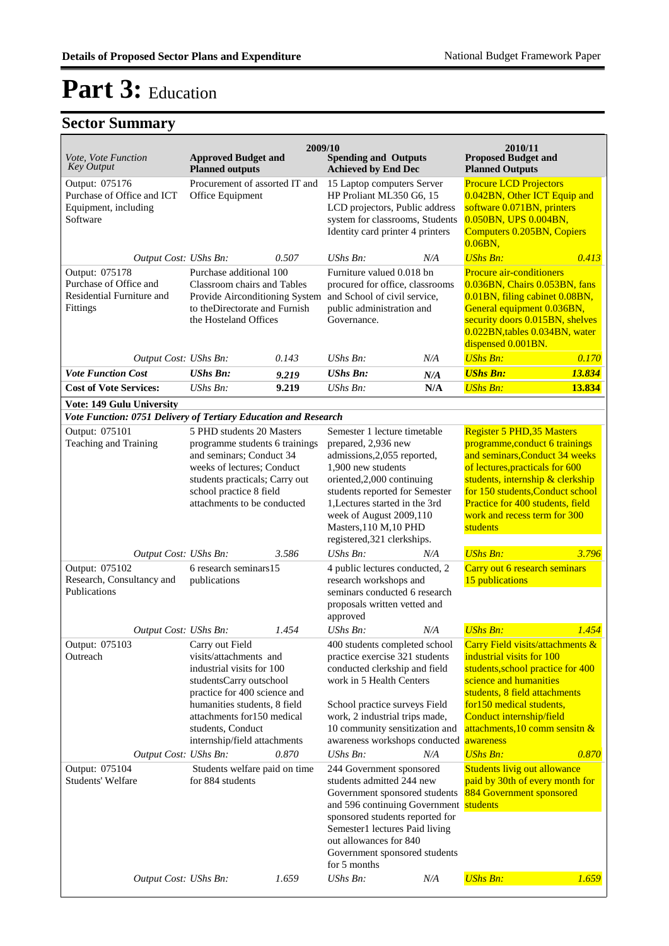| <b>Key Output</b>                                                                                 | <b>Planned outputs</b>                                                                                                                                                                                                                                                                                    | <b>Approved Budget and</b> | <b>Spending and Outputs</b><br><b>Achieved by End Dec</b>                                                                                                                                                                                                                                                                                                                                                          |     | <b>Proposed Budget and</b><br><b>Planned Outputs</b>                                                                                                                                                                                                                                                                                                                                                |        |
|---------------------------------------------------------------------------------------------------|-----------------------------------------------------------------------------------------------------------------------------------------------------------------------------------------------------------------------------------------------------------------------------------------------------------|----------------------------|--------------------------------------------------------------------------------------------------------------------------------------------------------------------------------------------------------------------------------------------------------------------------------------------------------------------------------------------------------------------------------------------------------------------|-----|-----------------------------------------------------------------------------------------------------------------------------------------------------------------------------------------------------------------------------------------------------------------------------------------------------------------------------------------------------------------------------------------------------|--------|
| Output: 075176<br>Purchase of Office and ICT<br>Equipment, including<br>Software                  | Procurement of assorted IT and<br>Office Equipment                                                                                                                                                                                                                                                        |                            | 15 Laptop computers Server<br>HP Proliant ML350 G6, 15<br>LCD projectors, Public address<br>system for classrooms, Students<br>Identity card printer 4 printers                                                                                                                                                                                                                                                    |     | <b>Procure LCD Projectors</b><br>0.042BN, Other ICT Equip and<br>software 0.071BN, printers<br>0.050BN, UPS 0.004BN,<br><b>Computers 0.205BN, Copiers</b><br>$0.06$ BN,                                                                                                                                                                                                                             |        |
| Output Cost: UShs Bn:                                                                             |                                                                                                                                                                                                                                                                                                           | 0.507                      | UShs Bn:                                                                                                                                                                                                                                                                                                                                                                                                           | N/A | <b>UShs Bn:</b>                                                                                                                                                                                                                                                                                                                                                                                     | 0.413  |
| Output: 075178<br>Purchase of Office and<br>Residential Furniture and<br>Fittings                 | Purchase additional 100<br>Classroom chairs and Tables<br>Provide Airconditioning System<br>to theDirectorate and Furnish<br>the Hosteland Offices                                                                                                                                                        |                            | Furniture valued 0.018 bn<br>procured for office, classrooms<br>and School of civil service,<br>public administration and<br>Governance.                                                                                                                                                                                                                                                                           |     | <b>Procure air-conditioners</b><br>0.036BN, Chairs 0.053BN, fans<br>0.01BN, filing cabinet 0.08BN,<br>General equipment 0.036BN,<br>security doors 0.015BN, shelves<br>0.022BN,tables 0.034BN, water<br>dispensed 0.001BN.                                                                                                                                                                          |        |
| Output Cost: UShs Bn:                                                                             |                                                                                                                                                                                                                                                                                                           | 0.143                      | $UShs Bn$ :                                                                                                                                                                                                                                                                                                                                                                                                        | N/A | <b>UShs Bn:</b>                                                                                                                                                                                                                                                                                                                                                                                     | 0.170  |
| <b>Vote Function Cost</b>                                                                         | <b>UShs Bn:</b>                                                                                                                                                                                                                                                                                           | 9.219                      | <b>UShs Bn:</b>                                                                                                                                                                                                                                                                                                                                                                                                    | N/A | <b>UShs Bn:</b>                                                                                                                                                                                                                                                                                                                                                                                     | 13.834 |
| <b>Cost of Vote Services:</b>                                                                     | UShs Bn:                                                                                                                                                                                                                                                                                                  | 9.219                      | $UShs Bn$ :                                                                                                                                                                                                                                                                                                                                                                                                        | N/A | <b>UShs Bn:</b>                                                                                                                                                                                                                                                                                                                                                                                     | 13.834 |
| Vote: 149 Gulu University                                                                         |                                                                                                                                                                                                                                                                                                           |                            |                                                                                                                                                                                                                                                                                                                                                                                                                    |     |                                                                                                                                                                                                                                                                                                                                                                                                     |        |
| Vote Function: 0751 Delivery of Tertiary Education and Research                                   |                                                                                                                                                                                                                                                                                                           |                            | Semester 1 lecture timetable                                                                                                                                                                                                                                                                                                                                                                                       |     | <b>Register 5 PHD, 35 Masters</b>                                                                                                                                                                                                                                                                                                                                                                   |        |
| Output: 075101<br>Teaching and Training                                                           | 5 PHD students 20 Masters<br>programme students 6 trainings<br>and seminars; Conduct 34<br>weeks of lectures; Conduct<br>students practicals; Carry out<br>school practice 8 field<br>attachments to be conducted                                                                                         |                            | prepared, 2,936 new<br>admissions, 2,055 reported,<br>1,900 new students<br>oriented, 2,000 continuing<br>students reported for Semester<br>1, Lectures started in the 3rd<br>week of August 2009,110<br>Masters, 110 M, 10 PHD<br>registered, 321 clerkships.                                                                                                                                                     |     | programme, conduct 6 trainings<br>and seminars, Conduct 34 weeks<br>of lectures, practicals for 600<br>students, internship & clerkship<br>for 150 students, Conduct school<br>Practice for 400 students, field<br>work and recess term for 300<br>students                                                                                                                                         |        |
| Output Cost: UShs Bn:                                                                             |                                                                                                                                                                                                                                                                                                           | 3.586                      | UShs Bn:                                                                                                                                                                                                                                                                                                                                                                                                           | N/A | <b>UShs Bn:</b>                                                                                                                                                                                                                                                                                                                                                                                     | 3.796  |
| Output: 075102<br>Research, Consultancy and<br>Publications                                       | 6 research seminars15<br>publications                                                                                                                                                                                                                                                                     |                            | 4 public lectures conducted, 2<br>research workshops and<br>seminars conducted 6 research<br>proposals written vetted and<br>approved                                                                                                                                                                                                                                                                              |     | Carry out 6 research seminars<br>15 publications                                                                                                                                                                                                                                                                                                                                                    |        |
| Output Cost: UShs Bn:                                                                             |                                                                                                                                                                                                                                                                                                           | 1.454                      | UShs Bn:                                                                                                                                                                                                                                                                                                                                                                                                           | N/A | <b>UShs Bn:</b>                                                                                                                                                                                                                                                                                                                                                                                     | 1.454  |
| Output: 075103<br>Outreach<br>Output Cost: UShs Bn:<br>Output: 075104<br><b>Students' Welfare</b> | Carry out Field<br>visits/attachments and<br>industrial visits for 100<br>studentsCarry outschool<br>practice for 400 science and<br>humanities students, 8 field<br>attachments for150 medical<br>students, Conduct<br>internship/field attachments<br>Students welfare paid on time<br>for 884 students | 0.870                      | 400 students completed school<br>practice exercise 321 students<br>conducted clerkship and field<br>work in 5 Health Centers<br>School practice surveys Field<br>work, 2 industrial trips made,<br>10 community sensitization and<br>awareness workshops conducted<br>UShs Bn:<br>244 Government sponsored<br>students admitted 244 new<br>Government sponsored students<br>and 596 continuing Government students | N/A | Carry Field visits/attachments &<br>industrial visits for 100<br>students, school practice for 400<br>science and humanities<br>students, 8 field attachments<br>for 150 medical students,<br>Conduct internship/field<br>attachments, $10$ comm sensitn $\&$<br>awareness<br><b>UShs Bn:</b><br><b>Students livig out allowance</b><br>paid by 30th of every month for<br>884 Government sponsored | 0.870  |
| Output Cost: UShs Bn:                                                                             |                                                                                                                                                                                                                                                                                                           | 1.659                      | sponsored students reported for<br>Semester1 lectures Paid living<br>out allowances for 840<br>Government sponsored students<br>for 5 months<br>UShs Bn:                                                                                                                                                                                                                                                           | N/A | <b>UShs Bn:</b>                                                                                                                                                                                                                                                                                                                                                                                     | 1.659  |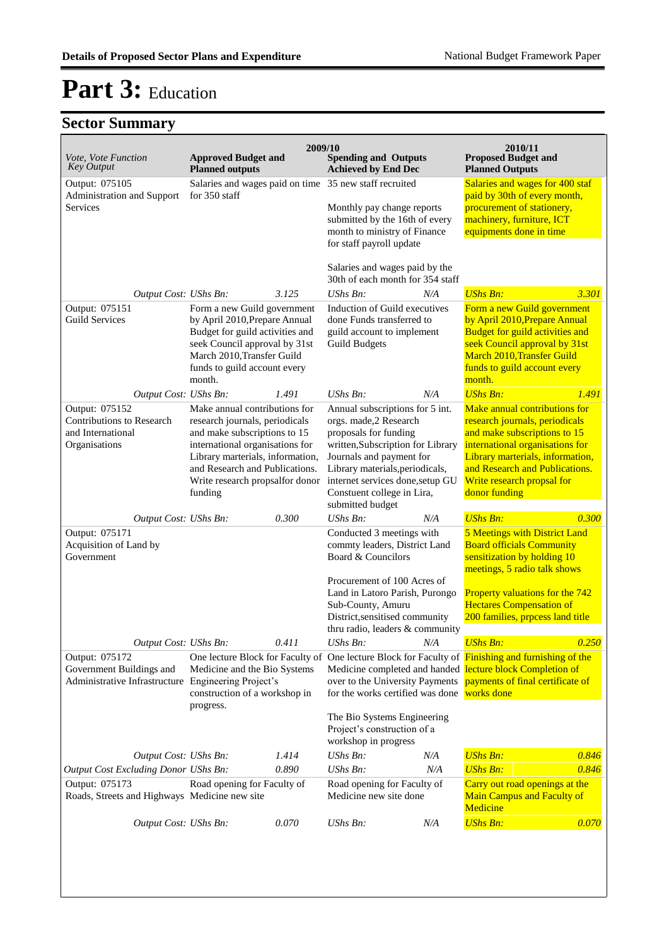| Vote, Vote Function<br><b>Key Output</b>                                          | <b>Approved Budget and</b><br><b>Planned outputs</b>                                                                                                                                                                                                   | 2009/10 | <b>Spending and Outputs</b><br><b>Achieved by End Dec</b>                                                                                                                                                                                                                   |     | 2010/11<br><b>Proposed Budget and</b><br><b>Planned Outputs</b>                                                                                                                                                                                         |       |
|-----------------------------------------------------------------------------------|--------------------------------------------------------------------------------------------------------------------------------------------------------------------------------------------------------------------------------------------------------|---------|-----------------------------------------------------------------------------------------------------------------------------------------------------------------------------------------------------------------------------------------------------------------------------|-----|---------------------------------------------------------------------------------------------------------------------------------------------------------------------------------------------------------------------------------------------------------|-------|
| Output: 075105<br>Administration and Support<br>Services                          | for 350 staff                                                                                                                                                                                                                                          |         | Salaries and wages paid on time 35 new staff recruited<br>Monthly pay change reports<br>submitted by the 16th of every<br>month to ministry of Finance<br>for staff payroll update                                                                                          |     | Salaries and wages for 400 staf<br>paid by 30th of every month,<br>procurement of stationery,<br>machinery, furniture, ICT<br>equipments done in time                                                                                                   |       |
|                                                                                   |                                                                                                                                                                                                                                                        |         | Salaries and wages paid by the<br>30th of each month for 354 staff                                                                                                                                                                                                          |     |                                                                                                                                                                                                                                                         |       |
| Output Cost: UShs Bn:                                                             |                                                                                                                                                                                                                                                        | 3.125   | UShs Bn:                                                                                                                                                                                                                                                                    | N/A | <b>UShs Bn:</b>                                                                                                                                                                                                                                         | 3.301 |
| Output: 075151<br><b>Guild Services</b>                                           | Form a new Guild government<br>by April 2010, Prepare Annual<br>Budget for guild activities and<br>seek Council approval by 31st<br>March 2010, Transfer Guild<br>funds to guild account every<br>month.                                               |         | Induction of Guild executives<br>done Funds transferred to<br>guild account to implement<br><b>Guild Budgets</b>                                                                                                                                                            |     | Form a new Guild government<br>by April 2010, Prepare Annual<br>Budget for guild activities and<br>seek Council approval by 31st<br>March 2010, Transfer Guild<br>funds to guild account every<br>month.                                                |       |
| Output Cost: UShs Bn:                                                             |                                                                                                                                                                                                                                                        | 1.491   | $UShs Bn$ :                                                                                                                                                                                                                                                                 | N/A | <b>UShs Bn:</b>                                                                                                                                                                                                                                         | 1.491 |
| Output: 075152<br>Contributions to Research<br>and International<br>Organisations | Make annual contributions for<br>research journals, periodicals<br>and make subscriptions to 15<br>international organisations for<br>Library marterials, information,<br>and Research and Publications.<br>Write research propsalfor donor<br>funding |         | Annual subscriptions for 5 int.<br>orgs. made,2 Research<br>proposals for funding<br>written, Subscription for Library<br>Journals and payment for<br>Library materials, periodicals,<br>internet services done, setup GU<br>Constuent college in Lira,<br>submitted budget |     | Make annual contributions for<br>research journals, periodicals<br>and make subscriptions to 15<br>international organisations for<br>Library marterials, information,<br>and Research and Publications.<br>Write research propsal for<br>donor funding |       |
| Output Cost: UShs Bn:                                                             |                                                                                                                                                                                                                                                        | 0.300   | $UShs Bn$ :                                                                                                                                                                                                                                                                 | N/A | <b>UShs Bn:</b>                                                                                                                                                                                                                                         | 0.300 |
| Output: 075171<br>Acquisition of Land by<br>Government                            |                                                                                                                                                                                                                                                        |         | Conducted 3 meetings with<br>commty leaders, District Land<br>Board & Councilors<br>Procurement of 100 Acres of<br>Land in Latoro Parish, Purongo<br>Sub-County, Amuru<br>District, sensitised community<br>thru radio, leaders & community                                 |     | 5 Meetings with District Land<br><b>Board officials Community</b><br>sensitization by holding 10<br>meetings, 5 radio talk shows<br>Property valuations for the 742<br><b>Hectares Compensation of</b><br>200 families, prpcess land title              |       |
| Output Cost: UShs Bn:                                                             |                                                                                                                                                                                                                                                        | 0.411   | UShs Bn:                                                                                                                                                                                                                                                                    | N/A | <b>UShs Bn:</b>                                                                                                                                                                                                                                         | 0.250 |
| Output: 075172<br>Government Buildings and<br>Administrative Infrastructure       | Medicine and the Bio Systems<br>Engineering Project's<br>construction of a workshop in<br>progress.                                                                                                                                                    |         | over to the University Payments<br>for the works certified was done works done                                                                                                                                                                                              |     | One lecture Block for Faculty of One lecture Block for Faculty of Finishing and furnishing of the<br>Medicine completed and handed lecture block Completion of<br>payments of final certificate of                                                      |       |
|                                                                                   |                                                                                                                                                                                                                                                        |         | The Bio Systems Engineering<br>Project's construction of a<br>workshop in progress                                                                                                                                                                                          |     |                                                                                                                                                                                                                                                         |       |
| Output Cost: UShs Bn:                                                             |                                                                                                                                                                                                                                                        | 1.414   | UShs Bn:                                                                                                                                                                                                                                                                    | N/A | <b>UShs Bn:</b>                                                                                                                                                                                                                                         | 0.846 |
| <b>Output Cost Excluding Donor UShs Bn:</b>                                       |                                                                                                                                                                                                                                                        | 0.890   | UShs Bn:                                                                                                                                                                                                                                                                    | N/A | <b>UShs Bn:</b>                                                                                                                                                                                                                                         | 0.846 |
| Output: 075173<br>Roads, Streets and Highways Medicine new site                   | Road opening for Faculty of                                                                                                                                                                                                                            |         | Road opening for Faculty of<br>Medicine new site done                                                                                                                                                                                                                       |     | Carry out road openings at the<br><b>Main Campus and Faculty of</b><br>Medicine                                                                                                                                                                         |       |
| Output Cost: UShs Bn:                                                             |                                                                                                                                                                                                                                                        | 0.070   | <b>UShs Bn:</b>                                                                                                                                                                                                                                                             | N/A | <b>UShs Bn:</b>                                                                                                                                                                                                                                         | 0.070 |
|                                                                                   |                                                                                                                                                                                                                                                        |         |                                                                                                                                                                                                                                                                             |     |                                                                                                                                                                                                                                                         |       |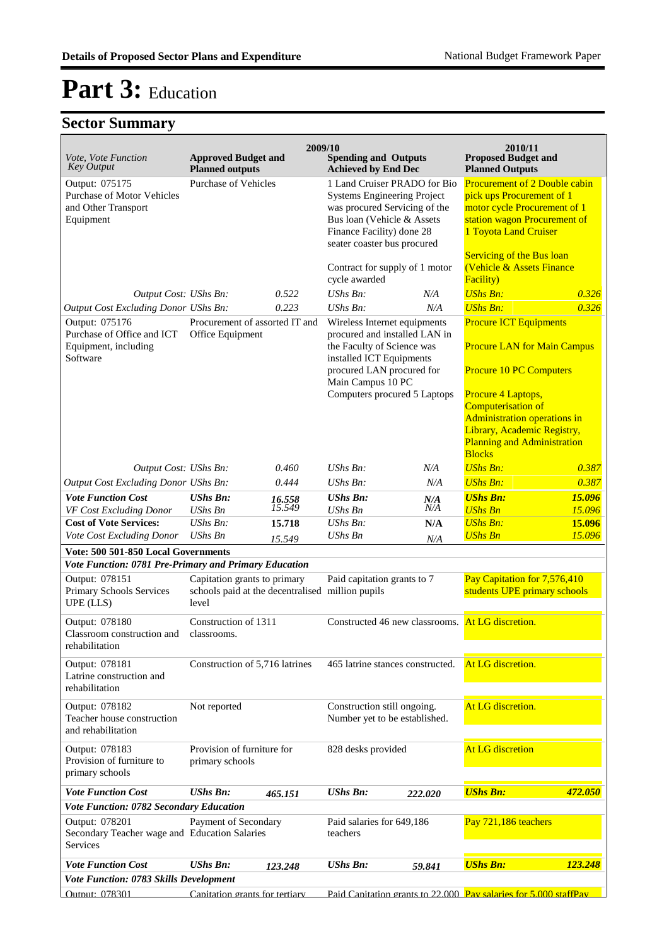| <i>Vote, Vote Function</i><br><b>Key Output</b>                                         | <b>Approved Budget and</b><br><b>Planned outputs</b>                                      | 2009/10          | <b>Spending and Outputs</b><br><b>Achieved by End Dec</b>                                                                                                                                                 |            | 2010/11<br><b>Proposed Budget and</b><br><b>Planned Outputs</b>                                                                                          |                  |
|-----------------------------------------------------------------------------------------|-------------------------------------------------------------------------------------------|------------------|-----------------------------------------------------------------------------------------------------------------------------------------------------------------------------------------------------------|------------|----------------------------------------------------------------------------------------------------------------------------------------------------------|------------------|
| Output: 075175<br><b>Purchase of Motor Vehicles</b><br>and Other Transport<br>Equipment | Purchase of Vehicles                                                                      |                  | 1 Land Cruiser PRADO for Bio<br><b>Systems Engineering Project</b><br>was procured Servicing of the<br>Bus loan (Vehicle & Assets<br>Finance Facility) done 28<br>seater coaster bus procured             |            | Procurement of 2 Double cabin<br>pick ups Procurement of 1<br>motor cycle Procurement of 1<br>station wagon Procurement of<br>1 Toyota Land Cruiser      |                  |
| Output Cost: UShs Bn:                                                                   |                                                                                           | 0.522            | Contract for supply of 1 motor<br>cycle awarded<br>UShs Bn:                                                                                                                                               | N/A        | <b>Servicing of the Bus loan</b><br>(Vehicle & Assets Finance<br>Facility)<br><b>UShs Bn:</b>                                                            | 0.326            |
| Output Cost Excluding Donor UShs Bn:                                                    |                                                                                           | 0.223            | UShs Bn:                                                                                                                                                                                                  | N/A        | <b>UShs Bn:</b>                                                                                                                                          | 0.326            |
| Output: 075176<br>Purchase of Office and ICT<br>Equipment, including<br>Software        | Procurement of assorted IT and<br>Office Equipment                                        |                  | Wireless Internet equipments<br>procured and installed LAN in<br>the Faculty of Science was<br>installed ICT Equipments<br>procured LAN procured for<br>Main Campus 10 PC<br>Computers procured 5 Laptops |            | <b>Procure ICT Equipments</b><br><b>Procure LAN for Main Campus</b><br><b>Procure 10 PC Computers</b><br>Procure 4 Laptops,<br><b>Computerisation of</b> |                  |
|                                                                                         |                                                                                           |                  |                                                                                                                                                                                                           |            | <b>Administration operations in</b><br>Library, Academic Registry,<br><b>Planning and Administration</b><br><b>Blocks</b>                                |                  |
| Output Cost: UShs Bn:                                                                   |                                                                                           | 0.460            | $UShs Bn$ :                                                                                                                                                                                               | N/A        | <b>UShs Bn:</b>                                                                                                                                          | 0.387            |
| Output Cost Excluding Donor UShs Bn:                                                    |                                                                                           | 0.444            | UShs Bn:                                                                                                                                                                                                  | N/A        | <b>UShs Bn:</b>                                                                                                                                          | 0.387            |
| <b>Vote Function Cost</b>                                                               | <b>UShs Bn:</b>                                                                           | 16.558<br>15.549 | <b>UShs Bn:</b>                                                                                                                                                                                           | N/A<br>N/A | <b>UShs Bn:</b>                                                                                                                                          | 15.096           |
| VF Cost Excluding Donor<br><b>Cost of Vote Services:</b>                                | <b>UShs Bn</b><br>$UShs Bn$ :                                                             | 15.718           | <b>UShs Bn</b><br>$UShs Bn$ :                                                                                                                                                                             | N/A        | <b>UShs Bn</b><br><b>UShs Bn:</b>                                                                                                                        | 15.096<br>15.096 |
| Vote Cost Excluding Donor                                                               | <b>UShs Bn</b>                                                                            | 15.549           | <b>UShs Bn</b>                                                                                                                                                                                            | N/A        | <b>UShs Bn</b>                                                                                                                                           | 15.096           |
| Vote: 500 501-850 Local Governments                                                     |                                                                                           |                  |                                                                                                                                                                                                           |            |                                                                                                                                                          |                  |
| Vote Function: 0781 Pre-Primary and Primary Education                                   |                                                                                           |                  |                                                                                                                                                                                                           |            |                                                                                                                                                          |                  |
| Output: 078151<br>Primary Schools Services<br>UPE (LLS)                                 | Capitation grants to primary<br>schools paid at the decentralised million pupils<br>level |                  | Paid capitation grants to 7                                                                                                                                                                               |            | Pay Capitation for 7,576,410<br>students UPE primary schools                                                                                             |                  |
| Output: 078180<br>Classroom construction and<br>rehabilitation                          | Construction of 1311<br>classrooms.                                                       |                  | Constructed 46 new classrooms.                                                                                                                                                                            |            | At LG discretion.                                                                                                                                        |                  |
| Output: 078181<br>Latrine construction and<br>rehabilitation                            | Construction of 5,716 latrines                                                            |                  | 465 latrine stances constructed.                                                                                                                                                                          |            | At LG discretion.                                                                                                                                        |                  |
| Output: 078182<br>Teacher house construction<br>and rehabilitation                      | Not reported                                                                              |                  | Construction still ongoing.<br>Number yet to be established.                                                                                                                                              |            | At LG discretion.                                                                                                                                        |                  |
| Output: 078183<br>Provision of furniture to<br>primary schools                          | Provision of furniture for<br>primary schools                                             |                  | 828 desks provided                                                                                                                                                                                        |            | <b>At LG discretion</b>                                                                                                                                  |                  |
| <b>Vote Function Cost</b>                                                               | <b>UShs Bn:</b>                                                                           | 465.151          | <b>UShs Bn:</b>                                                                                                                                                                                           | 222.020    | <b>UShs Bn:</b>                                                                                                                                          | 472.050          |
| Vote Function: 0782 Secondary Education                                                 |                                                                                           |                  |                                                                                                                                                                                                           |            |                                                                                                                                                          |                  |
| Output: 078201<br>Secondary Teacher wage and Education Salaries<br>Services             | Payment of Secondary                                                                      |                  | Paid salaries for 649,186<br>teachers                                                                                                                                                                     |            | Pay 721,186 teachers                                                                                                                                     |                  |
| <b>Vote Function Cost</b>                                                               | <b>UShs Bn:</b>                                                                           | 123.248          | <b>UShs Bn:</b>                                                                                                                                                                                           | 59.841     | <b>UShs Bn:</b>                                                                                                                                          | 123.248          |
| Vote Function: 0783 Skills Development                                                  |                                                                                           |                  |                                                                                                                                                                                                           |            |                                                                                                                                                          |                  |
| Output: 078301                                                                          | Canitation grants for tertiary                                                            |                  |                                                                                                                                                                                                           |            | Paid Canitation grants to 22,000 Pay salaries for 5,000 staffPay                                                                                         |                  |